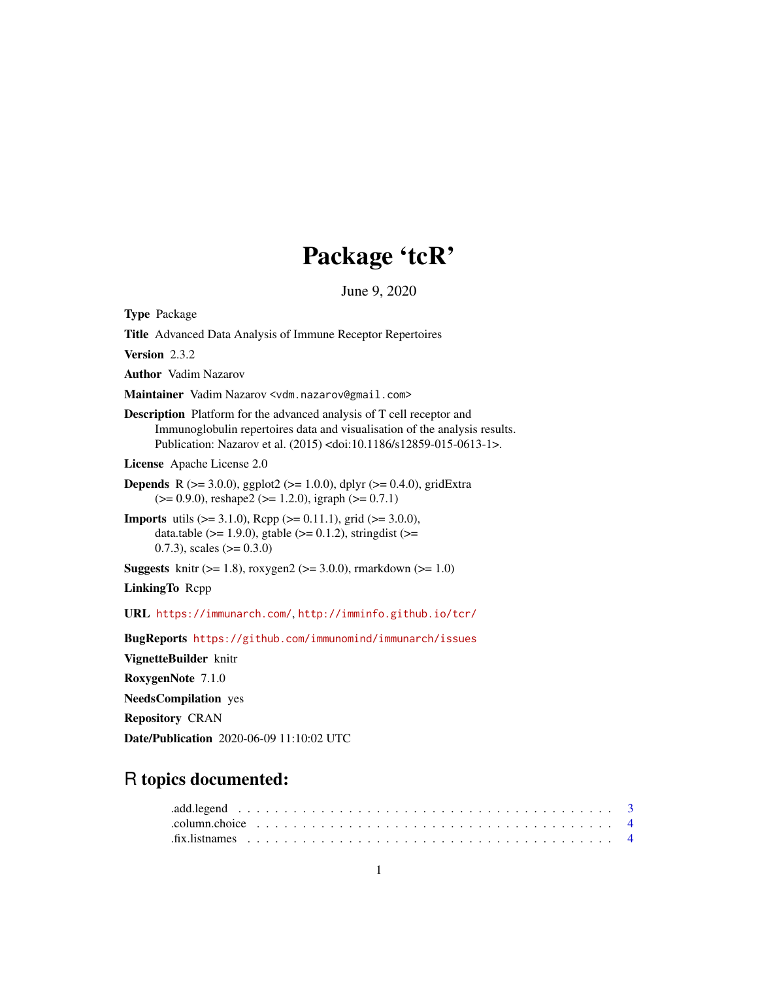# Package 'tcR'

June 9, 2020

<span id="page-0-0"></span>Type Package Title Advanced Data Analysis of Immune Receptor Repertoires Version 2.3.2 Author Vadim Nazarov Maintainer Vadim Nazarov <vdm.nazarov@gmail.com> Description Platform for the advanced analysis of T cell receptor and Immunoglobulin repertoires data and visualisation of the analysis results. Publication: Nazarov et al. (2015) <doi:10.1186/s12859-015-0613-1>. License Apache License 2.0 **Depends** R ( $>= 3.0.0$ ), ggplot2 ( $>= 1.0.0$ ), dplyr ( $>= 0.4.0$ ), gridExtra  $(>= 0.9.0)$ , reshape2  $(>= 1.2.0)$ , igraph  $(>= 0.7.1)$ **Imports** utils  $(>= 3.1.0)$ , Rcpp  $(>= 0.11.1)$ , grid  $(>= 3.0.0)$ , data.table ( $>= 1.9.0$ ), gtable ( $>= 0.1.2$ ), stringdist ( $>=$ 0.7.3), scales  $(>= 0.3.0)$ **Suggests** knitr ( $>= 1.8$ ), roxygen2 ( $>= 3.0.0$ ), rmarkdown ( $>= 1.0$ ) LinkingTo Rcpp URL <https://immunarch.com/>, <http://imminfo.github.io/tcr/> BugReports <https://github.com/immunomind/immunarch/issues> VignetteBuilder knitr RoxygenNote 7.1.0 NeedsCompilation yes Repository CRAN Date/Publication 2020-06-09 11:10:02 UTC

# R topics documented:

| $fix.$ Is that the subset of $4$ |  |  |  |  |  |  |  |  |  |  |  |  |  |  |  |  |  |  |  |  |  |
|----------------------------------|--|--|--|--|--|--|--|--|--|--|--|--|--|--|--|--|--|--|--|--|--|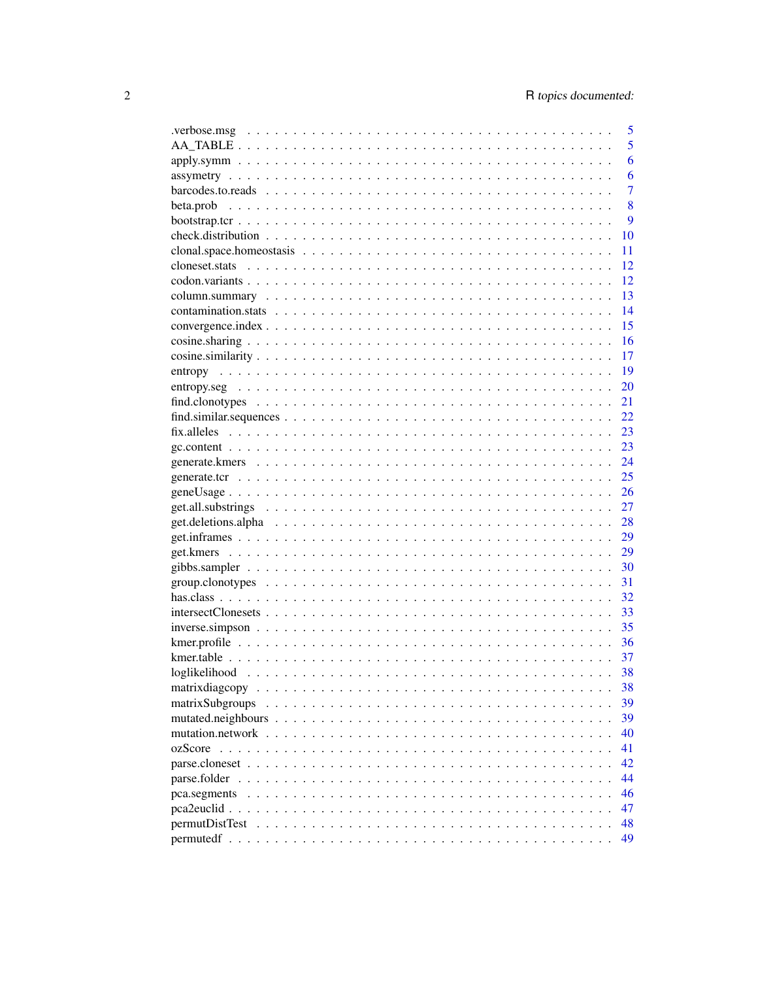|                                                                                                                   | 5              |
|-------------------------------------------------------------------------------------------------------------------|----------------|
|                                                                                                                   | 5              |
|                                                                                                                   | 6              |
|                                                                                                                   | 6              |
|                                                                                                                   | $\overline{7}$ |
|                                                                                                                   | 8              |
|                                                                                                                   | 9              |
|                                                                                                                   | 10             |
|                                                                                                                   | 11             |
|                                                                                                                   | 12             |
|                                                                                                                   | 12             |
|                                                                                                                   | 13             |
|                                                                                                                   | 14             |
|                                                                                                                   | 15             |
|                                                                                                                   | 16             |
|                                                                                                                   | 17             |
|                                                                                                                   | 19             |
|                                                                                                                   | 20             |
|                                                                                                                   | 21             |
|                                                                                                                   | 22             |
|                                                                                                                   | 23             |
|                                                                                                                   | 23             |
|                                                                                                                   | 24             |
|                                                                                                                   | 25             |
|                                                                                                                   | 26             |
|                                                                                                                   | 27             |
|                                                                                                                   | 28             |
|                                                                                                                   | 29             |
|                                                                                                                   | 29             |
|                                                                                                                   | 30             |
|                                                                                                                   | 31             |
|                                                                                                                   | 32             |
|                                                                                                                   | 33             |
| $inverse.simpson \dots \dots \dots \dots \dots \dots \dots \dots \dots \dots \dots \dots \dots \dots \dots \dots$ | 35             |
|                                                                                                                   | 36             |
|                                                                                                                   | 37             |
|                                                                                                                   | 38             |
|                                                                                                                   | 38             |
| matrixSubgroups                                                                                                   | 39             |
|                                                                                                                   | 39             |
|                                                                                                                   | 40             |
|                                                                                                                   | 41             |
|                                                                                                                   | 42             |
|                                                                                                                   | 44             |
|                                                                                                                   | 46             |
|                                                                                                                   | 47             |
|                                                                                                                   | 48             |
|                                                                                                                   | 49             |
|                                                                                                                   |                |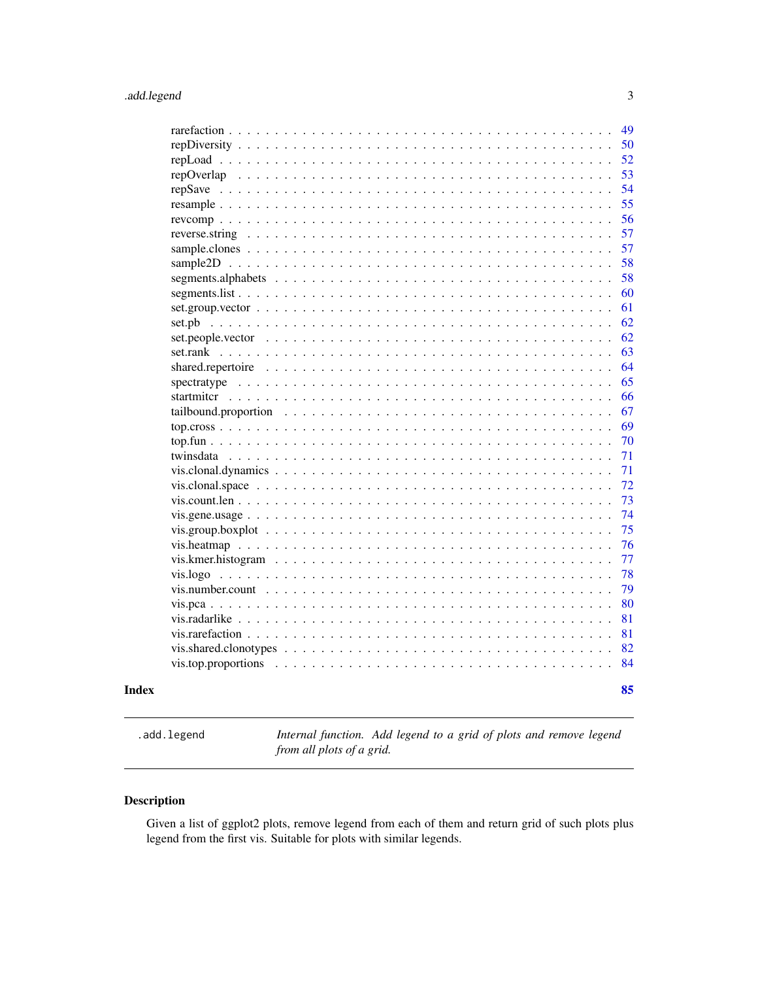<span id="page-2-0"></span>

| vis.number.count $\ldots \ldots \ldots \ldots \ldots \ldots \ldots \ldots \ldots \ldots \ldots \ldots \ldots$ |  |
|---------------------------------------------------------------------------------------------------------------|--|
|                                                                                                               |  |
|                                                                                                               |  |
|                                                                                                               |  |
|                                                                                                               |  |
|                                                                                                               |  |
|                                                                                                               |  |
|                                                                                                               |  |
|                                                                                                               |  |
|                                                                                                               |  |
|                                                                                                               |  |
|                                                                                                               |  |
|                                                                                                               |  |
|                                                                                                               |  |
|                                                                                                               |  |
|                                                                                                               |  |
|                                                                                                               |  |
|                                                                                                               |  |
| set.pb                                                                                                        |  |
|                                                                                                               |  |
|                                                                                                               |  |
|                                                                                                               |  |
|                                                                                                               |  |
|                                                                                                               |  |
|                                                                                                               |  |
|                                                                                                               |  |
|                                                                                                               |  |
|                                                                                                               |  |
|                                                                                                               |  |
|                                                                                                               |  |

.add.legend *Internal function. Add legend to a grid of plots and remove legend from all plots of a grid.*

# Description

Given a list of ggplot2 plots, remove legend from each of them and return grid of such plots plus legend from the first vis. Suitable for plots with similar legends.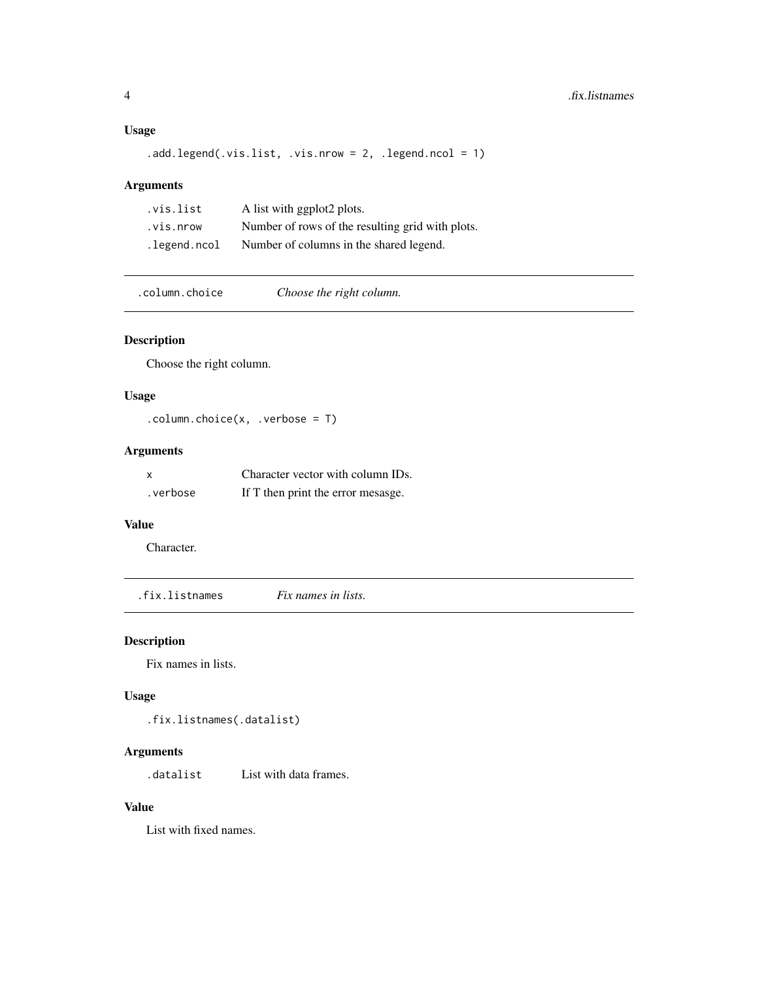# Usage

```
.add.legend(.vis.list, .vis.nrow = 2, .legend.ncol = 1)
```
# Arguments

| .vis.list    | A list with ggplot2 plots.                       |
|--------------|--------------------------------------------------|
| .vis.nrow    | Number of rows of the resulting grid with plots. |
| .legend.ncol | Number of columns in the shared legend.          |

.column.choice *Choose the right column.*

# Description

Choose the right column.

# Usage

.column.choice(x, .verbose = T)

# Arguments

| $\boldsymbol{\mathsf{x}}$ | Character vector with column IDs.  |
|---------------------------|------------------------------------|
| .verbose                  | If T then print the error mesasge. |

# Value

Character.

.fix.listnames *Fix names in lists.*

# Description

Fix names in lists.

# Usage

.fix.listnames(.datalist)

#### Arguments

.datalist List with data frames.

# Value

List with fixed names.

<span id="page-3-0"></span>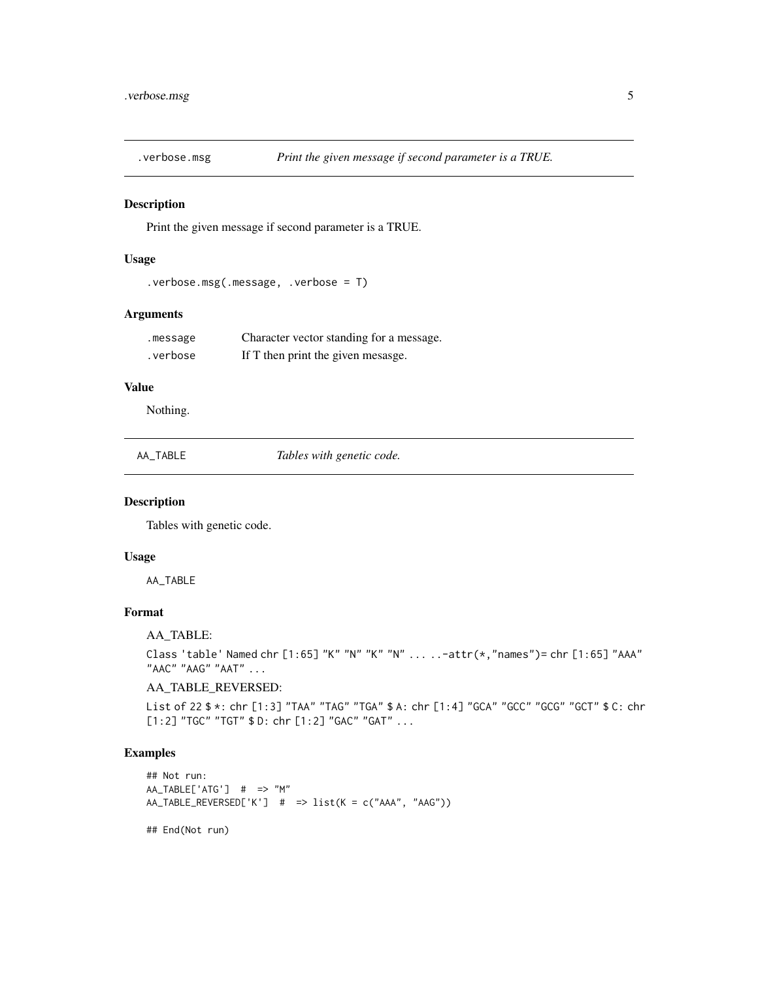<span id="page-4-0"></span>

Print the given message if second parameter is a TRUE.

# Usage

```
.verbose.msg(.message, .verbose = T)
```
# Arguments

| .message | Character vector standing for a message. |
|----------|------------------------------------------|
| .verbose | If T then print the given mesasge.       |

# Value

Nothing.

#### Description

Tables with genetic code.

# Usage

AA\_TABLE

# Format

AA\_TABLE:

Class 'table' Named chr [1:65] "K" "N" "K" "N" ... ..-attr(\*,"names")= chr [1:65] "AAA" "AAC" "AAG" "AAT" ...

# AA\_TABLE\_REVERSED:

List of 22 \$ \*: chr [1:3] "TAA" "TAG" "TGA" \$ A: chr [1:4] "GCA" "GCC" "GCG" "GCT" \$ C: chr [1:2] "TGC" "TGT" \$ D: chr [1:2] "GAC" "GAT" ...

# Examples

```
## Not run:
AA_TABLE['ATG'] # => "M"
AA_TABLE_REVERSED['K'] # => list(K = c("AAA", "AAG"))
```
## End(Not run)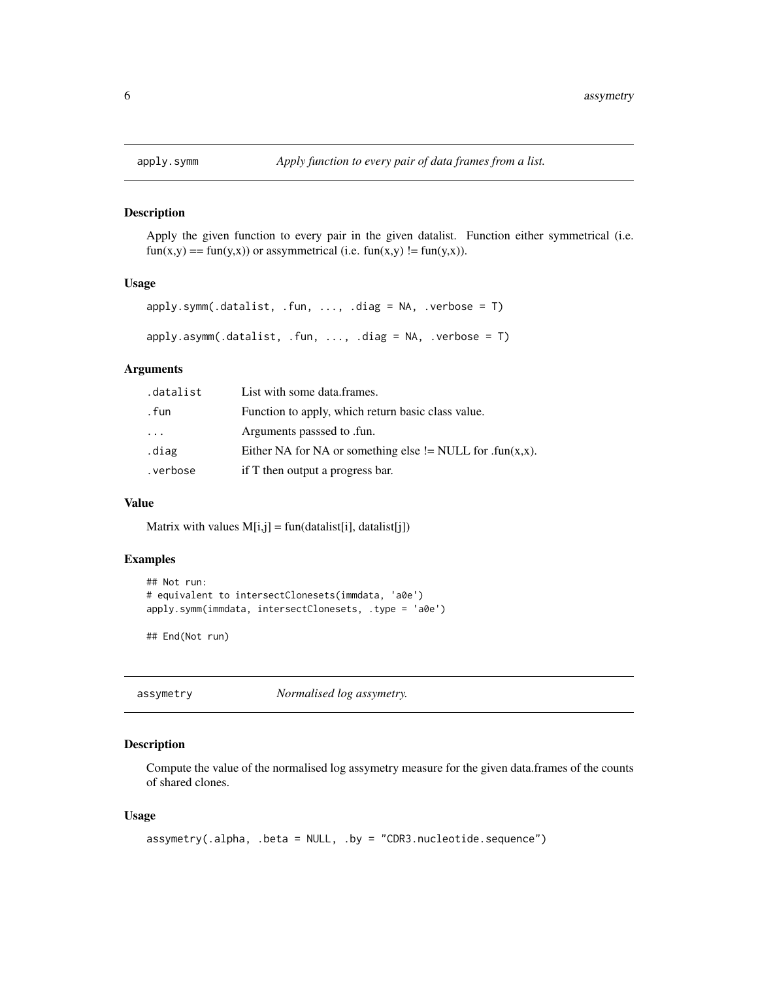Apply the given function to every pair in the given datalist. Function either symmetrical (i.e.  $fun(x,y) == fun(y,x))$  or assymmetrical (i.e.  $fun(x,y) != fun(y,x)$ ).

#### Usage

```
apply.symm(.datalist, .fun, ..., .diag = NA, .verbose = T)
apply.asymm(.datalist, .fun, . . ., .diag = NA, .verbose = T)
```
#### **Arguments**

| .datalist | List with some data.frames.                               |
|-----------|-----------------------------------------------------------|
| . fun     | Function to apply, which return basic class value.        |
| $\cdots$  | Arguments passsed to .fun.                                |
| .diag     | Either NA for NA or something else != NULL for .fun(x,x). |
| .verbose  | if T then output a progress bar.                          |

#### Value

Matrix with values  $M[i,j] = \text{fun}(\text{datalist}[i], \text{datalist}[j])$ 

# Examples

```
## Not run:
# equivalent to intersectClonesets(immdata, 'a0e')
apply.symm(immdata, intersectClonesets, .type = 'a0e')
```
## End(Not run)

assymetry *Normalised log assymetry.*

#### Description

Compute the value of the normalised log assymetry measure for the given data.frames of the counts of shared clones.

#### Usage

```
assymetry(.alpha, .beta = NULL, .by = "CDR3.nucleotide.sequence")
```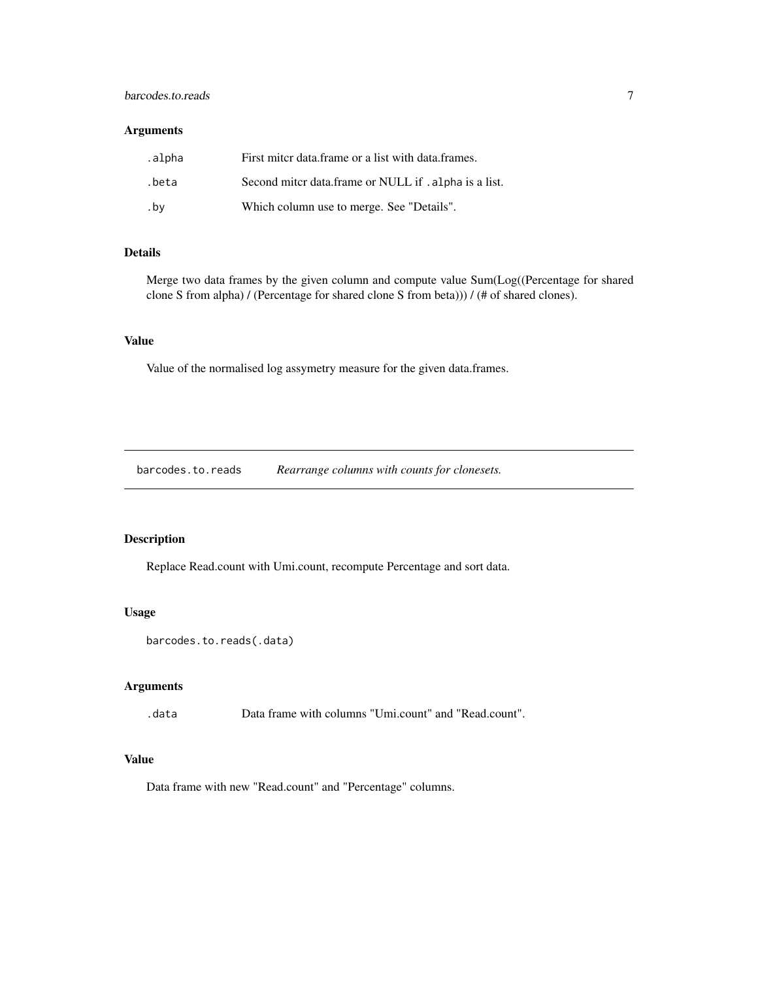# <span id="page-6-0"></span>barcodes.to.reads 7

# Arguments

| .alpha | First miter data frame or a list with data frames.    |
|--------|-------------------------------------------------------|
| .beta  | Second miter data.frame or NULL if . alpha is a list. |
| .bv    | Which column use to merge. See "Details".             |

# Details

Merge two data frames by the given column and compute value Sum(Log((Percentage for shared clone S from alpha) / (Percentage for shared clone S from beta))) / (# of shared clones).

# Value

Value of the normalised log assymetry measure for the given data.frames.

barcodes.to.reads *Rearrange columns with counts for clonesets.*

# Description

Replace Read.count with Umi.count, recompute Percentage and sort data.

# Usage

```
barcodes.to.reads(.data)
```
#### Arguments

.data Data frame with columns "Umi.count" and "Read.count".

# Value

Data frame with new "Read.count" and "Percentage" columns.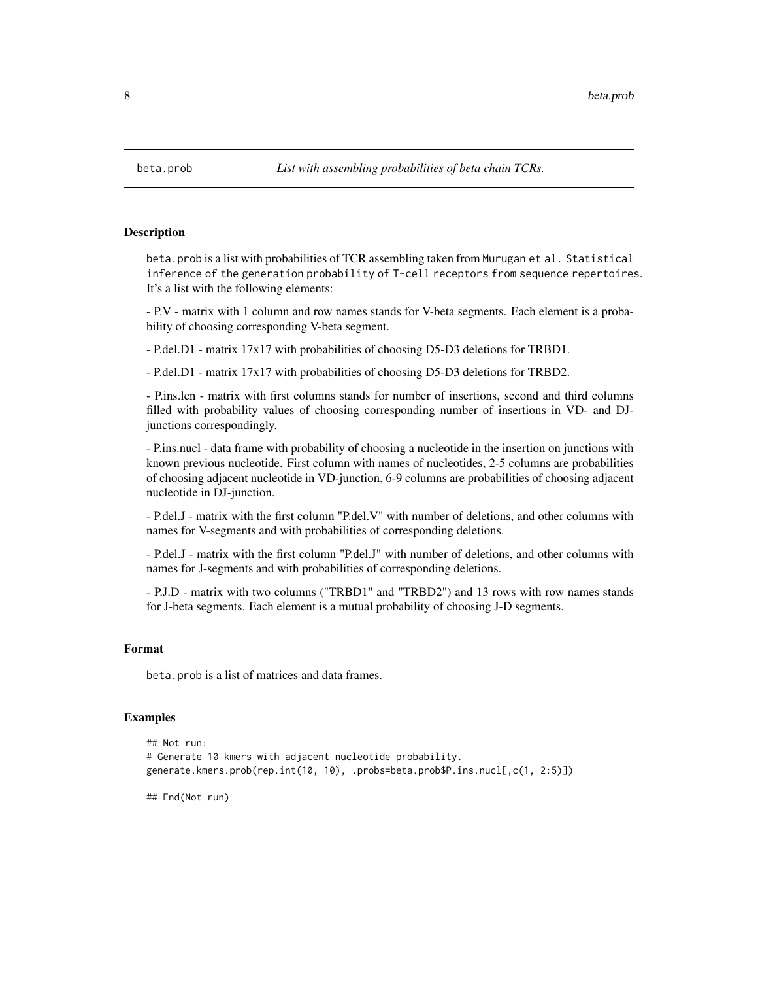beta.prob is a list with probabilities of TCR assembling taken from Murugan et al. Statistical inference of the generation probability of T-cell receptors from sequence repertoires. It's a list with the following elements:

- P.V - matrix with 1 column and row names stands for V-beta segments. Each element is a probability of choosing corresponding V-beta segment.

- P.del.D1 - matrix 17x17 with probabilities of choosing D5-D3 deletions for TRBD1.

- P.del.D1 - matrix 17x17 with probabilities of choosing D5-D3 deletions for TRBD2.

- P.ins.len - matrix with first columns stands for number of insertions, second and third columns filled with probability values of choosing corresponding number of insertions in VD- and DJjunctions correspondingly.

- P.ins.nucl - data frame with probability of choosing a nucleotide in the insertion on junctions with known previous nucleotide. First column with names of nucleotides, 2-5 columns are probabilities of choosing adjacent nucleotide in VD-junction, 6-9 columns are probabilities of choosing adjacent nucleotide in DJ-junction.

- P.del.J - matrix with the first column "P.del.V" with number of deletions, and other columns with names for V-segments and with probabilities of corresponding deletions.

- P.del.J - matrix with the first column "P.del.J" with number of deletions, and other columns with names for J-segments and with probabilities of corresponding deletions.

- P.J.D - matrix with two columns ("TRBD1" and "TRBD2") and 13 rows with row names stands for J-beta segments. Each element is a mutual probability of choosing J-D segments.

# Format

beta.prob is a list of matrices and data frames.

#### Examples

```
## Not run:
# Generate 10 kmers with adjacent nucleotide probability.
generate.kmers.prob(rep.int(10, 10), .probs=beta.prob$P.ins.nucl[,c(1, 2:5)])
```
## End(Not run)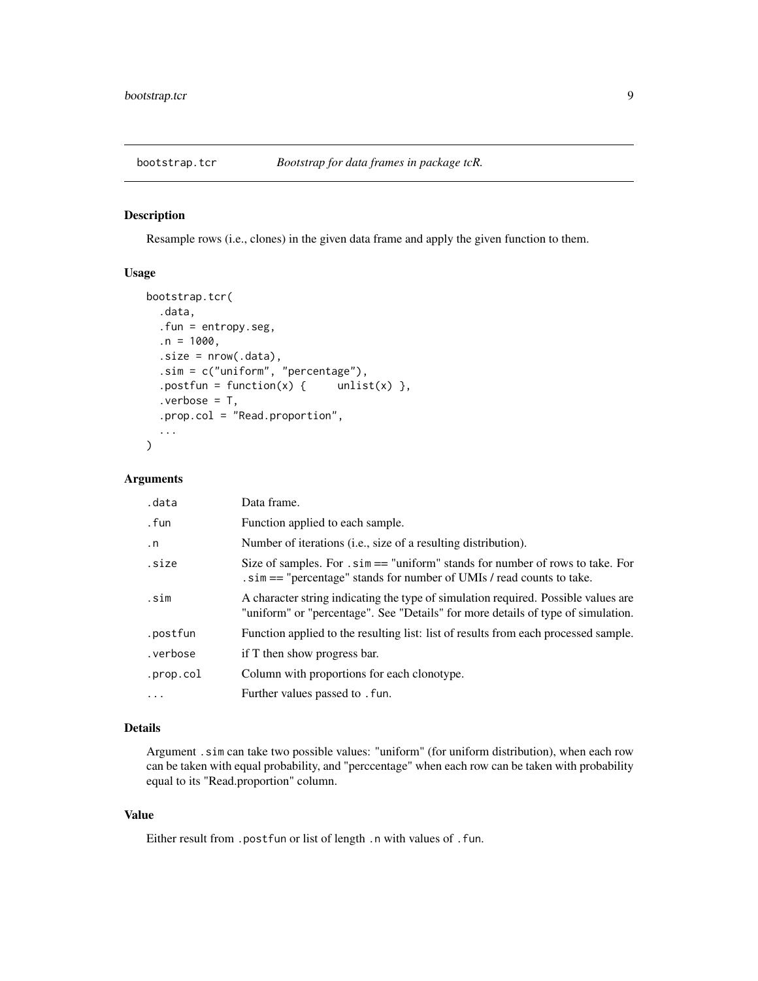<span id="page-8-0"></span>

Resample rows (i.e., clones) in the given data frame and apply the given function to them.

# Usage

```
bootstrap.tcr(
  .data,
  .fun = entropy.seg,
  .n = 1000,.size = nrow(.data),
  .sim = c("uniform", "percentage"),
  .postfun = function(x) { unlist(x) },
  verbose = T,
  .prop.col = "Read.proportion",
  ...
\mathcal{L}
```
#### Arguments

| .data     | Data frame.                                                                                                                                                            |
|-----------|------------------------------------------------------------------------------------------------------------------------------------------------------------------------|
| . fun     | Function applied to each sample.                                                                                                                                       |
| $\cdot$ n | Number of iterations (i.e., size of a resulting distribution).                                                                                                         |
| .size     | Size of samples. For $\sin ==$ "uniform" stands for number of rows to take. For<br>. sim = = "percentage" stands for number of UMIs / read counts to take.             |
| .sim      | A character string indicating the type of simulation required. Possible values are<br>"uniform" or "percentage". See "Details" for more details of type of simulation. |
| .postfun  | Function applied to the resulting list: list of results from each processed sample.                                                                                    |
| .verbose  | if T then show progress bar.                                                                                                                                           |
| .prop.col | Column with proportions for each clonotype.                                                                                                                            |
| .         | Further values passed to . fun.                                                                                                                                        |

#### Details

Argument .sim can take two possible values: "uniform" (for uniform distribution), when each row can be taken with equal probability, and "perccentage" when each row can be taken with probability equal to its "Read.proportion" column.

# Value

Either result from .postfun or list of length .n with values of .fun.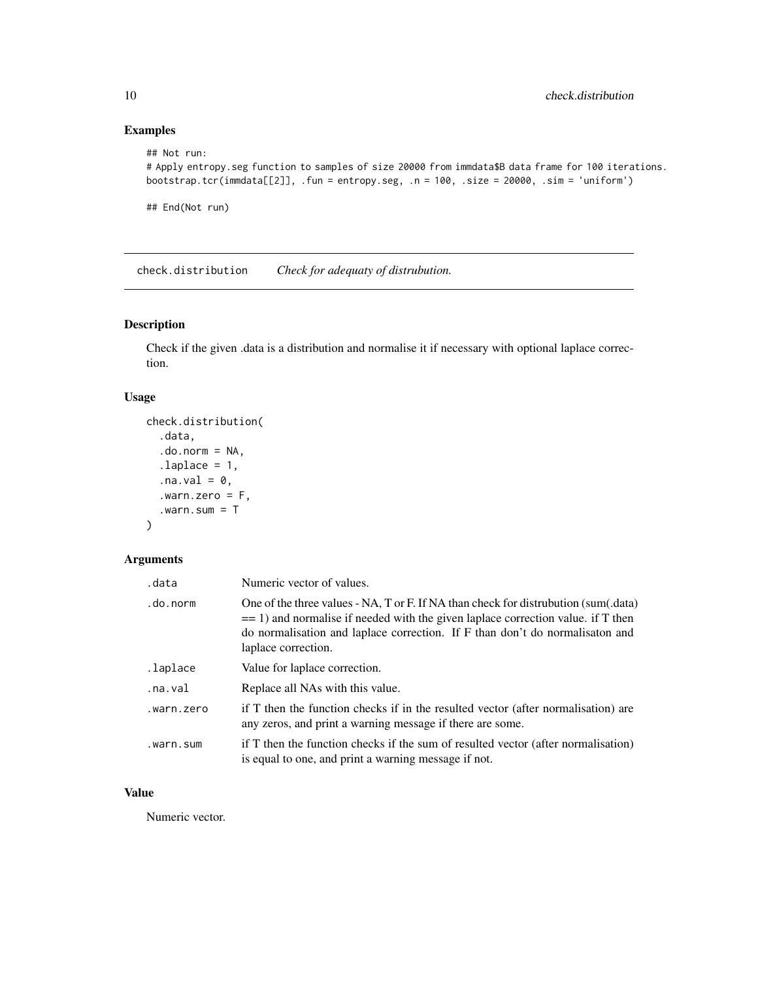# Examples

```
## Not run:
# Apply entropy.seg function to samples of size 20000 from immdata$B data frame for 100 iterations.
bootstrap.tcr(immdata[[2]], .fun = entropy.seg, .n = 100, .size = 20000, .sim = 'uniform')
## End(Not run)
```
check.distribution *Check for adequaty of distrubution.*

# Description

Check if the given .data is a distribution and normalise it if necessary with optional laplace correction.

# Usage

```
check.distribution(
  .data,
  .do.norm = NA,
  laplace = 1,
  .na.val = 0,
  .warn.zero = F,
  .warn.sum = T
)
```
# Arguments

| .data      | Numeric vector of values.                                                                                                                                                                                                                                                        |
|------------|----------------------------------------------------------------------------------------------------------------------------------------------------------------------------------------------------------------------------------------------------------------------------------|
| .do.norm   | One of the three values - NA, T or F. If NA than check for distrubution (sum(.data)<br>$=$ 1) and normalise if needed with the given laplace correction value. if T then<br>do normalisation and laplace correction. If F than don't do normalisation and<br>laplace correction. |
| .laplace   | Value for laplace correction.                                                                                                                                                                                                                                                    |
| .na.val    | Replace all NAs with this value.                                                                                                                                                                                                                                                 |
| .warn.zero | if T then the function checks if in the resulted vector (after normalisation) are<br>any zeros, and print a warning message if there are some.                                                                                                                                   |
| .warn.sum  | if T then the function checks if the sum of resulted vector (after normalisation)<br>is equal to one, and print a warning message if not.                                                                                                                                        |

# Value

Numeric vector.

<span id="page-9-0"></span>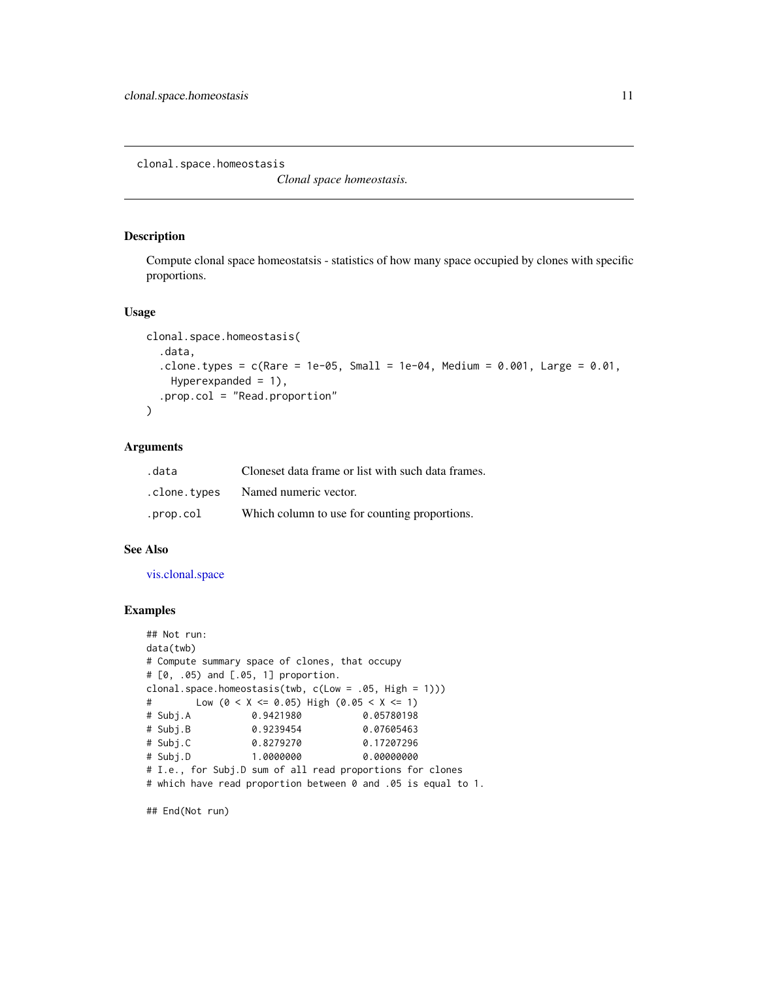<span id="page-10-0"></span>clonal.space.homeostasis

*Clonal space homeostasis.*

# Description

Compute clonal space homeostatsis - statistics of how many space occupied by clones with specific proportions.

# Usage

```
clonal.space.homeostasis(
  .data,
  .clone.types = c(Rare = 1e-05, Small = 1e-04, Medium = 0.001, Large = 0.01,
    Hyperexpanded = 1),
  .prop.col = "Read.proportion"
)
```
# Arguments

| .data        | Cloneset data frame or list with such data frames. |
|--------------|----------------------------------------------------|
| .clone.types | Named numeric vector.                              |
| .prop.col    | Which column to use for counting proportions.      |

#### See Also

[vis.clonal.space](#page-71-1)

#### Examples

```
## Not run:
data(twb)
# Compute summary space of clones, that occupy
# [0, .05) and [.05, 1] proportion.
clonal.space.homeostasis(twb, c(Low = .05, High = 1)))
# Low (0 < X <= 0.05) High (0.05 < X <= 1)
# Subj.A 0.9421980 0.05780198
# Subj.B 0.9239454 0.07605463
# Subj.C 0.8279270 0.17207296
# Subj.D 1.0000000 0.00000000
# I.e., for Subj.D sum of all read proportions for clones
# which have read proportion between 0 and .05 is equal to 1.
```
## End(Not run)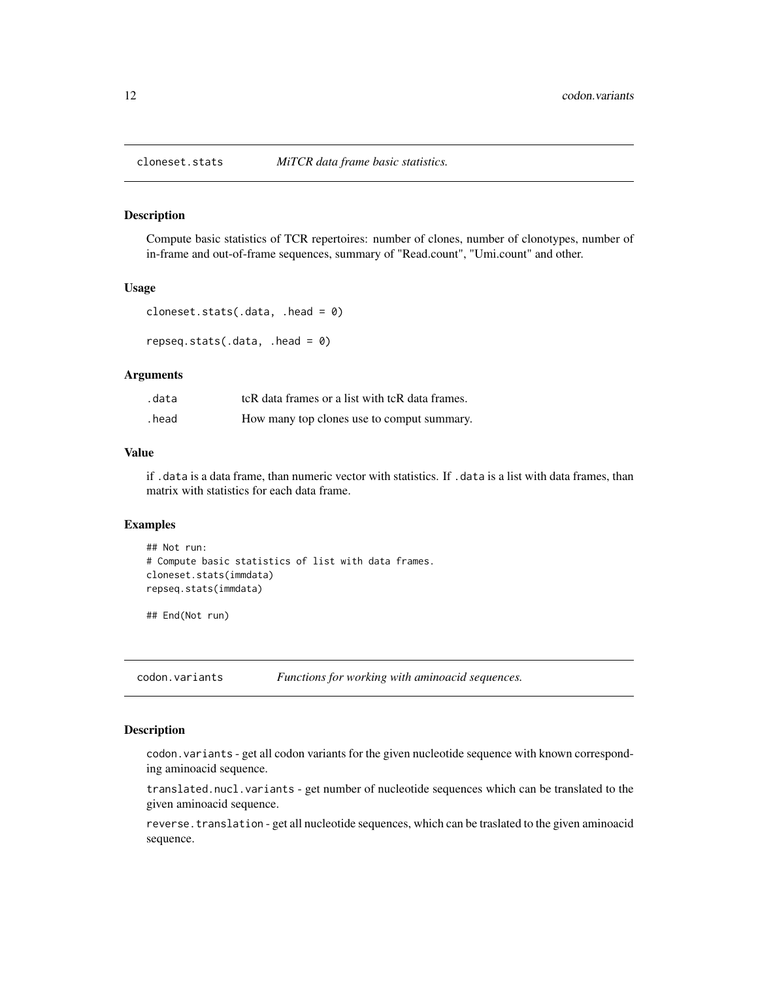<span id="page-11-0"></span>

Compute basic statistics of TCR repertoires: number of clones, number of clonotypes, number of in-frame and out-of-frame sequences, summary of "Read.count", "Umi.count" and other.

#### Usage

```
cloneset.stats(.data, .head = 0)
```
repseq.stats(.data, .head =  $0$ )

#### Arguments

| .data | tcR data frames or a list with tcR data frames. |
|-------|-------------------------------------------------|
| .head | How many top clones use to comput summary.      |

# Value

if .data is a data frame, than numeric vector with statistics. If .data is a list with data frames, than matrix with statistics for each data frame.

# Examples

```
## Not run:
# Compute basic statistics of list with data frames.
cloneset.stats(immdata)
repseq.stats(immdata)
```
## End(Not run)

codon.variants *Functions for working with aminoacid sequences.*

#### Description

codon.variants - get all codon variants for the given nucleotide sequence with known corresponding aminoacid sequence.

translated.nucl.variants - get number of nucleotide sequences which can be translated to the given aminoacid sequence.

reverse.translation - get all nucleotide sequences, which can be traslated to the given aminoacid sequence.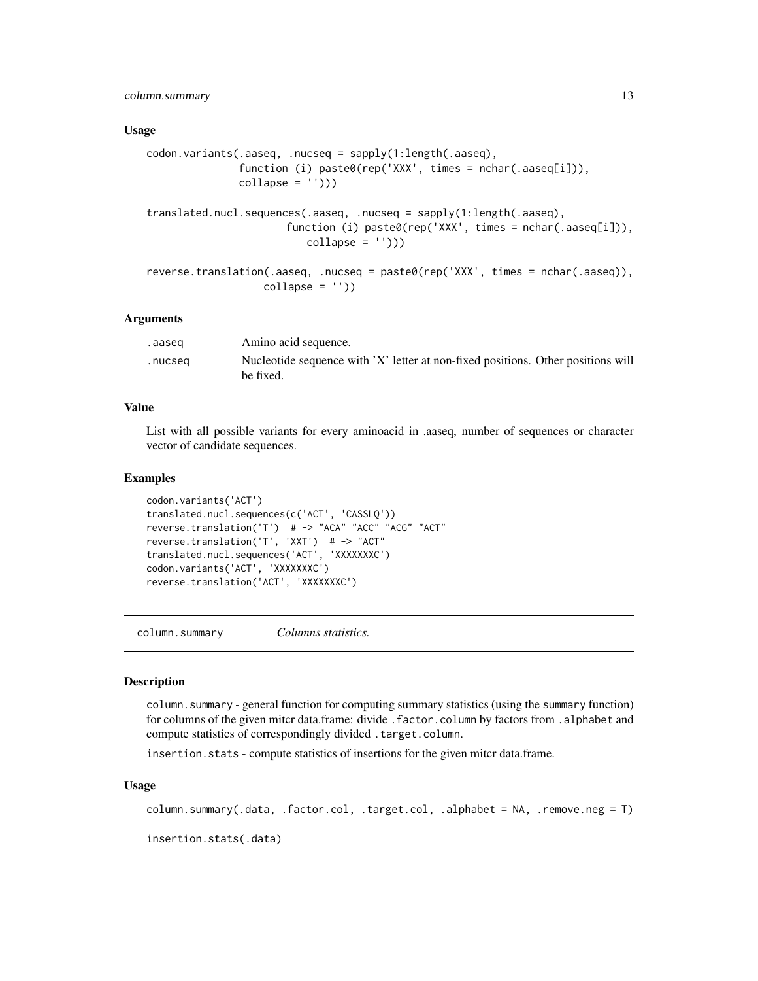# <span id="page-12-0"></span>column.summary 13

#### Usage

```
codon.variants(.aaseq, .nucseq = sapply(1:length(.aaseq),
               function (i) paste0(rep('XXX', times = nchar(.aaseq[i])),
               collapse = ''))
translated.nucl.sequences(.aaseq, .nucseq = sapply(1:length(.aaseq),
                      function (i) paste0(rep('XXX', times = nchar(.aaseq[i])),
                          collapse = ''))
reverse.translation(.aaseq, .nucseq = paste0(rep('XXX', times = nchar(.aaseq)),
                  collapse = '')
```
#### Arguments

| .aaseg  | Amino acid sequence.                                                                          |
|---------|-----------------------------------------------------------------------------------------------|
| .nucseq | Nucleotide sequence with 'X' letter at non-fixed positions. Other positions will<br>be fixed. |

#### Value

List with all possible variants for every aminoacid in .aaseq, number of sequences or character vector of candidate sequences.

# **Examples**

```
codon.variants('ACT')
translated.nucl.sequences(c('ACT', 'CASSLQ'))
reverse.translation('T') # -> "ACA" "ACC" "ACG" "ACT"
reverse.translation('T', 'XXT') # -> "ACT"
translated.nucl.sequences('ACT', 'XXXXXXXC')
codon.variants('ACT', 'XXXXXXXC')
reverse.translation('ACT', 'XXXXXXXC')
```
column.summary *Columns statistics.*

#### **Description**

column.summary - general function for computing summary statistics (using the summary function) for columns of the given mitcr data.frame: divide .factor.column by factors from .alphabet and compute statistics of correspondingly divided .target.column.

insertion.stats - compute statistics of insertions for the given mitcr data.frame.

#### Usage

column.summary(.data, .factor.col, .target.col, .alphabet = NA, .remove.neg = T)

insertion.stats(.data)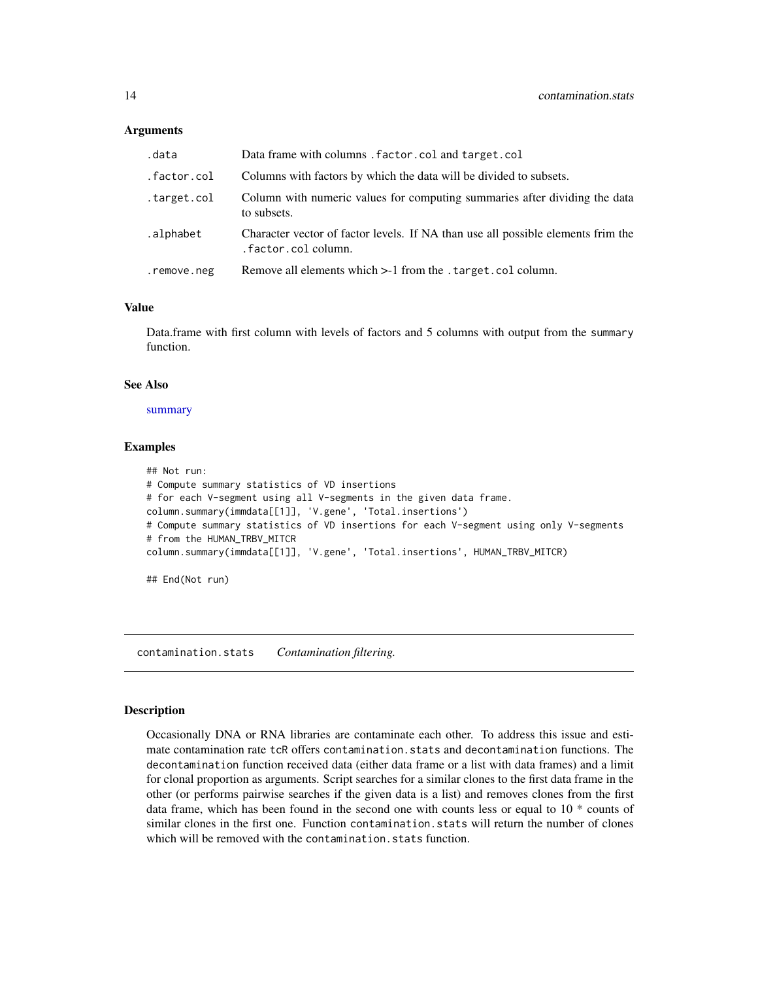#### <span id="page-13-0"></span>**Arguments**

| .data       | Data frame with columns. factor.col and target.col                                                      |
|-------------|---------------------------------------------------------------------------------------------------------|
| .factor.col | Columns with factors by which the data will be divided to subsets.                                      |
| .target.col | Column with numeric values for computing summaries after dividing the data<br>to subsets.               |
| .alphabet   | Character vector of factor levels. If NA than use all possible elements frim the<br>.factor.col column. |
| .remove.neg | Remove all elements which > -1 from the . target. col column.                                           |

#### Value

Data.frame with first column with levels of factors and 5 columns with output from the summary function.

# See Also

[summary](#page-0-0)

#### Examples

```
## Not run:
# Compute summary statistics of VD insertions
# for each V-segment using all V-segments in the given data frame.
column.summary(immdata[[1]], 'V.gene', 'Total.insertions')
# Compute summary statistics of VD insertions for each V-segment using only V-segments
# from the HUMAN_TRBV_MITCR
column.summary(immdata[[1]], 'V.gene', 'Total.insertions', HUMAN_TRBV_MITCR)
## End(Not run)
```
contamination.stats *Contamination filtering.*

# **Description**

Occasionally DNA or RNA libraries are contaminate each other. To address this issue and estimate contamination rate tcR offers contamination.stats and decontamination functions. The decontamination function received data (either data frame or a list with data frames) and a limit for clonal proportion as arguments. Script searches for a similar clones to the first data frame in the other (or performs pairwise searches if the given data is a list) and removes clones from the first data frame, which has been found in the second one with counts less or equal to 10 \* counts of similar clones in the first one. Function contamination. stats will return the number of clones which will be removed with the contamination. stats function.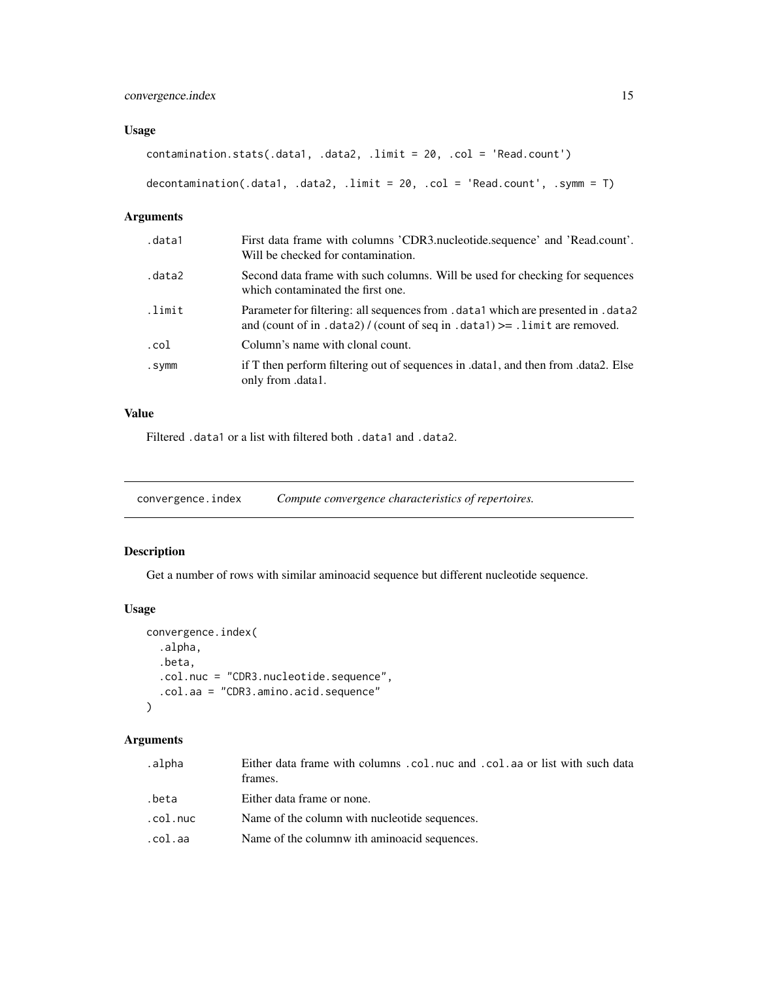# <span id="page-14-0"></span>convergence.index 15

# Usage

contamination.stats(.data1, .data2, .limit = 20, .col = 'Read.count')

decontamination(.data1, .data2, .limit = 20, .col = 'Read.count', .symm = T)

# Arguments

| .data1 | First data frame with columns 'CDR3.nucleotide.sequence' and 'Read.count'.<br>Will be checked for contamination.                                                    |
|--------|---------------------------------------------------------------------------------------------------------------------------------------------------------------------|
| .data2 | Second data frame with such columns. Will be used for checking for sequences<br>which contaminated the first one.                                                   |
| .limit | Parameter for filtering: all sequences from . data1 which are presented in . data2<br>and (count of in .data2) / (count of seq in .data1) $> =$ .limit are removed. |
| .col   | Column's name with clonal count.                                                                                                                                    |
| .symm  | if T then perform filtering out of sequences in .data1, and then from .data2. Else<br>only from .data1.                                                             |

# Value

Filtered .data1 or a list with filtered both .data1 and .data2.

convergence.index *Compute convergence characteristics of repertoires.*

# Description

Get a number of rows with similar aminoacid sequence but different nucleotide sequence.

# Usage

```
convergence.index(
  .alpha,
  .beta,
  .col.nuc = "CDR3.nucleotide.sequence",
  .col.aa = "CDR3.amino.acid.sequence"
)
```
# Arguments

| .alpha   | Either data frame with columns .col.nuc and .col.aa or list with such data<br>frames. |
|----------|---------------------------------------------------------------------------------------|
| .beta    | Either data frame or none.                                                            |
| .col.nuc | Name of the column with nucleotide sequences.                                         |
| .col.aa  | Name of the columnw ith aminoacid sequences.                                          |
|          |                                                                                       |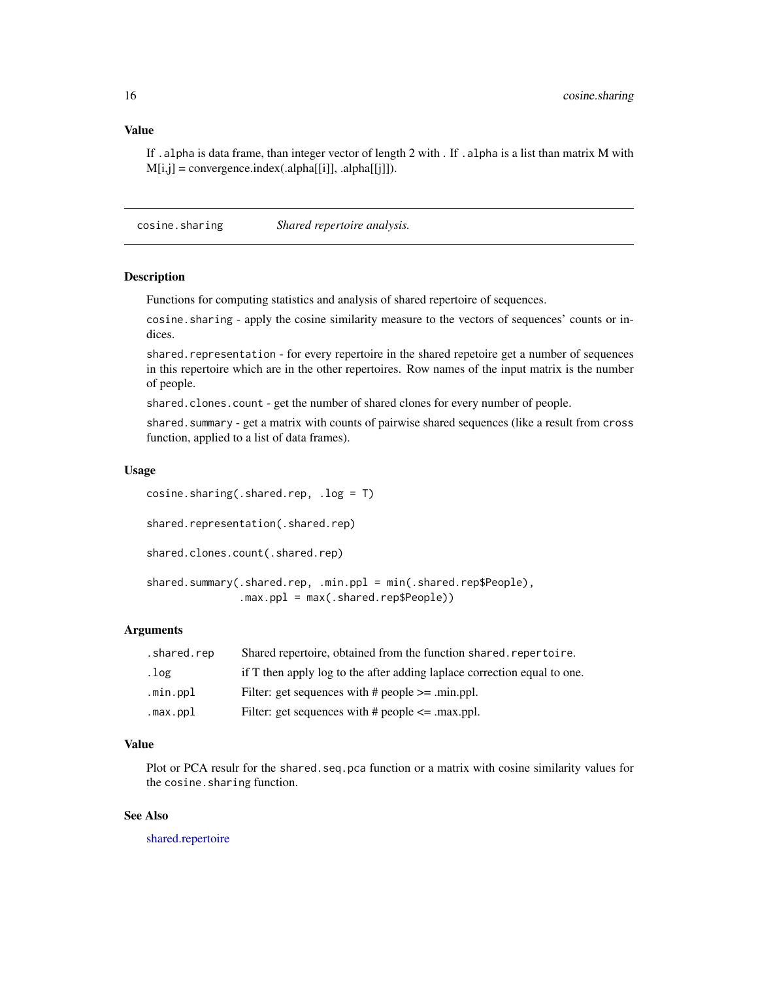<span id="page-15-0"></span>If .alpha is data frame, than integer vector of length 2 with . If .alpha is a list than matrix M with  $M[i,j] = convergence.index(.alpha[i]], .alpha[[j]]).$ 

cosine.sharing *Shared repertoire analysis.*

#### Description

Functions for computing statistics and analysis of shared repertoire of sequences.

cosine.sharing - apply the cosine similarity measure to the vectors of sequences' counts or indices.

shared.representation - for every repertoire in the shared repetoire get a number of sequences in this repertoire which are in the other repertoires. Row names of the input matrix is the number of people.

shared.clones.count - get the number of shared clones for every number of people.

shared.summary - get a matrix with counts of pairwise shared sequences (like a result from cross function, applied to a list of data frames).

#### Usage

```
cosine.sharing(.shared.rep, .log = T)
shared.representation(.shared.rep)
shared.clones.count(.shared.rep)
shared.summary(.shared.rep, .min.ppl = min(.shared.rep$People),
               .max.ppl = max(.shared.rep$People))
```
# Arguments

| .shared.rep | Shared repertoire, obtained from the function shared. repertoire.        |
|-------------|--------------------------------------------------------------------------|
| .log        | if T then apply log to the after adding laplace correction equal to one. |
| .min.ppl    | Filter: get sequences with $\#$ people $\ge$ - min.ppl.                  |
| .max.ppl    | Filter: get sequences with $\#$ people $\leq$ max.ppl.                   |

# Value

Plot or PCA resulr for the shared. seq. pca function or a matrix with cosine similarity values for the cosine.sharing function.

# See Also

[shared.repertoire](#page-63-1)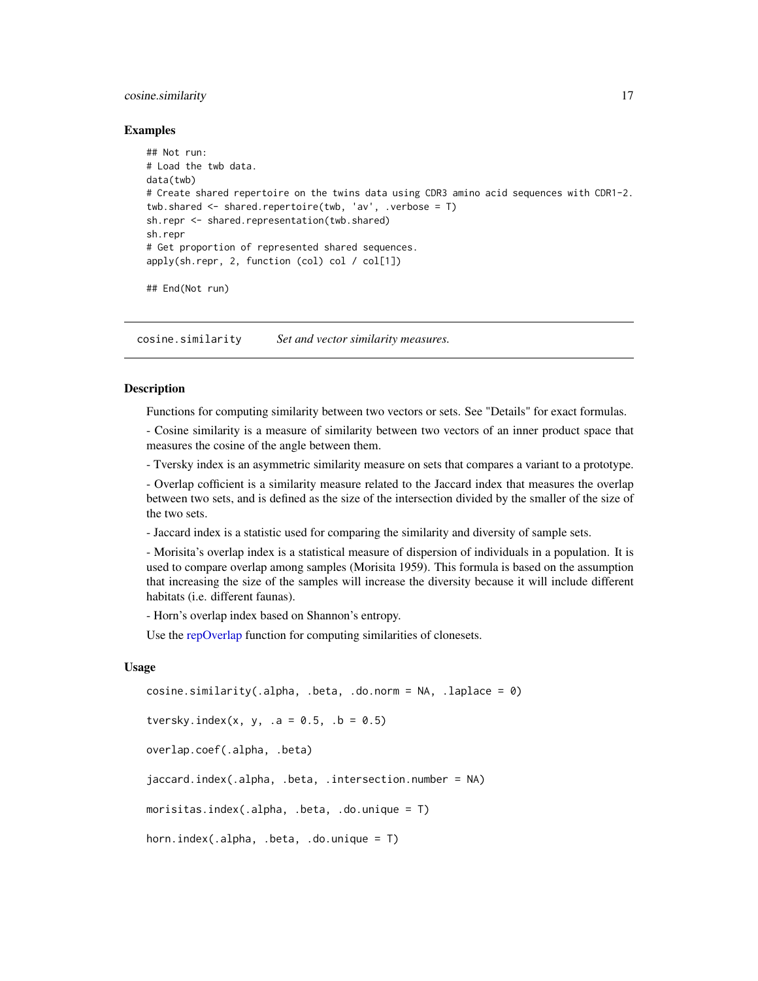#### <span id="page-16-0"></span>cosine.similarity 17

#### Examples

```
## Not run:
# Load the twb data.
data(twb)
# Create shared repertoire on the twins data using CDR3 amino acid sequences with CDR1-2.
twb.shared <- shared.repertoire(twb, 'av', .verbose = T)
sh.repr <- shared.representation(twb.shared)
sh.repr
# Get proportion of represented shared sequences.
apply(sh.repr, 2, function (col) col / col[1])
```
## End(Not run)

cosine.similarity *Set and vector similarity measures.*

#### <span id="page-16-1"></span>Description

Functions for computing similarity between two vectors or sets. See "Details" for exact formulas.

- Cosine similarity is a measure of similarity between two vectors of an inner product space that measures the cosine of the angle between them.

- Tversky index is an asymmetric similarity measure on sets that compares a variant to a prototype.

- Overlap cofficient is a similarity measure related to the Jaccard index that measures the overlap between two sets, and is defined as the size of the intersection divided by the smaller of the size of the two sets.

- Jaccard index is a statistic used for comparing the similarity and diversity of sample sets.

- Morisita's overlap index is a statistical measure of dispersion of individuals in a population. It is used to compare overlap among samples (Morisita 1959). This formula is based on the assumption that increasing the size of the samples will increase the diversity because it will include different habitats (i.e. different faunas).

- Horn's overlap index based on Shannon's entropy.

Use the [repOverlap](#page-52-1) function for computing similarities of clonesets.

#### Usage

```
cosine.similarity(.alpha, .beta, .do.norm = NA, .laplace = 0)
tversky.index(x, y, .a = 0.5, .b = 0.5)
overlap.coef(.alpha, .beta)
jaccard.index(.alpha, .beta, .intersection.number = NA)
morisitas.index(.alpha, .beta, .do.unique = T)
horn.index(.alpha, .beta, .do.unique = T)
```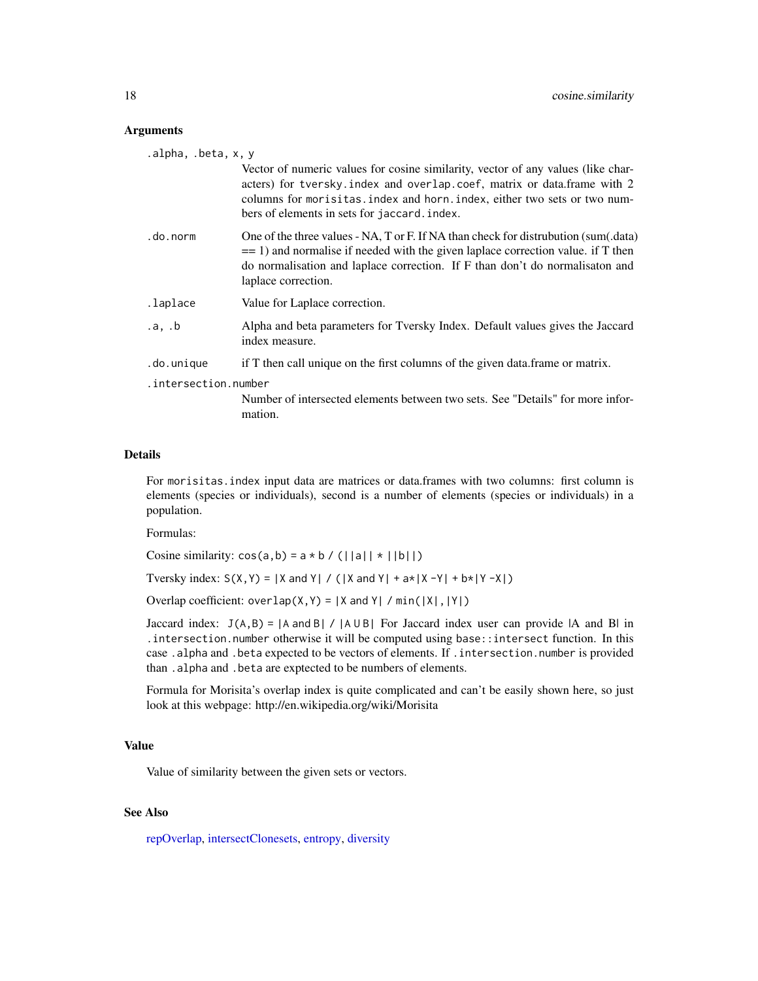#### **Arguments**

| .alpha, .beta, x, y  |                                                                                                                                                                                                                                                                                        |
|----------------------|----------------------------------------------------------------------------------------------------------------------------------------------------------------------------------------------------------------------------------------------------------------------------------------|
|                      | Vector of numeric values for cosine similarity, vector of any values (like char-<br>acters) for tversky index and overlap coef, matrix or data frame with 2<br>columns for morisitas.index and horn.index, either two sets or two num-<br>bers of elements in sets for jaccard. index. |
| .do.norm             | One of the three values - NA, T or F. If NA than check for distrubution (sum(.data)<br>$=$ 1) and normalise if needed with the given laplace correction value. if T then<br>do normalisation and laplace correction. If F than don't do normalisation and<br>laplace correction.       |
| .laplace             | Value for Laplace correction.                                                                                                                                                                                                                                                          |
| .a, b                | Alpha and beta parameters for Tversky Index. Default values gives the Jaccard<br>index measure.                                                                                                                                                                                        |
| .do.unique           | if T then call unique on the first columns of the given data. frame or matrix.                                                                                                                                                                                                         |
| .intersection.number |                                                                                                                                                                                                                                                                                        |
|                      | Number of intersected elements between two sets. See "Details" for more infor-<br>mation.                                                                                                                                                                                              |

### Details

For morisitas.index input data are matrices or data.frames with two columns: first column is elements (species or individuals), second is a number of elements (species or individuals) in a population.

Formulas:

Cosine similarity:  $cos(a, b) = a * b / (||a|| + ||b||)$ 

Tversky index:  $S(X, Y) = |X \text{ and } Y| / (|X \text{ and } Y| + a*|X - Y| + b*|Y - X|)$ 

Overlap coefficient: overlap $(X, Y) = |X \text{ and } Y| / \text{min}(|X|, |Y|)$ 

Jaccard index:  $J(A, B) = |A \text{ and } B| / |A \cup B|$  For Jaccard index user can provide  $|A \text{ and } B|$  in .intersection.number otherwise it will be computed using base::intersect function. In this case .alpha and .beta expected to be vectors of elements. If .intersection.number is provided than .alpha and .beta are exptected to be numbers of elements.

Formula for Morisita's overlap index is quite complicated and can't be easily shown here, so just look at this webpage: http://en.wikipedia.org/wiki/Morisita

#### Value

Value of similarity between the given sets or vectors.

# See Also

[repOverlap,](#page-52-1) [intersectClonesets,](#page-32-1) [entropy,](#page-18-1) [diversity](#page-34-1)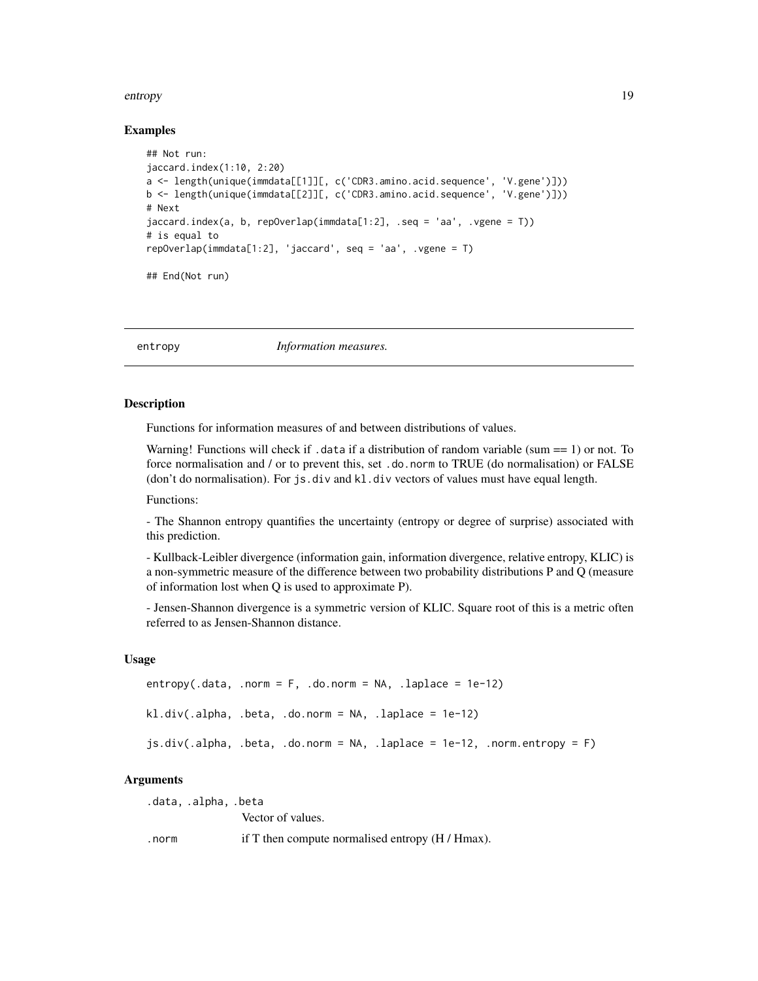#### <span id="page-18-0"></span>entropy and the control of the control of the control of the control of the control of the control of the control of the control of the control of the control of the control of the control of the control of the control of

#### Examples

```
## Not run:
jaccard.index(1:10, 2:20)
a <- length(unique(immdata[[1]][, c('CDR3.amino.acid.sequence', 'V.gene')]))
b <- length(unique(immdata[[2]][, c('CDR3.amino.acid.sequence', 'V.gene')]))
# Next
jaccard.index(a, b, repOverlap(immdata[1:2], .seq = 'aa', .vgene = T))
# is equal to
repOverlap(immdata[1:2], 'jaccard', seq = 'aa', .vgene = T)
## End(Not run)
```
<span id="page-18-1"></span>entropy *Information measures.*

#### **Description**

Functions for information measures of and between distributions of values.

Warning! Functions will check if .data if a distribution of random variable (sum == 1) or not. To force normalisation and / or to prevent this, set .do.norm to TRUE (do normalisation) or FALSE (don't do normalisation). For js.div and kl.div vectors of values must have equal length.

Functions:

- The Shannon entropy quantifies the uncertainty (entropy or degree of surprise) associated with this prediction.

- Kullback-Leibler divergence (information gain, information divergence, relative entropy, KLIC) is a non-symmetric measure of the difference between two probability distributions P and Q (measure of information lost when Q is used to approximate P).

- Jensen-Shannon divergence is a symmetric version of KLIC. Square root of this is a metric often referred to as Jensen-Shannon distance.

#### Usage

```
entropy(.data, .norm = F, .do.norm = NA, .laplace = 1e-12)kl.div(.alpha, .beta, .do.norm = NA, .laplace = 1e-12)js.div(.alpha, .beta, .do.norm = NA, .laplace = 1e-12, .norm.entropy = F)
```
#### Arguments

.data, .alpha, .beta Vector of values. .norm if T then compute normalised entropy (H / Hmax).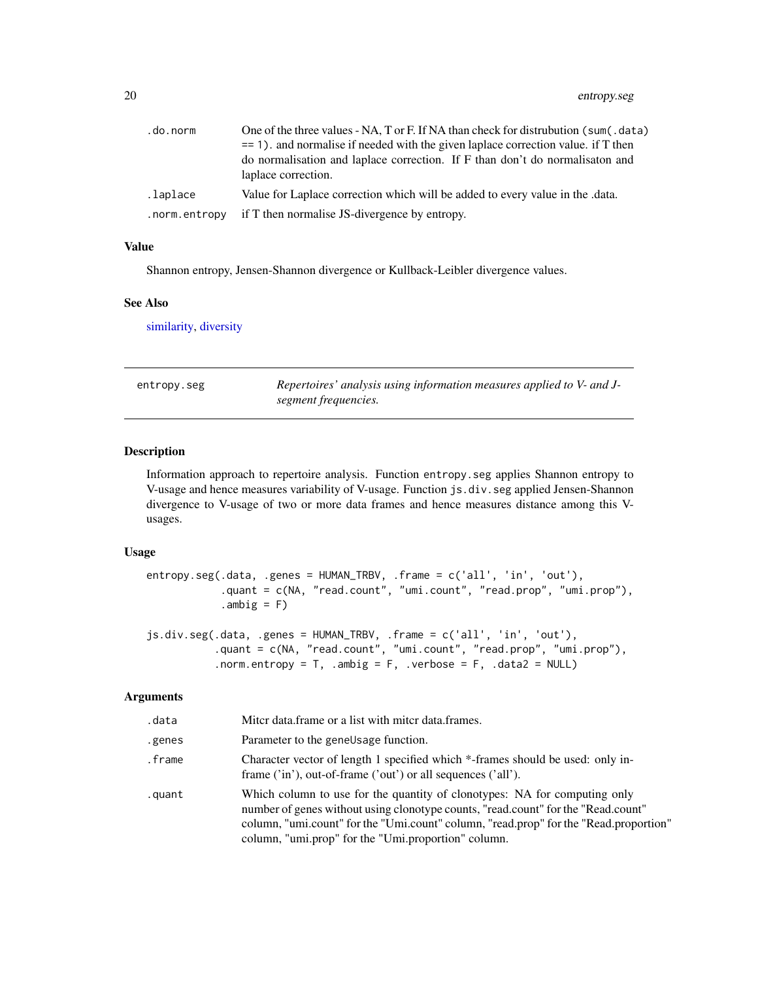<span id="page-19-0"></span>

| .do.norm      | One of the three values - NA, T or F. If NA than check for distrubution (sum(.data) |
|---------------|-------------------------------------------------------------------------------------|
|               | $=$ 1). and normalise if needed with the given laplace correction value. if T then  |
|               | do normalisation and laplace correction. If F than don't do normalisation and       |
|               | laplace correction.                                                                 |
| .laplace      | Value for Laplace correction which will be added to every value in the data.        |
| .norm.entropy | if T then normalise JS-divergence by entropy.                                       |

Shannon entropy, Jensen-Shannon divergence or Kullback-Leibler divergence values.

#### See Also

[similarity,](#page-16-1) [diversity](#page-34-1)

| entropy.seg | Repertoires' analysis using information measures applied to V- and J- |
|-------------|-----------------------------------------------------------------------|
|             | segment frequencies.                                                  |

# Description

Information approach to repertoire analysis. Function entropy.seg applies Shannon entropy to V-usage and hence measures variability of V-usage. Function js.div.seg applied Jensen-Shannon divergence to V-usage of two or more data frames and hence measures distance among this Vusages.

#### Usage

entropy.seg(.data, .genes = HUMAN\_TRBV, .frame = c('all', 'in', 'out'), .quant = c(NA, "read.count", "umi.count", "read.prop", "umi.prop"),  $.ambig = F)$ 

```
js.div.seg(.data, .genes = HUMAN_TRBV, .frame = c('all', 'in', 'out'),
           .quant = c(NA, "read.count", "umi.count", "read.prop", "umi.prop"),
           .norm.entropy = T, .ambig = F, .verbose = F, .data2 = NULL)
```
# Arguments

| .data  | Miter data frame or a list with miter data frames.                                                                                                                                                                                                                                                             |
|--------|----------------------------------------------------------------------------------------------------------------------------------------------------------------------------------------------------------------------------------------------------------------------------------------------------------------|
| .genes | Parameter to the geneUsage function.                                                                                                                                                                                                                                                                           |
| .frame | Character vector of length 1 specified which *-frames should be used: only in-<br>frame $('in')$ , out-of-frame $('out')$ or all sequences $('all')$ .                                                                                                                                                         |
| .quant | Which column to use for the quantity of clonotypes: NA for computing only<br>number of genes without using clonotype counts, "read.count" for the "Read.count"<br>column, "umi.count" for the "Umi.count" column, "read.prop" for the "Read.proportion"<br>column, "umi.prop" for the "Umi.proportion" column. |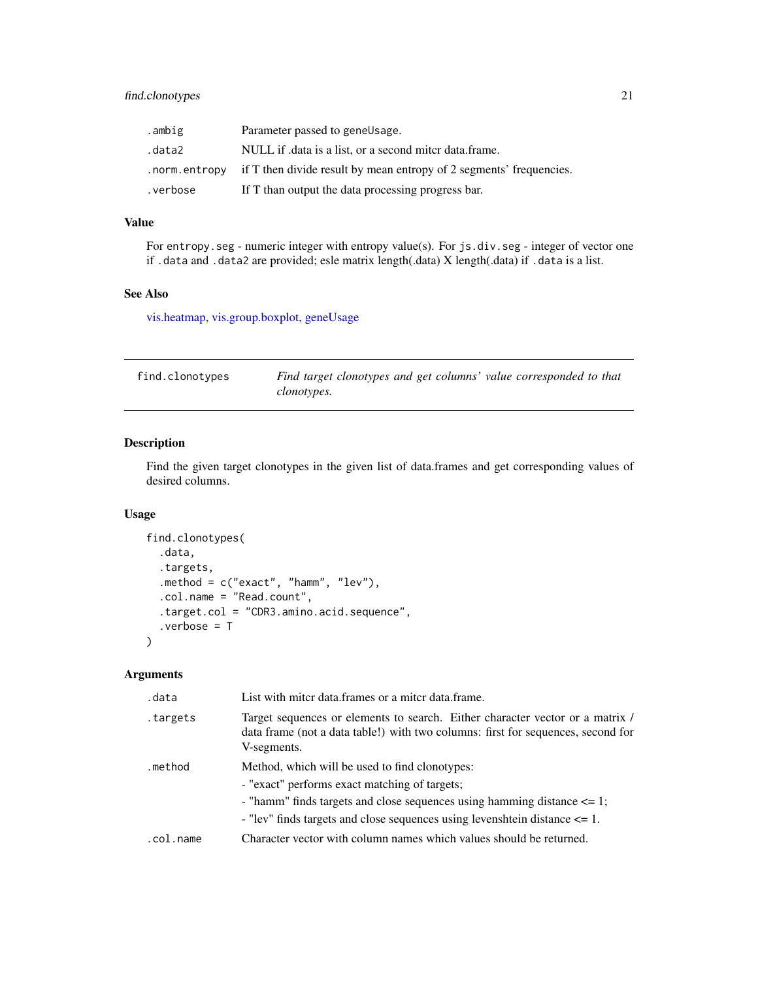<span id="page-20-0"></span>

| .ambig   | Parameter passed to gene Usage.                                                     |
|----------|-------------------------------------------------------------------------------------|
| .data2   | NULL if data is a list, or a second miter data.frame.                               |
|          | . norm. entropy if T then divide result by mean entropy of 2 segments' frequencies. |
| .verbose | If T than output the data processing progress bar.                                  |

For entropy.seg - numeric integer with entropy value(s). For js.div.seg - integer of vector one if .data and .data2 are provided; esle matrix length(.data) X length(.data) if .data is a list.

# See Also

[vis.heatmap,](#page-75-1) [vis.group.boxplot,](#page-74-1) [geneUsage](#page-25-1)

| find.clonotypes | Find target clonotypes and get columns' value corresponded to that |
|-----------------|--------------------------------------------------------------------|
|                 | <i>clonotypes.</i>                                                 |

# Description

Find the given target clonotypes in the given list of data.frames and get corresponding values of desired columns.

# Usage

```
find.clonotypes(
  .data,
  .targets,
  .method = c("exact", "hamm", "lev"),
  .col.name = "Read.count",
  .target.col = "CDR3.amino.acid.sequence",
  .verbose = T
\mathcal{L}
```
# Arguments

| .data     | List with miter data.frames or a miter data.frame.                                                                                                                                                                                                                   |
|-----------|----------------------------------------------------------------------------------------------------------------------------------------------------------------------------------------------------------------------------------------------------------------------|
| targets.  | Target sequences or elements to search. Either character vector or a matrix /<br>data frame (not a data table!) with two columns: first for sequences, second for<br>V-segments.                                                                                     |
| .method   | Method, which will be used to find clonotypes:<br>- "exact" performs exact matching of targets;<br>- "hamm" finds targets and close sequences using hamming distance $\leq 1$ ;<br>- "lev" finds targets and close sequences using levenshite in distance $\leq 1$ . |
| .col.name | Character vector with column names which values should be returned.                                                                                                                                                                                                  |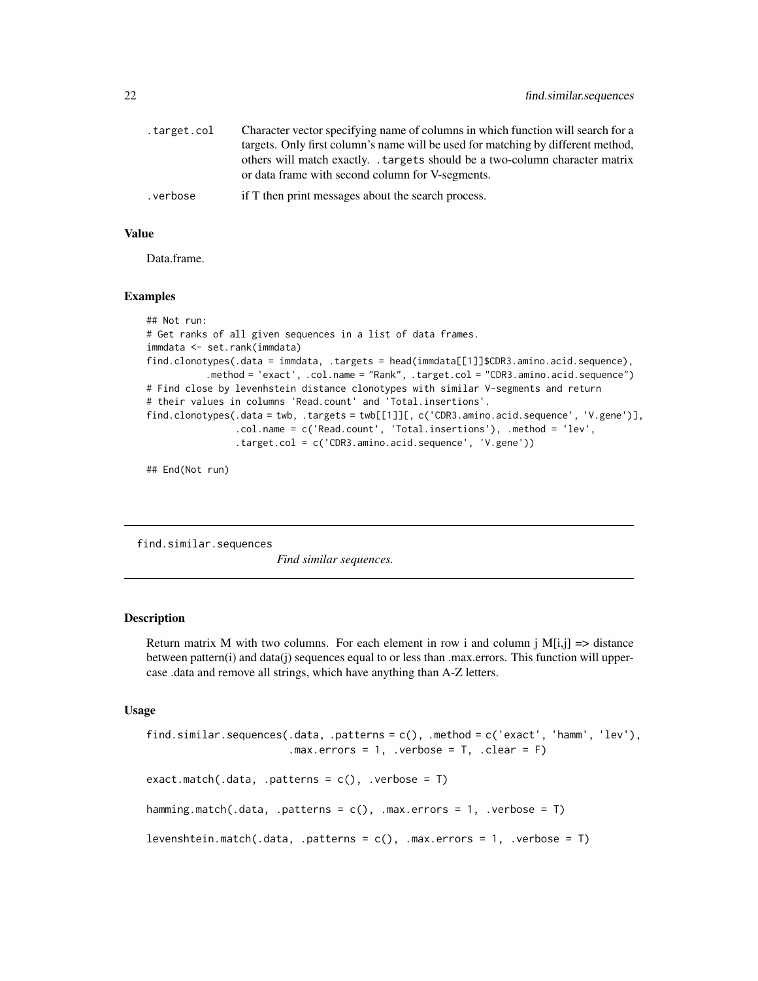<span id="page-21-0"></span>

| .target.col | Character vector specifying name of columns in which function will search for a<br>targets. Only first column's name will be used for matching by different method, |
|-------------|---------------------------------------------------------------------------------------------------------------------------------------------------------------------|
|             | others will match exactly. targets should be a two-column character matrix<br>or data frame with second column for V-segments.                                      |
| .verbose    | if T then print messages about the search process.                                                                                                                  |

Data.frame.

#### Examples

```
## Not run:
# Get ranks of all given sequences in a list of data frames.
immdata <- set.rank(immdata)
find.clonotypes(.data = immdata, .targets = head(immdata[[1]]$CDR3.amino.acid.sequence),
           .method = 'exact', .col.name = "Rank", .target.col = "CDR3.amino.acid.sequence")
# Find close by levenhstein distance clonotypes with similar V-segments and return
# their values in columns 'Read.count' and 'Total.insertions'.
find.clonotypes(.data = twb, .targets = twb[[1]][, c('CDR3.amino.acid.sequence', 'V.gene')],
                .col.name = c('Read.count', 'Total.insertions'), .method = 'lev',
                .target.col = c('CDR3.amino.acid.sequence', 'V.gene'))
```
## End(Not run)

find.similar.sequences

*Find similar sequences.*

#### Description

Return matrix M with two columns. For each element in row i and column j  $M[i,j] \Rightarrow$  distance between pattern(i) and data(j) sequences equal to or less than .max.errors. This function will uppercase .data and remove all strings, which have anything than A-Z letters.

#### Usage

```
find.similar.sequences(.data, .patterns = c(), .method = c('exact', 'hamm', 'lev'),.max.errors = 1, .verbose = T, .clear = F)
exact.match(.data, .patterns = c(), .verbose = T)
hamming.match(.data, .patterns = c(), .max.errors = 1, .verbose = T)
levenshtein.match(.data, .patterns = c(), .max.errors = 1, .verbose = T)
```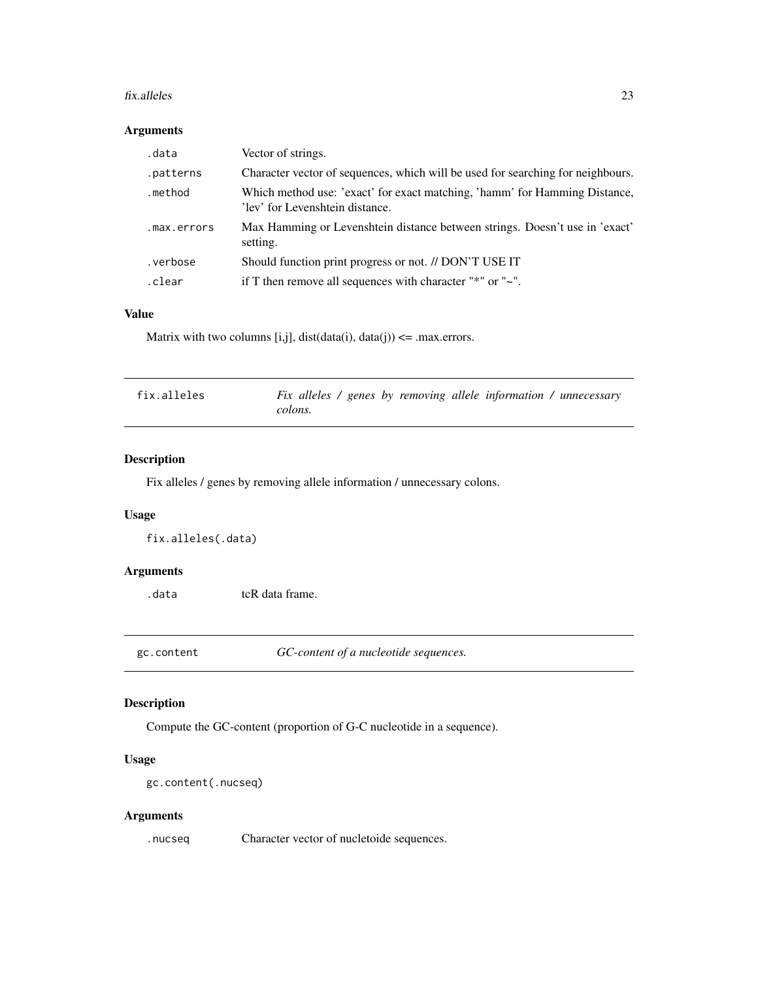#### <span id="page-22-0"></span>fix.alleles 23

#### Arguments

| .data       | Vector of strings.                                                                                            |
|-------------|---------------------------------------------------------------------------------------------------------------|
| .patterns   | Character vector of sequences, which will be used for searching for neighbours.                               |
| .method     | Which method use: 'exact' for exact matching, 'hamm' for Hamming Distance,<br>'lev' for Levenshtein distance. |
| .max.errors | Max Hamming or Levenshtein distance between strings. Doesn't use in 'exact'<br>setting.                       |
| .verbose    | Should function print progress or not. // DON'T USE IT                                                        |
| .clear      | if T then remove all sequences with character " $*$ " or " $\sim$ ".                                          |

# Value

Matrix with two columns [i,j], dist( $data(i)$ ,  $data(j)$ ) <= .max.errors.

| fix.alleles | Fix alleles / genes by removing allele information / unnecessary |
|-------------|------------------------------------------------------------------|
|             | colons.                                                          |

# Description

Fix alleles / genes by removing allele information / unnecessary colons.

# Usage

fix.alleles(.data)

# Arguments

.data tcR data frame.

gc.content *GC-content of a nucleotide sequences.*

# Description

Compute the GC-content (proportion of G-C nucleotide in a sequence).

# Usage

```
gc.content(.nucseq)
```
# Arguments

.nucseq Character vector of nucletoide sequences.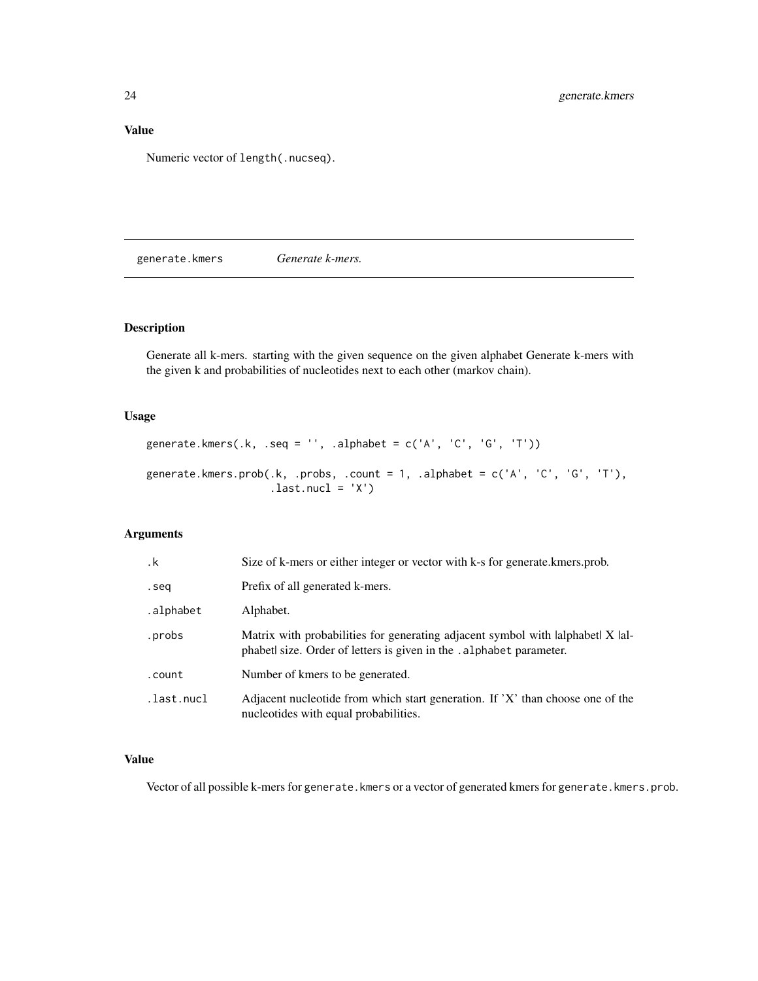<span id="page-23-0"></span>Numeric vector of length(.nucseq).

generate.kmers *Generate k-mers.*

# Description

Generate all k-mers. starting with the given sequence on the given alphabet Generate k-mers with the given k and probabilities of nucleotides next to each other (markov chain).

# Usage

```
generate.kmers(.k, .seq = '', .alphabet = c('A', 'C', 'G', 'T'))generate.kmers.prob(.k, .probs, .count = 1, .alphabet = c('A', 'C', 'G', 'T'),
                    .last.nucl = 'X')
```
# Arguments

| $\cdot$ k  | Size of k-mers or either integer or vector with k-s for generate. kmers, prob.                                                                        |
|------------|-------------------------------------------------------------------------------------------------------------------------------------------------------|
| .seq       | Prefix of all generated k-mers.                                                                                                                       |
| .alphabet  | Alphabet.                                                                                                                                             |
| .probs     | Matrix with probabilities for generating adjacent symbol with lalphabet X lal-<br>phabet size. Order of letters is given in the . alphabet parameter. |
| .count     | Number of kmers to be generated.                                                                                                                      |
| .last.nucl | Adjacent nucleotide from which start generation. If 'X' than choose one of the<br>nucleotides with equal probabilities.                               |

# Value

Vector of all possible k-mers for generate.kmers or a vector of generated kmers for generate.kmers.prob.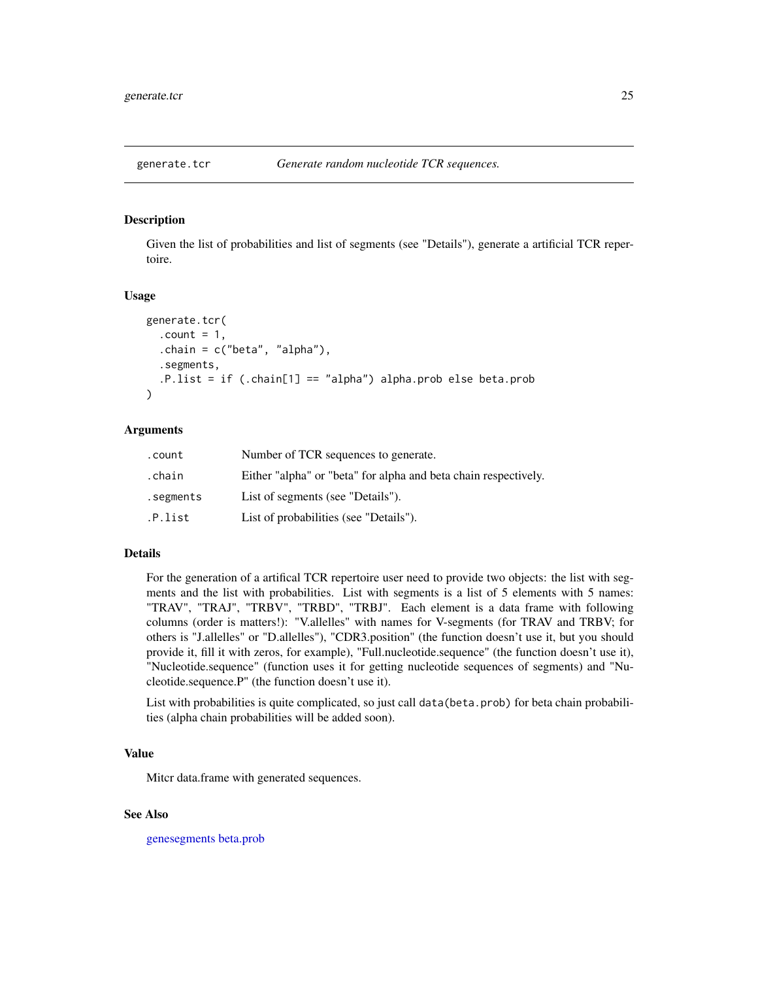<span id="page-24-0"></span>

Given the list of probabilities and list of segments (see "Details"), generate a artificial TCR repertoire.

#### Usage

```
generate.tcr(
  .count = 1,
  chain = c("beta", "alpha"),.segments,
  .P.list = if (.chain[1] == "alpha") alpha.prob else beta.prob
)
```
# Arguments

| .count    | Number of TCR sequences to generate.                            |
|-----------|-----------------------------------------------------------------|
| .chain    | Either "alpha" or "beta" for alpha and beta chain respectively. |
| .segments | List of segments (see "Details").                               |
| .P.list   | List of probabilities (see "Details").                          |

# Details

For the generation of a artifical TCR repertoire user need to provide two objects: the list with segments and the list with probabilities. List with segments is a list of 5 elements with 5 names: "TRAV", "TRAJ", "TRBV", "TRBD", "TRBJ". Each element is a data frame with following columns (order is matters!): "V.allelles" with names for V-segments (for TRAV and TRBV; for others is "J.allelles" or "D.allelles"), "CDR3.position" (the function doesn't use it, but you should provide it, fill it with zeros, for example), "Full.nucleotide.sequence" (the function doesn't use it), "Nucleotide.sequence" (function uses it for getting nucleotide sequences of segments) and "Nucleotide.sequence.P" (the function doesn't use it).

List with probabilities is quite complicated, so just call data(beta.prob) for beta chain probabilities (alpha chain probabilities will be added soon).

#### Value

Mitcr data.frame with generated sequences.

#### See Also

[genesegments](#page-59-1) [beta.prob](#page-7-1)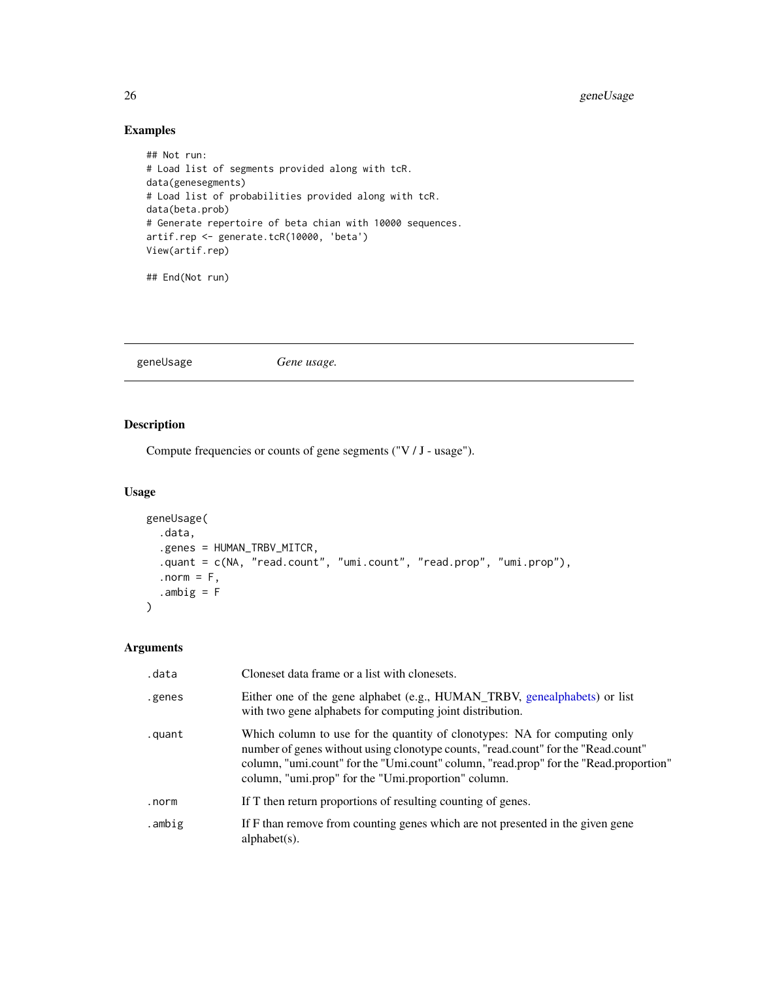# Examples

```
## Not run:
# Load list of segments provided along with tcR.
data(genesegments)
# Load list of probabilities provided along with tcR.
data(beta.prob)
# Generate repertoire of beta chian with 10000 sequences.
artif.rep <- generate.tcR(10000, 'beta')
View(artif.rep)
```
## End(Not run)

<span id="page-25-1"></span>geneUsage *Gene usage.*

# Description

Compute frequencies or counts of gene segments ("V / J - usage").

#### Usage

```
geneUsage(
  .data,
  .genes = HUMAN_TRBV_MITCR,
  .quant = c(NA, "read.count", "umi.count", "read.prop", "umi.prop"),
  .norm = F,
  .ambig = F\overline{\phantom{a}}
```
# Arguments

| .data  | Cloneset data frame or a list with clonesets.                                                                                                                                                                                                                                                                  |
|--------|----------------------------------------------------------------------------------------------------------------------------------------------------------------------------------------------------------------------------------------------------------------------------------------------------------------|
| .genes | Either one of the gene alphabet (e.g., HUMAN_TRBV, genealphabets) or list<br>with two gene alphabets for computing joint distribution.                                                                                                                                                                         |
| .quant | Which column to use for the quantity of clonotypes: NA for computing only<br>number of genes without using clonotype counts, "read.count" for the "Read.count"<br>column, "umi.count" for the "Umi.count" column, "read.prop" for the "Read.proportion"<br>column, "umi.prop" for the "Umi.proportion" column. |
| .norm  | If T then return proportions of resulting counting of genes.                                                                                                                                                                                                                                                   |
| .ambig | If F than remove from counting genes which are not presented in the given gene<br>alphabet $(s)$ .                                                                                                                                                                                                             |

<span id="page-25-0"></span>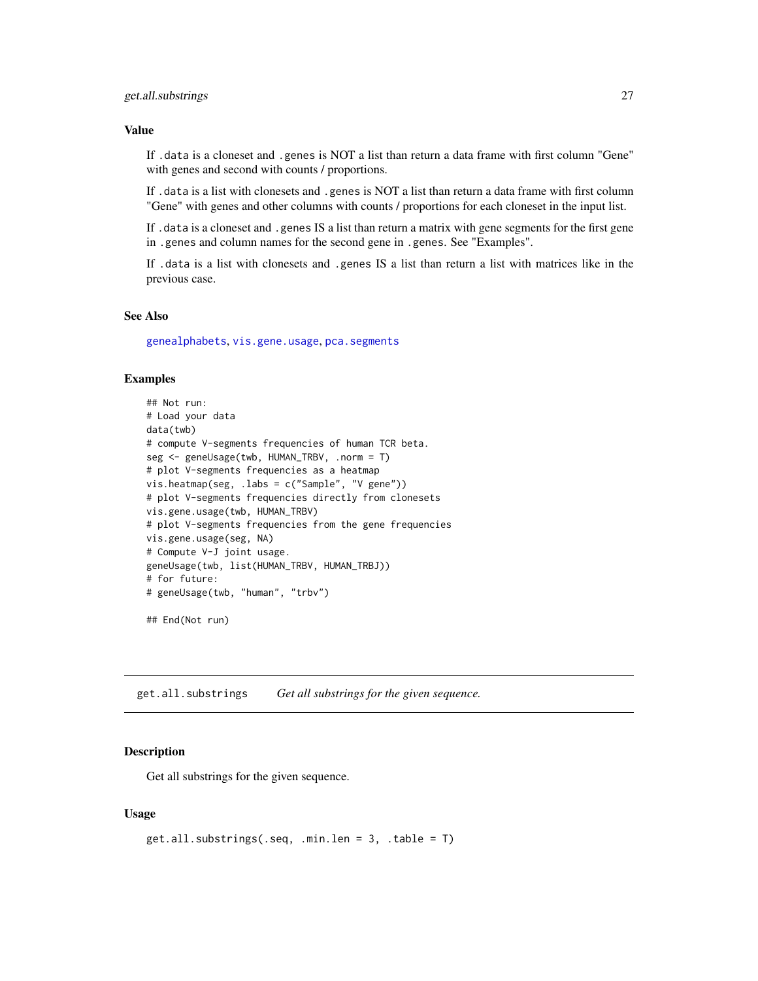<span id="page-26-0"></span>If .data is a cloneset and .genes is NOT a list than return a data frame with first column "Gene" with genes and second with counts / proportions.

If .data is a list with clonesets and .genes is NOT a list than return a data frame with first column "Gene" with genes and other columns with counts / proportions for each cloneset in the input list.

If .data is a cloneset and .genes IS a list than return a matrix with gene segments for the first gene in .genes and column names for the second gene in .genes. See "Examples".

If .data is a list with clonesets and .genes IS a list than return a list with matrices like in the previous case.

#### See Also

[genealphabets](#page-57-1), [vis.gene.usage](#page-73-1), [pca.segments](#page-45-1)

#### Examples

```
## Not run:
# Load your data
data(twb)
# compute V-segments frequencies of human TCR beta.
seg <- geneUsage(twb, HUMAN_TRBV, .norm = T)
# plot V-segments frequencies as a heatmap
vis.heatmap(seg, .labs = c("Sample", "V gene"))
# plot V-segments frequencies directly from clonesets
vis.gene.usage(twb, HUMAN_TRBV)
# plot V-segments frequencies from the gene frequencies
vis.gene.usage(seg, NA)
# Compute V-J joint usage.
geneUsage(twb, list(HUMAN_TRBV, HUMAN_TRBJ))
# for future:
# geneUsage(twb, "human", "trbv")
## End(Not run)
```
get.all.substrings *Get all substrings for the given sequence.*

#### **Description**

Get all substrings for the given sequence.

#### Usage

```
get.all.substrings(.seq, .min.len = 3, .table = T)
```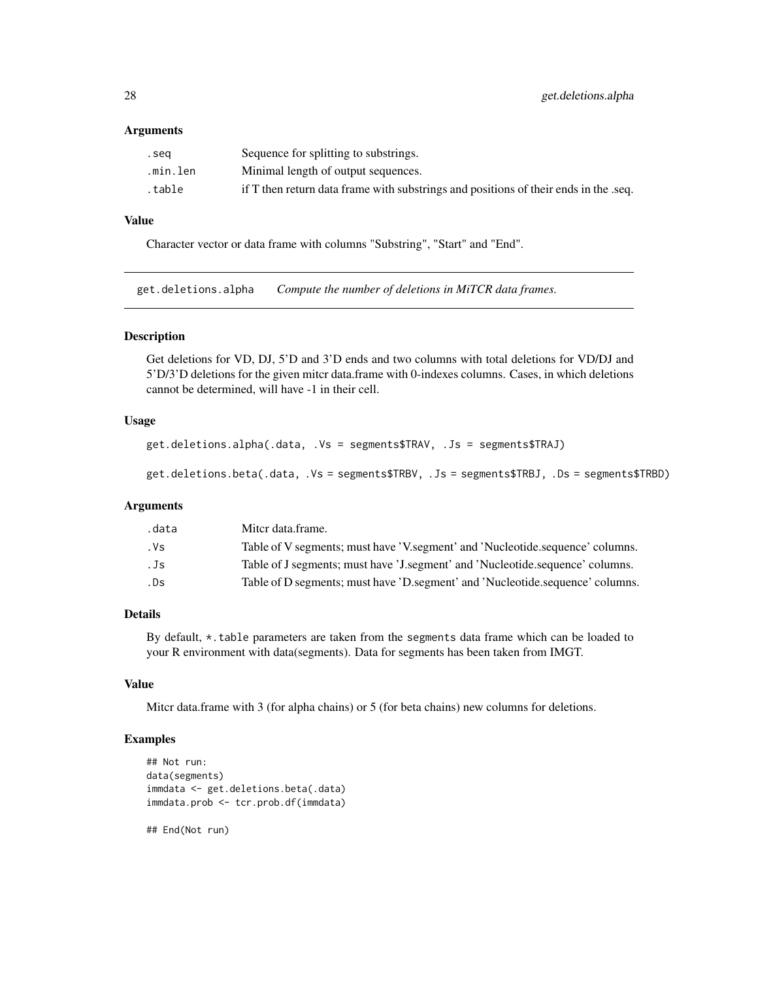#### <span id="page-27-0"></span>Arguments

| .seg     | Sequence for splitting to substrings.                                               |
|----------|-------------------------------------------------------------------------------------|
| .min.len | Minimal length of output sequences.                                                 |
| .table   | if T then return data frame with substrings and positions of their ends in the seq. |

# Value

Character vector or data frame with columns "Substring", "Start" and "End".

get.deletions.alpha *Compute the number of deletions in MiTCR data frames.*

#### Description

Get deletions for VD, DJ, 5'D and 3'D ends and two columns with total deletions for VD/DJ and 5'D/3'D deletions for the given mitcr data.frame with 0-indexes columns. Cases, in which deletions cannot be determined, will have -1 in their cell.

#### Usage

```
get.deletions.alpha(.data, .Vs = segments$TRAV, .Js = segments$TRAJ)
```
get.deletions.beta(.data, .Vs = segments\$TRBV, .Js = segments\$TRBJ, .Ds = segments\$TRBD)

#### Arguments

| .data | Mitcr data frame.                                                             |
|-------|-------------------------------------------------------------------------------|
| . Vs  | Table of V segments; must have 'V segment' and 'Nucleotide sequence' columns. |
| . Js  | Table of J segments; must have 'J segment' and 'Nucleotide.sequence' columns. |
| .Ds   | Table of D segments; must have 'D segment' and 'Nucleotide sequence' columns. |
|       |                                                                               |

# Details

By default, \*.table parameters are taken from the segments data frame which can be loaded to your R environment with data(segments). Data for segments has been taken from IMGT.

# Value

Mitcr data.frame with 3 (for alpha chains) or 5 (for beta chains) new columns for deletions.

#### Examples

```
## Not run:
data(segments)
immdata <- get.deletions.beta(.data)
immdata.prob <- tcr.prob.df(immdata)
```
## End(Not run)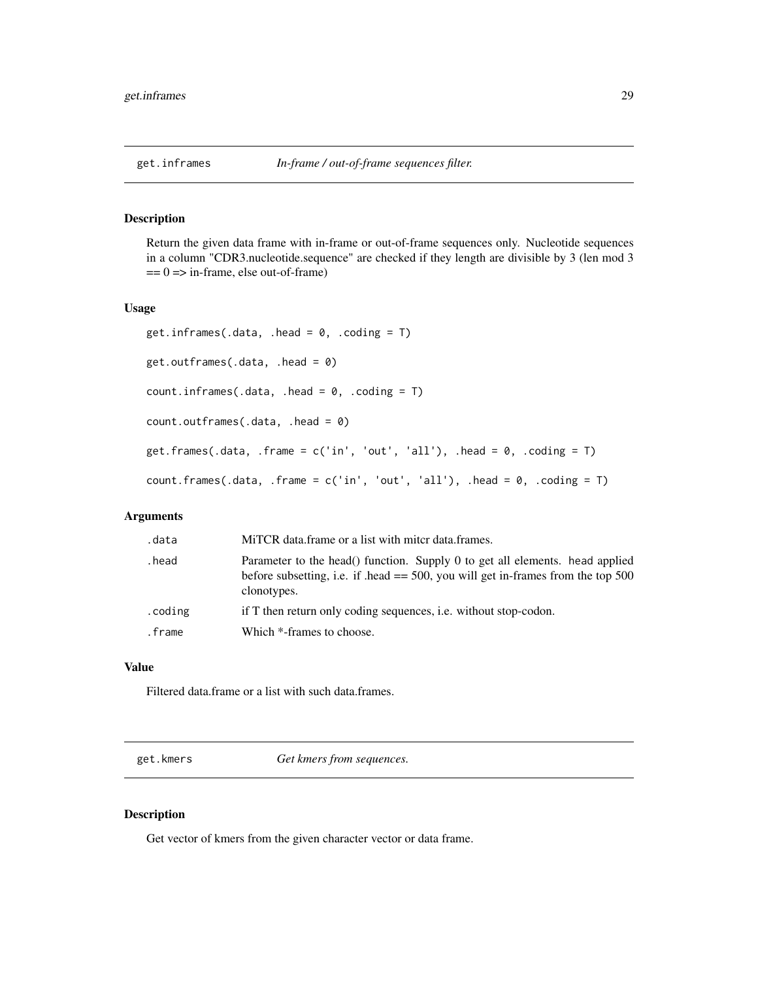<span id="page-28-0"></span>Return the given data frame with in-frame or out-of-frame sequences only. Nucleotide sequences in a column "CDR3.nucleotide.sequence" are checked if they length are divisible by 3 (len mod 3  $== 0$  => in-frame, else out-of-frame)

#### Usage

```
get.inframes(.data, .head = 0, .coding = T)
get.outframes(.data, .head = 0)
count.inframes(.data, .head = 0, .coding = T)
count.outframes(.data, .head = 0)
get.frames(.data, .frame = c('in', 'out', 'all'), .head = 0, .coding = T)
count.frames(.data, .frame = c('in', 'out', 'all'), .head = 0, .coding = T)
```
#### Arguments

| .data   | MITCR data frame or a list with mitcr data frames.                                                                                                                                |
|---------|-----------------------------------------------------------------------------------------------------------------------------------------------------------------------------------|
| .head   | Parameter to the head() function. Supply 0 to get all elements. head applied<br>before subsetting, i.e. if head $== 500$ , you will get in-frames from the top 500<br>clonotypes. |
| .coding | if T then return only coding sequences, i.e. without stop-codon.                                                                                                                  |
| .frame  | Which *-frames to choose.                                                                                                                                                         |

# Value

Filtered data.frame or a list with such data.frames.

get.kmers *Get kmers from sequences.*

#### Description

Get vector of kmers from the given character vector or data frame.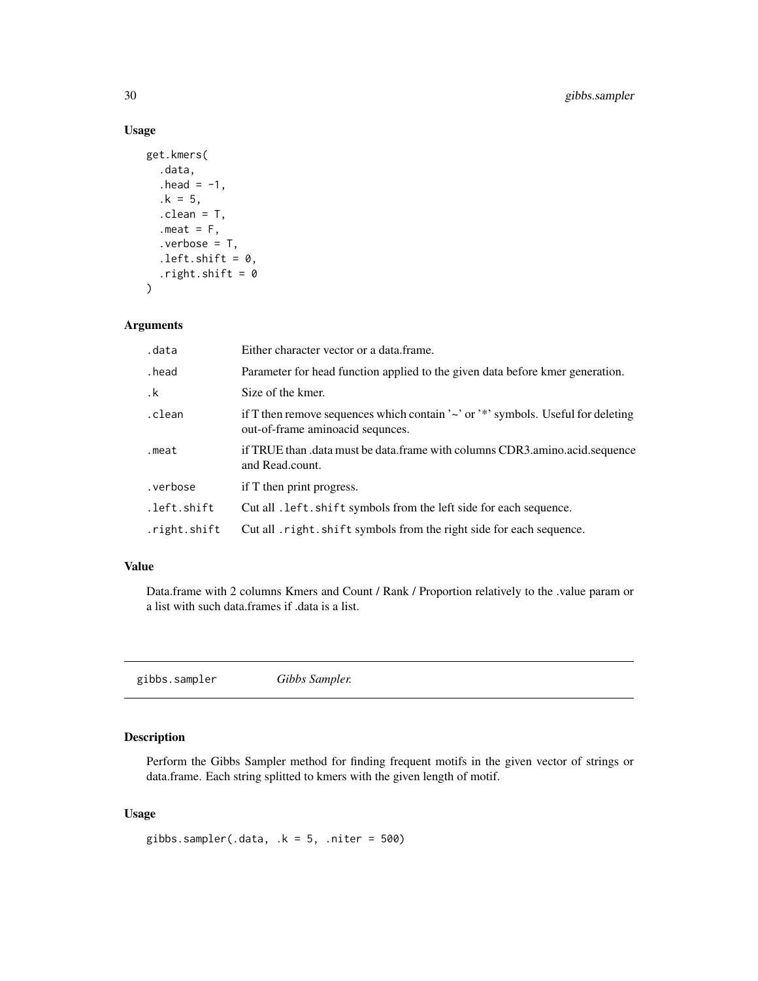# Usage

```
get.kmers(
  .data,
  head = -1,
  .k = 5,
  .clean = T,
  .meat = F,
  verbose = T,
  .left.shift = 0,
  .right.shift = 0\mathcal{L}
```
# Arguments

| .data        | Either character vector or a data frame.                                                                                    |
|--------------|-----------------------------------------------------------------------------------------------------------------------------|
| .head        | Parameter for head function applied to the given data before kmer generation.                                               |
| $\cdot$ k    | Size of the kmer.                                                                                                           |
| .clean       | if T then remove sequences which contain ' $\sim$ ' or '*' symbols. Useful for deleting<br>out-of-frame aminoacid sequnces. |
| .meat        | if TRUE than .data must be data.frame with columns CDR3.amino.acid.sequence<br>and Read.count.                              |
| .verbose     | if T then print progress.                                                                                                   |
| .left.shift  | Cut all . left. shift symbols from the left side for each sequence.                                                         |
| .right.shift | Cut all right. shift symbols from the right side for each sequence.                                                         |

# Value

Data.frame with 2 columns Kmers and Count / Rank / Proportion relatively to the .value param or a list with such data.frames if .data is a list.

gibbs.sampler *Gibbs Sampler.*

# Description

Perform the Gibbs Sampler method for finding frequent motifs in the given vector of strings or data.frame. Each string splitted to kmers with the given length of motif.

#### Usage

gibbs.sampler(.data,  $k = 5$ , .niter = 500)

<span id="page-29-0"></span>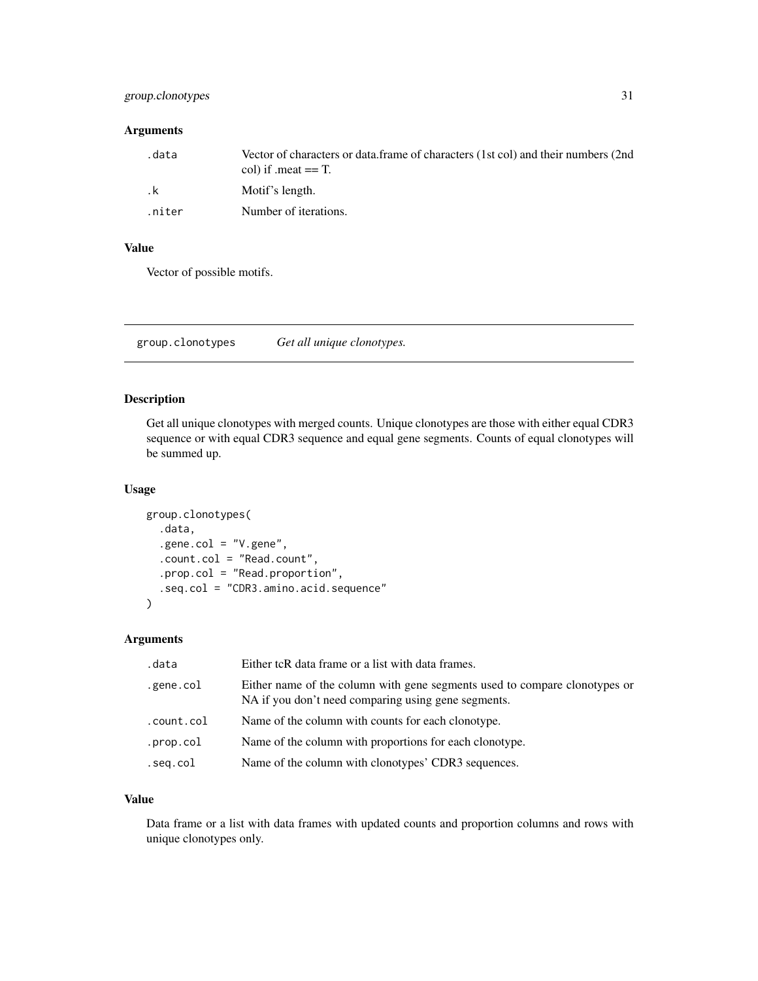# <span id="page-30-0"></span>group.clonotypes 31

# Arguments

| data.  | Vector of characters or data.frame of characters (1st col) and their numbers (2nd<br>col) if .meat $==$ T. |
|--------|------------------------------------------------------------------------------------------------------------|
| . k    | Motif's length.                                                                                            |
| .niter | Number of iterations.                                                                                      |

# Value

Vector of possible motifs.

group.clonotypes *Get all unique clonotypes.*

# Description

Get all unique clonotypes with merged counts. Unique clonotypes are those with either equal CDR3 sequence or with equal CDR3 sequence and equal gene segments. Counts of equal clonotypes will be summed up.

#### Usage

```
group.clonotypes(
  .data,
  .gene.col = "V.gene",
  .count.col = "Read.count",
  .prop.col = "Read.proportion",
  .seq.col = "CDR3.amino.acid.sequence"
\mathcal{L}
```
# Arguments

| .data      | Either tcR data frame or a list with data frames.                                                                                 |
|------------|-----------------------------------------------------------------------------------------------------------------------------------|
| .gene.col  | Either name of the column with gene segments used to compare clonotypes or<br>NA if you don't need comparing using gene segments. |
| .count.col | Name of the column with counts for each clonotype.                                                                                |
| .prop.col  | Name of the column with proportions for each clonotype.                                                                           |
| .seg.col   | Name of the column with clonotypes' CDR3 sequences.                                                                               |

### Value

Data frame or a list with data frames with updated counts and proportion columns and rows with unique clonotypes only.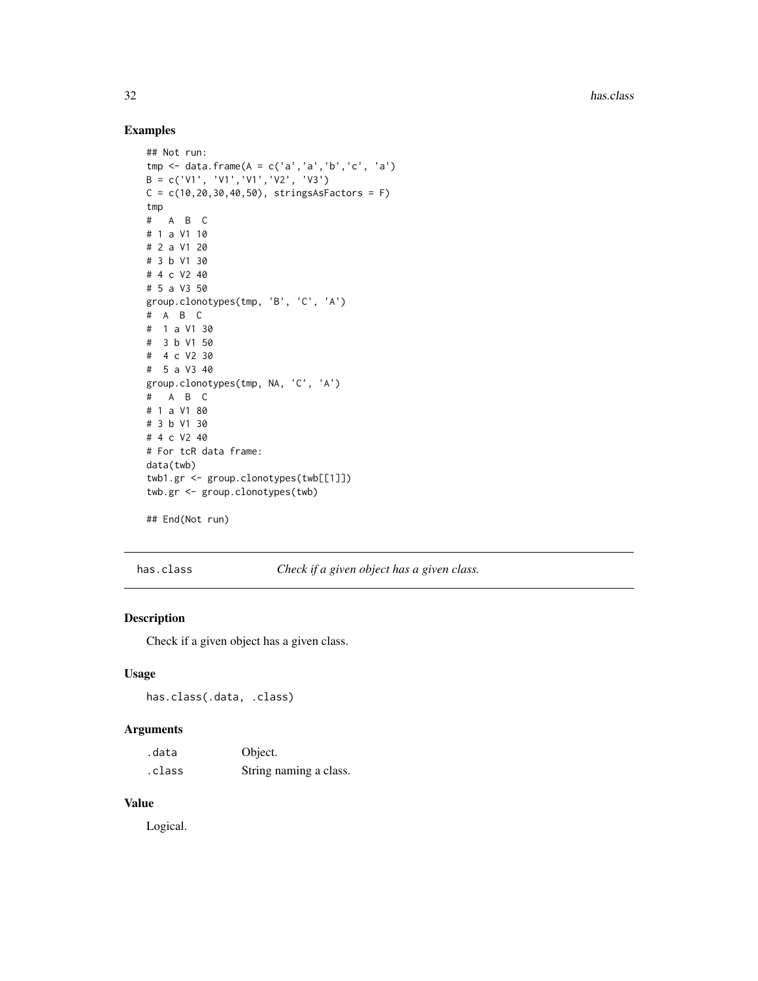# Examples

```
## Not run:
tmp <- data.frame(A = c('a','a','b','c', 'a')
B = c('V1', 'V1','V1','V2', 'V3')
C = c(10, 20, 30, 40, 50), stringsAsFactors = F)
tmp
# A B C
# 1 a V1 10
# 2 a V1 20
# 3 b V1 30
# 4 c V2 40
# 5 a V3 50
group.clonotypes(tmp, 'B', 'C', 'A')
# A B C
# 1 a V1 30
# 3 b V1 50
# 4 c V2 30
# 5 a V3 40
group.clonotypes(tmp, NA, 'C', 'A')
# A B C
# 1 a V1 80
# 3 b V1 30
# 4 c V2 40
# For tcR data frame:
data(twb)
twb1.gr <- group.clonotypes(twb[[1]])
twb.gr <- group.clonotypes(twb)
```
## End(Not run)

has.class *Check if a given object has a given class.*

#### Description

Check if a given object has a given class.

# Usage

has.class(.data, .class)

# Arguments

| .data  | Object.                |
|--------|------------------------|
| .class | String naming a class. |

# Value

Logical.

<span id="page-31-0"></span>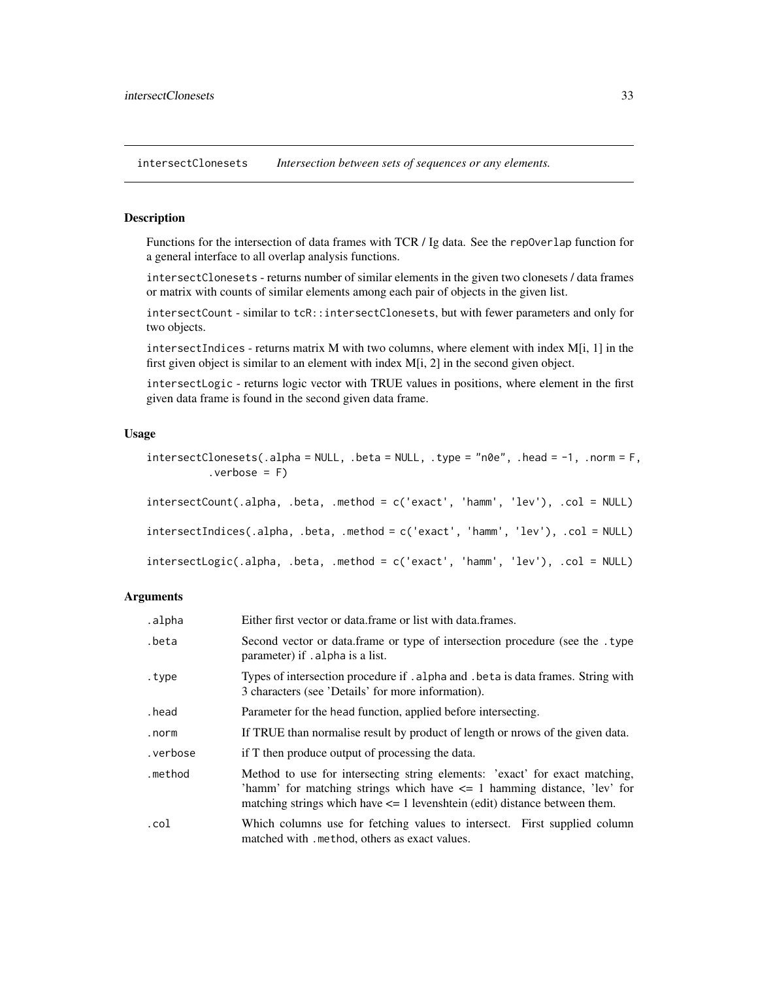<span id="page-32-1"></span><span id="page-32-0"></span>intersectClonesets *Intersection between sets of sequences or any elements.*

# **Description**

Functions for the intersection of data frames with TCR / Ig data. See the repOverlap function for a general interface to all overlap analysis functions.

intersectClonesets - returns number of similar elements in the given two clonesets / data frames or matrix with counts of similar elements among each pair of objects in the given list.

intersectCount - similar to tcR::intersectClonesets, but with fewer parameters and only for two objects.

intersectIndices - returns matrix M with two columns, where element with index  $M[i, 1]$  in the first given object is similar to an element with index M[i, 2] in the second given object.

intersectLogic - returns logic vector with TRUE values in positions, where element in the first given data frame is found in the second given data frame.

# Usage

```
intersectClonesets(.alpha = NULL, .beta = NULL, .type = "n0e", .head = -1, .norm = F,vert = F)intersectCount(.alpha, .beta, .method = c('exact', 'hamm', 'lev'), .col = NULL)
intersectIndices(.alpha, .beta, .method = c('exact', 'hamm', 'lev'), .col = NULL)
intersectLogic(.alpha, .beta, .method = c('exact', 'hamm', 'lev'), .col = NULL)
```
#### **Arguments**

| .alpha   | Either first vector or data frame or list with data frames.                                                                                                                                                                                  |
|----------|----------------------------------------------------------------------------------------------------------------------------------------------------------------------------------------------------------------------------------------------|
| .beta    | Second vector or data frame or type of intersection procedure (see the . type<br>parameter) if . alpha is a list.                                                                                                                            |
| .type    | Types of intersection procedure if . alpha and . beta is data frames. String with<br>3 characters (see 'Details' for more information).                                                                                                      |
| .head    | Parameter for the head function, applied before intersecting.                                                                                                                                                                                |
| .norm    | If TRUE than normalise result by product of length or nrows of the given data.                                                                                                                                                               |
| .verbose | if T then produce output of processing the data.                                                                                                                                                                                             |
| .method  | Method to use for intersecting string elements: 'exact' for exact matching,<br>'hamm' for matching strings which have $\leq$ 1 hamming distance, 'lev' for<br>matching strings which have $\leq$ 1 levenshtein (edit) distance between them. |
| .col     | Which columns use for fetching values to intersect. First supplied column<br>matched with . method, others as exact values.                                                                                                                  |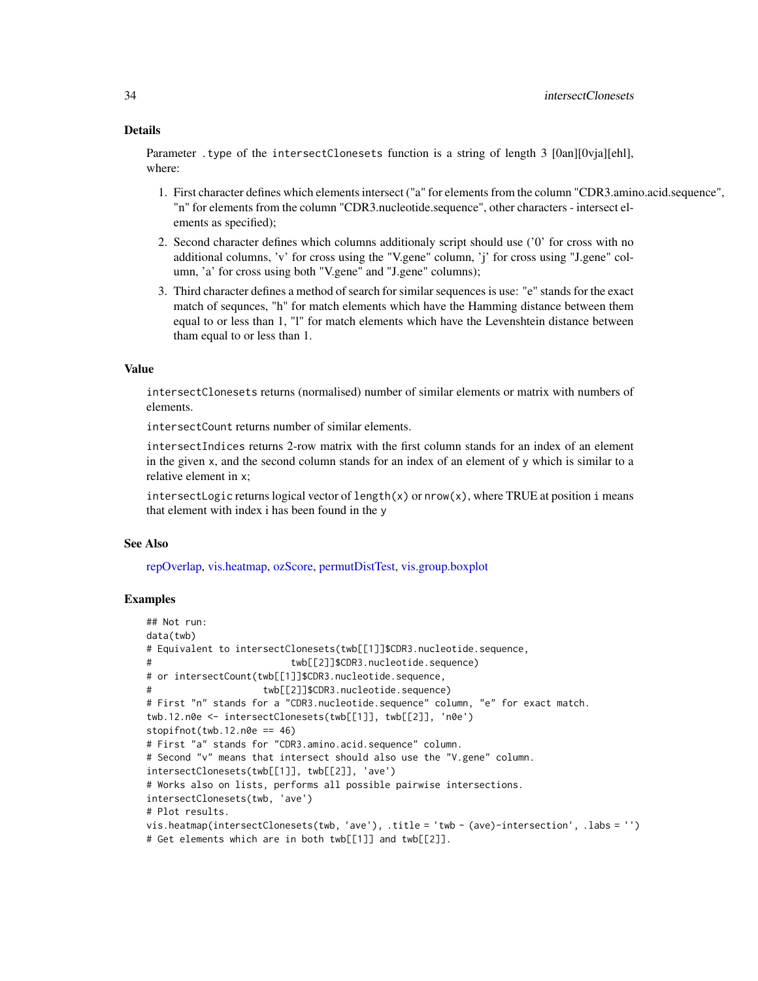#### Details

Parameter .type of the intersectClonesets function is a string of length 3 [0an][0vja][ehl], where:

- 1. First character defines which elements intersect ("a" for elements from the column "CDR3.amino.acid.sequence", "n" for elements from the column "CDR3.nucleotide.sequence", other characters - intersect elements as specified);
- 2. Second character defines which columns additionaly script should use ('0' for cross with no additional columns, 'v' for cross using the "V.gene" column, 'j' for cross using "J.gene" column, 'a' for cross using both "V.gene" and "J.gene" columns);
- 3. Third character defines a method of search for similar sequences is use: "e" stands for the exact match of sequnces, "h" for match elements which have the Hamming distance between them equal to or less than 1, "l" for match elements which have the Levenshtein distance between tham equal to or less than 1.

#### Value

intersectClonesets returns (normalised) number of similar elements or matrix with numbers of elements.

intersectCount returns number of similar elements.

intersectIndices returns 2-row matrix with the first column stands for an index of an element in the given  $x$ , and the second column stands for an index of an element of  $y$  which is similar to a relative element in x;

intersectLogic returns logical vector of length(x) or  $nrow(x)$ , where TRUE at position i means that element with index i has been found in the y

#### See Also

[repOverlap,](#page-52-1) [vis.heatmap,](#page-75-1) [ozScore,](#page-40-1) [permutDistTest,](#page-47-1) [vis.group.boxplot](#page-74-1)

#### Examples

```
## Not run:
data(twb)
# Equivalent to intersectClonesets(twb[[1]]$CDR3.nucleotide.sequence,
# twb[[2]]$CDR3.nucleotide.sequence)
# or intersectCount(twb[[1]]$CDR3.nucleotide.sequence,
# twb[[2]]$CDR3.nucleotide.sequence)
# First "n" stands for a "CDR3.nucleotide.sequence" column, "e" for exact match.
twb.12.n0e <- intersectClonesets(twb[[1]], twb[[2]], 'n0e')
stopifnot(twb.12.n0e == 46)# First "a" stands for "CDR3.amino.acid.sequence" column.
# Second "v" means that intersect should also use the "V.gene" column.
intersectClonesets(twb[[1]], twb[[2]], 'ave')
# Works also on lists, performs all possible pairwise intersections.
intersectClonesets(twb, 'ave')
# Plot results.
vis.heatmap(intersectClonesets(twb, 'ave'), .title = 'twb - (ave)-intersection', .labs = '')
# Get elements which are in both twb[[1]] and twb[[2]].
```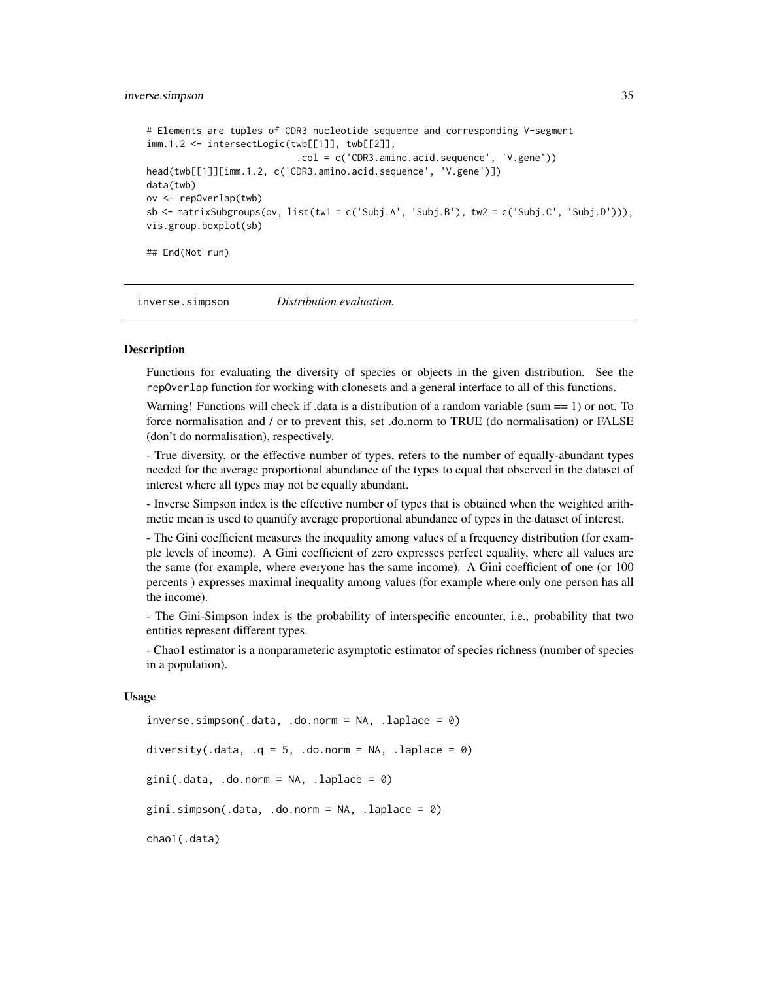#### <span id="page-34-0"></span>inverse.simpson 35

```
# Elements are tuples of CDR3 nucleotide sequence and corresponding V-segment
imm.1.2 <- intersectLogic(twb[[1]], twb[[2]],
                           .col = c('CDR3.amino.acid.sequence', 'V.gene'))
head(twb[[1]][imm.1.2, c('CDR3.amino.acid.sequence', 'V.gene')])
data(twb)
ov <- repOverlap(twb)
sb \le - matrixSubgroups(ov, list(tw1 = c('Subj.A', 'Subj.B'), tw2 = c('Subj.C', 'Subj.D')));
vis.group.boxplot(sb)
## End(Not run)
```
inverse.simpson *Distribution evaluation.*

#### <span id="page-34-1"></span>Description

Functions for evaluating the diversity of species or objects in the given distribution. See the repOverlap function for working with clonesets and a general interface to all of this functions.

Warning! Functions will check if .data is a distribution of a random variable (sum == 1) or not. To force normalisation and / or to prevent this, set .do.norm to TRUE (do normalisation) or FALSE (don't do normalisation), respectively.

- True diversity, or the effective number of types, refers to the number of equally-abundant types needed for the average proportional abundance of the types to equal that observed in the dataset of interest where all types may not be equally abundant.

- Inverse Simpson index is the effective number of types that is obtained when the weighted arithmetic mean is used to quantify average proportional abundance of types in the dataset of interest.

- The Gini coefficient measures the inequality among values of a frequency distribution (for example levels of income). A Gini coefficient of zero expresses perfect equality, where all values are the same (for example, where everyone has the same income). A Gini coefficient of one (or 100 percents ) expresses maximal inequality among values (for example where only one person has all the income).

- The Gini-Simpson index is the probability of interspecific encounter, i.e., probability that two entities represent different types.

- Chao1 estimator is a nonparameteric asymptotic estimator of species richness (number of species in a population).

#### Usage

```
inverse.simpson(.data, .do.norm = NA, .laplace = <math>0</math>)diversity(.data, .q = 5, .do.norm = NA, .laplace = 0)
gini(.data, .do.norm = NA, .laplace = \theta)
gini.simpson(.data, .do.norm = NA, .laplace = \theta)
chao1(.data)
```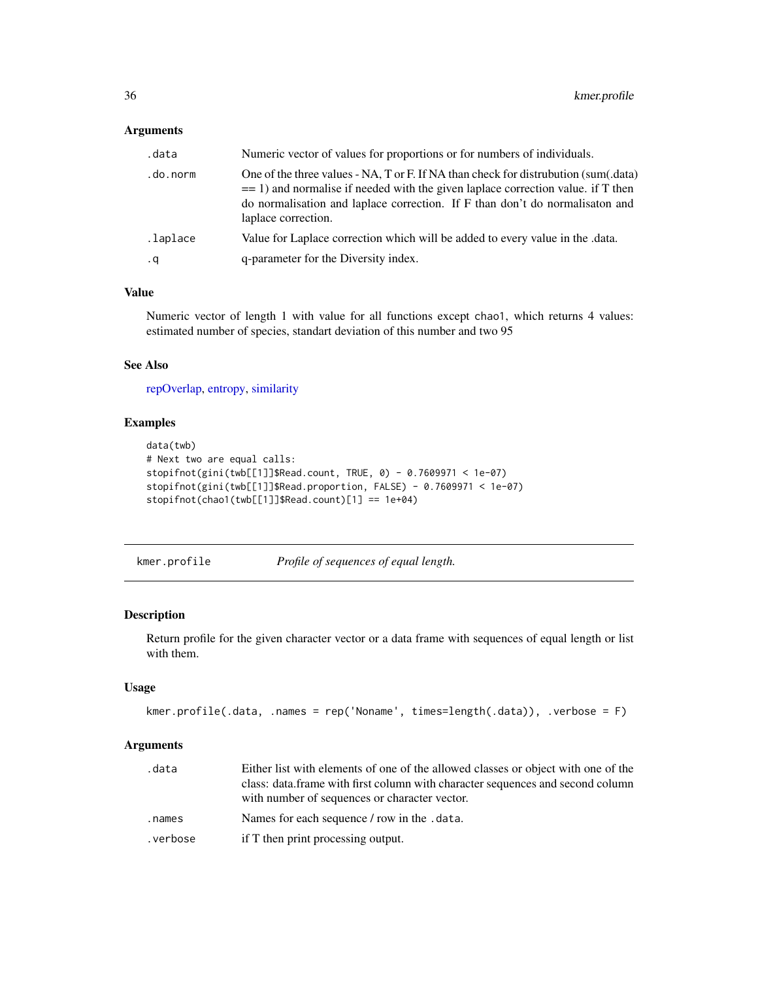# <span id="page-35-0"></span>Arguments

| .data     | Numeric vector of values for proportions or for numbers of individuals.                                                                                                                                                                                                         |
|-----------|---------------------------------------------------------------------------------------------------------------------------------------------------------------------------------------------------------------------------------------------------------------------------------|
| .do.norm  | One of the three values - NA, T or F. If NA than check for distrubution (sum(.data)<br>$=$ 1) and normalise if needed with the given laplace correction value. if T then<br>do normalisation and laplace correction. If F than don't do normalisaton and<br>laplace correction. |
| .laplace  | Value for Laplace correction which will be added to every value in the data.                                                                                                                                                                                                    |
| $\cdot$ q | q-parameter for the Diversity index.                                                                                                                                                                                                                                            |

# Value

Numeric vector of length 1 with value for all functions except chao1, which returns 4 values: estimated number of species, standart deviation of this number and two 95

# See Also

[repOverlap,](#page-52-1) [entropy,](#page-18-1) [similarity](#page-16-1)

# Examples

```
data(twb)
# Next two are equal calls:
stopifnot(gini(twb[[1]]$Read.count, TRUE, 0) - 0.7609971 < 1e-07)
stopifnot(gini(twb[[1]]$Read.proportion, FALSE) - 0.7609971 < 1e-07)
stopifnot(chao1(twb[[1]]$Read.count)[1] == 1e+04)
```
kmer.profile *Profile of sequences of equal length.*

#### Description

Return profile for the given character vector or a data frame with sequences of equal length or list with them.

#### Usage

```
kmer.profile(.data, .names = rep('Noname', times=length(.data)), .verbose = F)
```
#### Arguments

| .data    | Either list with elements of one of the allowed classes or object with one of the<br>class: data.frame with first column with character sequences and second column<br>with number of sequences or character vector. |
|----------|----------------------------------------------------------------------------------------------------------------------------------------------------------------------------------------------------------------------|
| .names   | Names for each sequence / row in the .data.                                                                                                                                                                          |
| .verbose | if T then print processing output.                                                                                                                                                                                   |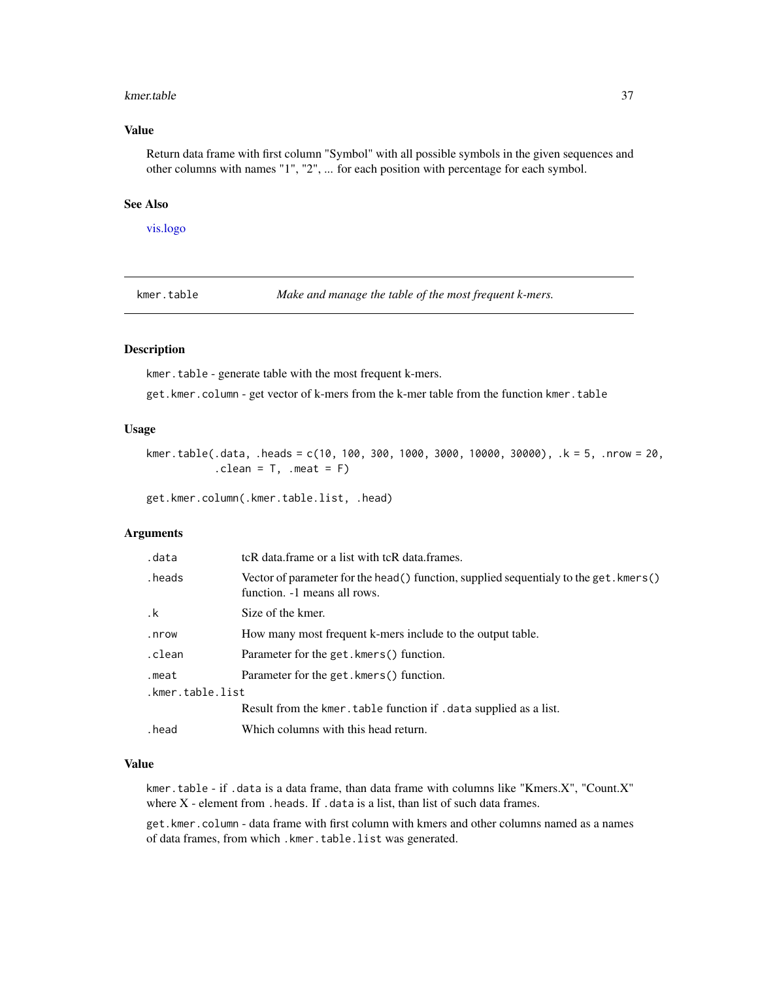#### kmer.table 37

## Value

Return data frame with first column "Symbol" with all possible symbols in the given sequences and other columns with names "1", "2", ... for each position with percentage for each symbol.

## See Also

[vis.logo](#page-77-0)

kmer.table *Make and manage the table of the most frequent k-mers.*

#### Description

kmer.table - generate table with the most frequent k-mers.

get.kmer.column - get vector of k-mers from the k-mer table from the function kmer.table

## Usage

kmer.table(.data, .heads = c(10, 100, 300, 1000, 3000, 10000, 30000), .k = 5, .nrow = 20,  $.$  clean =  $T$ , . meat =  $F$ )

get.kmer.column(.kmer.table.list, .head)

#### Arguments

| .data            | tcR data.frame or a list with tcR data.frames.                                                                          |  |
|------------------|-------------------------------------------------------------------------------------------------------------------------|--|
| heads.           | Vector of parameter for the head () function, supplied sequentialy to the get. kmers ()<br>function. -1 means all rows. |  |
| .k               | Size of the kmer.                                                                                                       |  |
| .nrow            | How many most frequent k-mers include to the output table.                                                              |  |
| .clean           | Parameter for the get. kmers() function.                                                                                |  |
| .meat            | Parameter for the get. kmers() function.                                                                                |  |
| .kmer.table.list |                                                                                                                         |  |
|                  | Result from the kmer. table function if . data supplied as a list.                                                      |  |
| head.            | Which columns with this head return.                                                                                    |  |

#### Value

kmer.table - if .data is a data frame, than data frame with columns like "Kmers.X", "Count.X" where  $X$  - element from . heads. If . data is a list, than list of such data frames.

get.kmer.column - data frame with first column with kmers and other columns named as a names of data frames, from which .kmer.table.list was generated.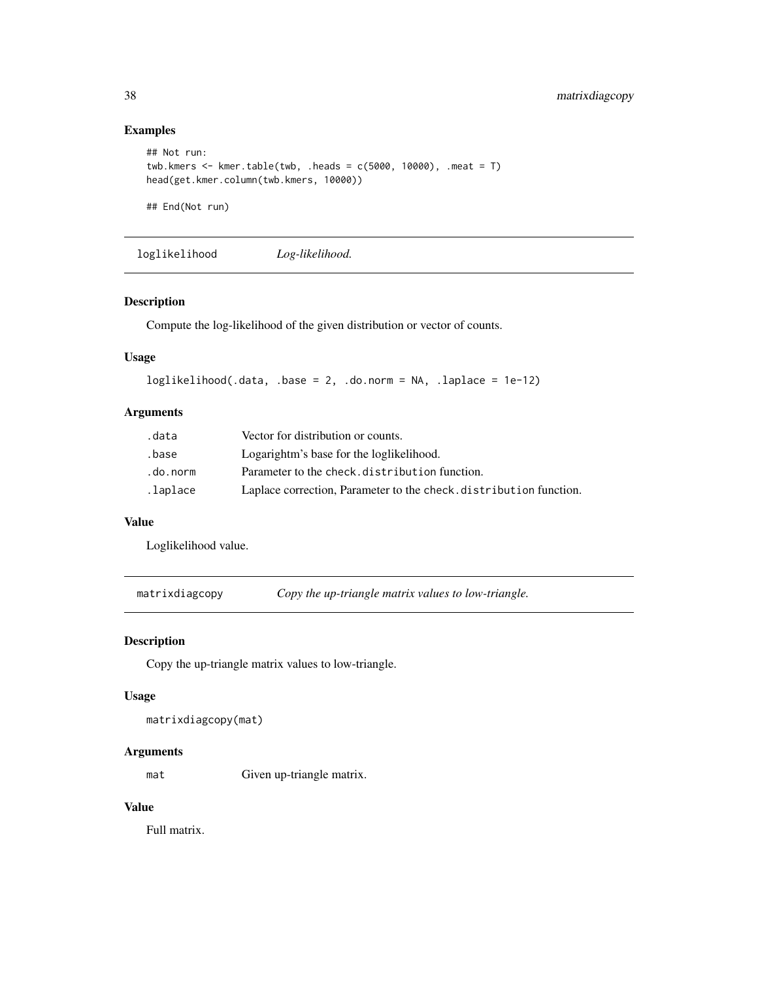# Examples

```
## Not run:
twb.kmers \le kmer.table(twb, .heads = c(5000, 10000), .meat = T)
head(get.kmer.column(twb.kmers, 10000))
```
## End(Not run)

loglikelihood *Log-likelihood.*

## Description

Compute the log-likelihood of the given distribution or vector of counts.

# Usage

```
loglikelihood(.data, .base = 2, .do.norm = NA, .laplace = 1e-12)
```
## Arguments

| .data    | Vector for distribution or counts.                                 |
|----------|--------------------------------------------------------------------|
| .base    | Logarightm's base for the loglikelihood.                           |
| .do.norm | Parameter to the check.distribution function.                      |
| .laplace | Laplace correction, Parameter to the check. distribution function. |

#### Value

Loglikelihood value.

matrixdiagcopy *Copy the up-triangle matrix values to low-triangle.*

## Description

Copy the up-triangle matrix values to low-triangle.

#### Usage

```
matrixdiagcopy(mat)
```
#### Arguments

mat Given up-triangle matrix.

## Value

Full matrix.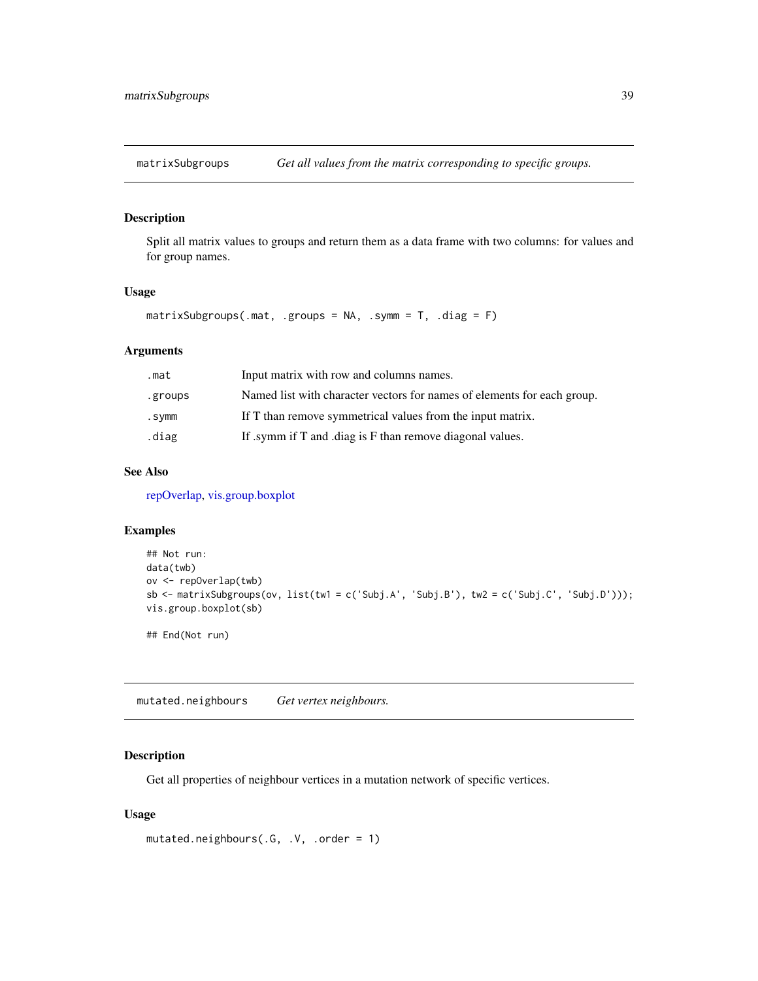Split all matrix values to groups and return them as a data frame with two columns: for values and for group names.

## Usage

```
matrixSubgroups(.mat, .groups = NA, .symm = T, .diag = F)
```
## Arguments

| .mat    | Input matrix with row and columns names.                                |
|---------|-------------------------------------------------------------------------|
| .groups | Named list with character vectors for names of elements for each group. |
| .symm   | If T than remove symmetrical values from the input matrix.              |
| .diag   | If symm if T and diag is F than remove diagonal values.                 |

## See Also

[repOverlap,](#page-52-0) [vis.group.boxplot](#page-74-0)

# Examples

```
## Not run:
data(twb)
ov <- repOverlap(twb)
sb \le - matrixSubgroups(ov, list(tw1 = c('Subj.A', 'Subj.B'), tw2 = c('Subj.C', 'Subj.D')));
vis.group.boxplot(sb)
```
## End(Not run)

mutated.neighbours *Get vertex neighbours.*

## Description

Get all properties of neighbour vertices in a mutation network of specific vertices.

```
mutated.neighbours(.G, .V, .order = 1)
```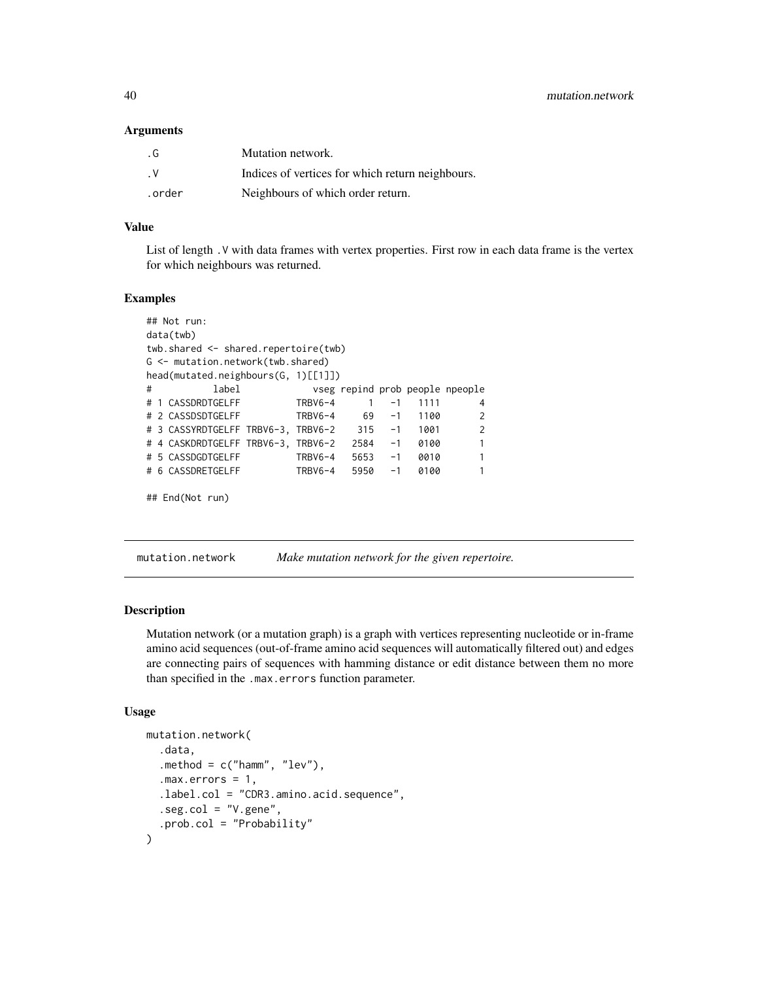#### Arguments

| . G    | Mutation network.                                |
|--------|--------------------------------------------------|
| . V    | Indices of vertices for which return neighbours. |
| .order | Neighbours of which order return.                |

#### Value

List of length .V with data frames with vertex properties. First row in each data frame is the vertex for which neighbours was returned.

#### Examples

```
## Not run:
data(twb)
twb.shared <- shared.repertoire(twb)
G <- mutation.network(twb.shared)
head(mutated.neighbours(G, 1)[[1]])
# label vseg repind prob people npeople
# 1 CASSDRDTGELFF TRBV6-4 1 -1 1111 4
# 2 CASSDSDTGELFF TRBV6-4 69 -1 1100 2
# 3 CASSYRDTGELFF TRBV6-3, TRBV6-2 315 -1 1001 2
# 4 CASKDRDTGELFF TRBV6-3, TRBV6-2 2584 -1 0100 1
# 5 CASSDGDTGELFF TRBV6-4 5653 -1 0010 1
# 6 CASSDRETGELFF TRBV6-4 5950 -1 0100 1
## End(Not run)
```
mutation.network *Make mutation network for the given repertoire.*

#### Description

Mutation network (or a mutation graph) is a graph with vertices representing nucleotide or in-frame amino acid sequences (out-of-frame amino acid sequences will automatically filtered out) and edges are connecting pairs of sequences with hamming distance or edit distance between them no more than specified in the .max.errors function parameter.

```
mutation.network(
  .data,
  .method = c("ham", "lev"),
  .max.errors = 1,
  .label.col = "CDR3.amino.acid.sequence",
  .seg.col = "V.gene",
  .prob.col = "Probability"
\mathcal{E}
```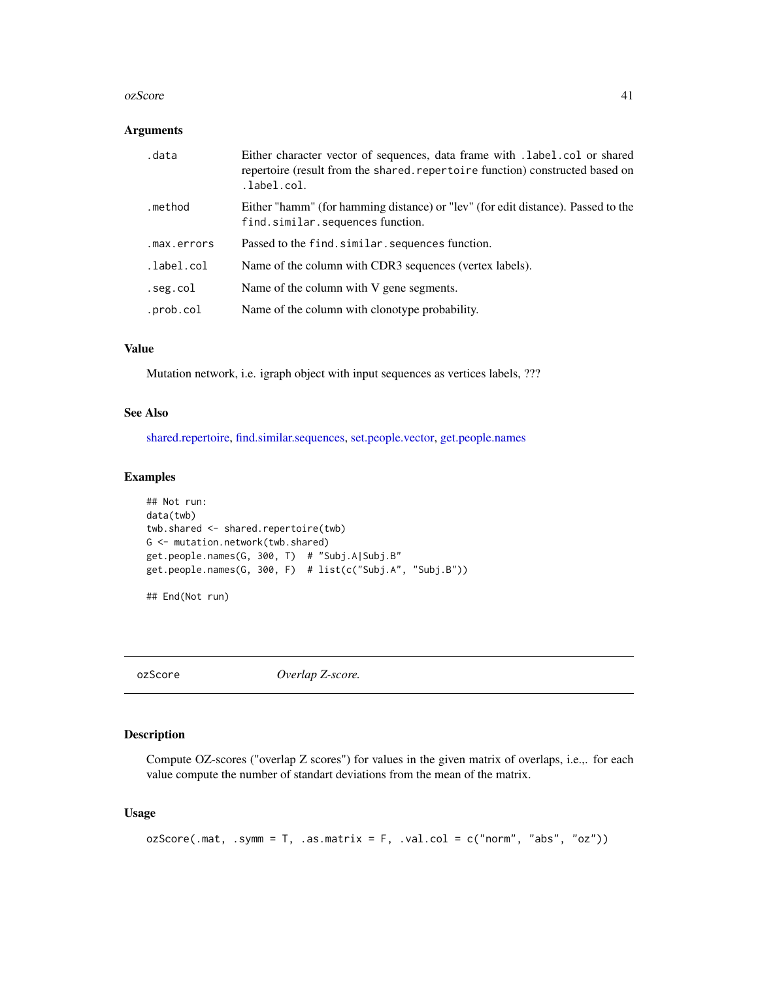#### ozScore **41**

#### Arguments

| .data       | Either character vector of sequences, data frame with .1abe1.co1 or shared<br>repertoire (result from the shared, repertoire function) constructed based on<br>.label.col. |
|-------------|----------------------------------------------------------------------------------------------------------------------------------------------------------------------------|
| .method     | Either "hamm" (for hamming distance) or "lev" (for edit distance). Passed to the<br>find.similar.sequences function.                                                       |
| .max.errors | Passed to the find.similar.sequences function.                                                                                                                             |
| .label.col  | Name of the column with CDR3 sequences (vertex labels).                                                                                                                    |
| .seg.col    | Name of the column with V gene segments.                                                                                                                                   |
| .prob.col   | Name of the column with clonotype probability.                                                                                                                             |

# Value

Mutation network, i.e. igraph object with input sequences as vertices labels, ???

## See Also

[shared.repertoire,](#page-63-0) [find.similar.sequences,](#page-21-0) [set.people.vector,](#page-61-0) [get.people.names](#page-61-1)

## Examples

```
## Not run:
data(twb)
twb.shared <- shared.repertoire(twb)
G <- mutation.network(twb.shared)
get.people.names(G, 300, T) # "Subj.A|Subj.B"
get.people.names(G, 300, F) # list(c("Subj.A", "Subj.B"))
## End(Not run)
```
<span id="page-40-0"></span>ozScore *Overlap Z-score.*

## Description

Compute OZ-scores ("overlap Z scores") for values in the given matrix of overlaps, i.e.,. for each value compute the number of standart deviations from the mean of the matrix.

```
ozScore(\text{.mat}, \text{.symm = T}, \text{.as.matrix = F}, \text{.val,col = c("norm", "abs", "oz"))})
```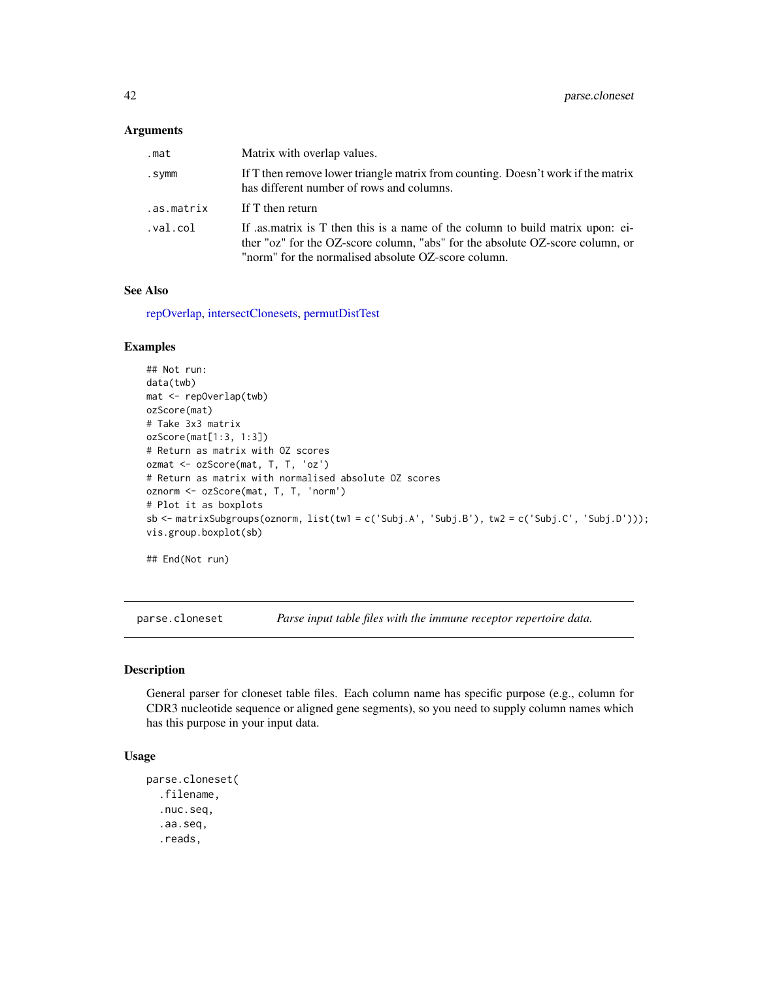#### Arguments

| .mat       | Matrix with overlap values.                                                                                                                                                                                           |
|------------|-----------------------------------------------------------------------------------------------------------------------------------------------------------------------------------------------------------------------|
| .symm      | If T then remove lower triangle matrix from counting. Doesn't work if the matrix<br>has different number of rows and columns.                                                                                         |
| .as.matrix | If T then return                                                                                                                                                                                                      |
| .val.col   | If as matrix is T then this is a name of the column to build matrix upon: ei-<br>ther "oz" for the OZ-score column, "abs" for the absolute OZ-score column, or<br>"norm" for the normalised absolute OZ-score column. |

#### See Also

[repOverlap,](#page-52-0) [intersectClonesets,](#page-32-0) [permutDistTest](#page-47-0)

## Examples

```
## Not run:
data(twb)
mat <- repOverlap(twb)
ozScore(mat)
# Take 3x3 matrix
ozScore(mat[1:3, 1:3])
# Return as matrix with OZ scores
ozmat <- ozScore(mat, T, T, 'oz')
# Return as matrix with normalised absolute OZ scores
oznorm <- ozScore(mat, T, T, 'norm')
# Plot it as boxplots
sb <- matrixSubgroups(oznorm, list(tw1 = c('Subj.A', 'Subj.B'), tw2 = c('Subj.C', 'Subj.D')));
vis.group.boxplot(sb)
```

```
## End(Not run)
```
<span id="page-41-0"></span>parse.cloneset *Parse input table files with the immune receptor repertoire data.*

#### Description

General parser for cloneset table files. Each column name has specific purpose (e.g., column for CDR3 nucleotide sequence or aligned gene segments), so you need to supply column names which has this purpose in your input data.

```
parse.cloneset(
  .filename,
  .nuc.seq,
  .aa.seq,
  .reads,
```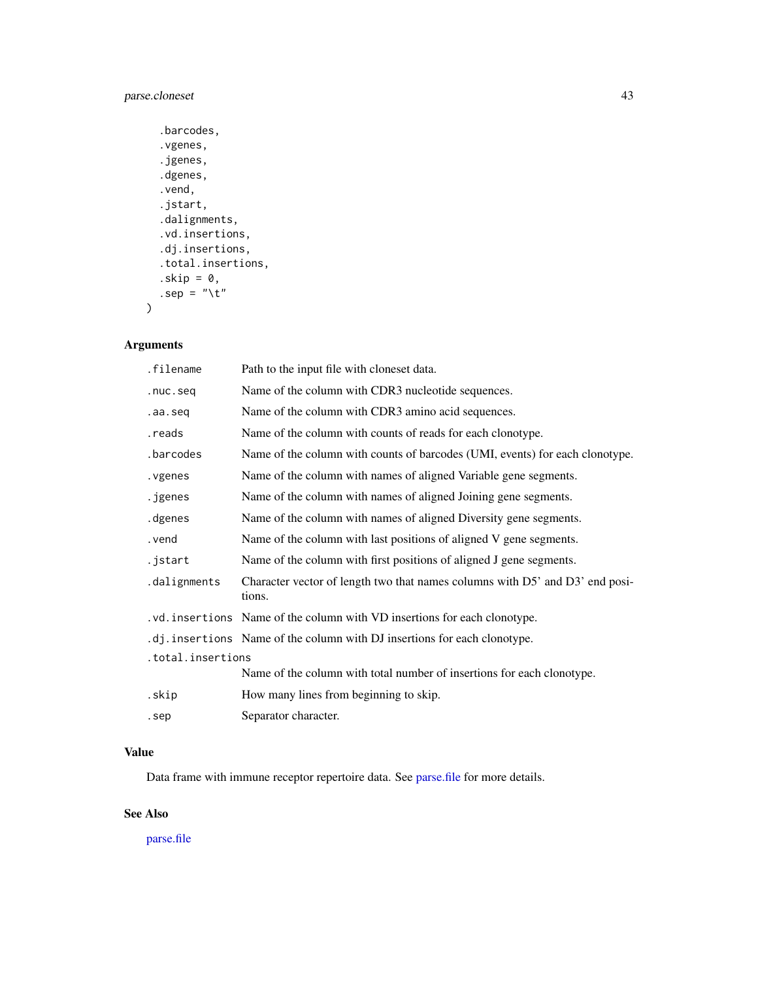# parse.cloneset 43

```
.barcodes,
  .vgenes,
  .jgenes,
  .dgenes,
  .vend,
  .jstart,
  .dalignments,
  .vd.insertions,
  .dj.insertions,
  .total.insertions,
  .skip = 0,
  .sep = "\t"
\mathcal{L}
```
## Arguments

| .filename         | Path to the input file with cloneset data.                                             |
|-------------------|----------------------------------------------------------------------------------------|
| .nuc.seq          | Name of the column with CDR3 nucleotide sequences.                                     |
| .aa.seq           | Name of the column with CDR3 amino acid sequences.                                     |
| .reads            | Name of the column with counts of reads for each clonotype.                            |
| .barcodes         | Name of the column with counts of barcodes (UMI, events) for each clonotype.           |
| . vgenes          | Name of the column with names of aligned Variable gene segments.                       |
| .jgenes           | Name of the column with names of aligned Joining gene segments.                        |
| .dgenes           | Name of the column with names of aligned Diversity gene segments.                      |
| . vend            | Name of the column with last positions of aligned V gene segments.                     |
| .jstart           | Name of the column with first positions of aligned J gene segments.                    |
| .dalignments      | Character vector of length two that names columns with D5' and D3' end posi-<br>tions. |
|                   | .vd. insertions Name of the column with VD insertions for each clonotype.              |
|                   | .dj. insertions Name of the column with DJ insertions for each clonotype.              |
| .total.insertions |                                                                                        |
|                   | Name of the column with total number of insertions for each clonotype.                 |
| .skip             | How many lines from beginning to skip.                                                 |
| .sep              | Separator character.                                                                   |

#### Value

Data frame with immune receptor repertoire data. See [parse.file](#page-43-0) for more details.

# See Also

[parse.file](#page-43-0)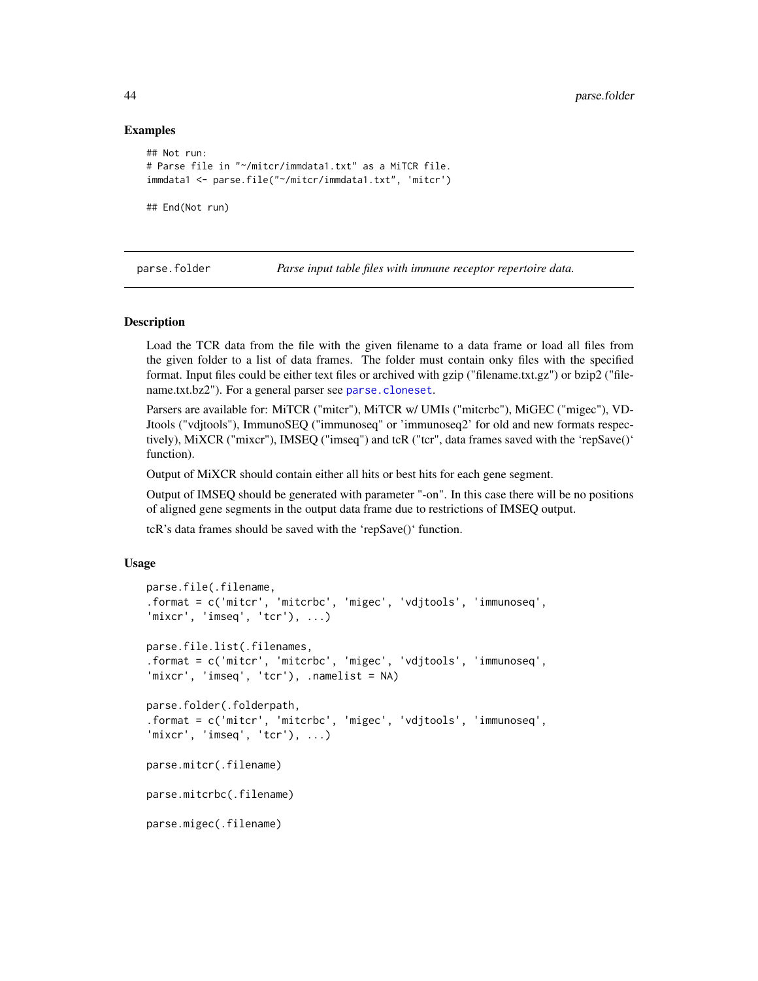#### Examples

```
## Not run:
# Parse file in "~/mitcr/immdata1.txt" as a MiTCR file.
immdata1 <- parse.file("~/mitcr/immdata1.txt", 'mitcr')
```
## End(Not run)

parse.folder *Parse input table files with immune receptor repertoire data.*

#### <span id="page-43-0"></span>Description

Load the TCR data from the file with the given filename to a data frame or load all files from the given folder to a list of data frames. The folder must contain onky files with the specified format. Input files could be either text files or archived with gzip ("filename.txt.gz") or bzip2 ("filename.txt.bz2"). For a general parser see [parse.cloneset](#page-41-0).

Parsers are available for: MiTCR ("mitcr"), MiTCR w/ UMIs ("mitcrbc"), MiGEC ("migec"), VD-Jtools ("vdjtools"), ImmunoSEQ ("immunoseq" or 'immunoseq2' for old and new formats respectively), MiXCR ("mixcr"), IMSEQ ("imseq") and tcR ("tcr", data frames saved with the 'repSave()' function).

Output of MiXCR should contain either all hits or best hits for each gene segment.

Output of IMSEQ should be generated with parameter "-on". In this case there will be no positions of aligned gene segments in the output data frame due to restrictions of IMSEQ output.

tcR's data frames should be saved with the 'repSave()' function.

```
parse.file(.filename,
.format = c('mitcr', 'mitcrbc', 'migec', 'vdjtools', 'immunoseq',
'mixcr', 'imseq', 'tcr'), ...)
parse.file.list(.filenames,
.format = c('mitcr', 'mitcrbc', 'migec', 'vdjtools', 'immunoseq',
'mixcr', 'imseq', 'tcr'), .namelist = NA)
parse.folder(.folderpath,
.format = c('mitcr', 'mitcrbc', 'migec', 'vdjtools', 'immunoseq',
'mixcr', 'imseq', 'tcr'), ...)
parse.mitcr(.filename)
parse.mitcrbc(.filename)
parse.migec(.filename)
```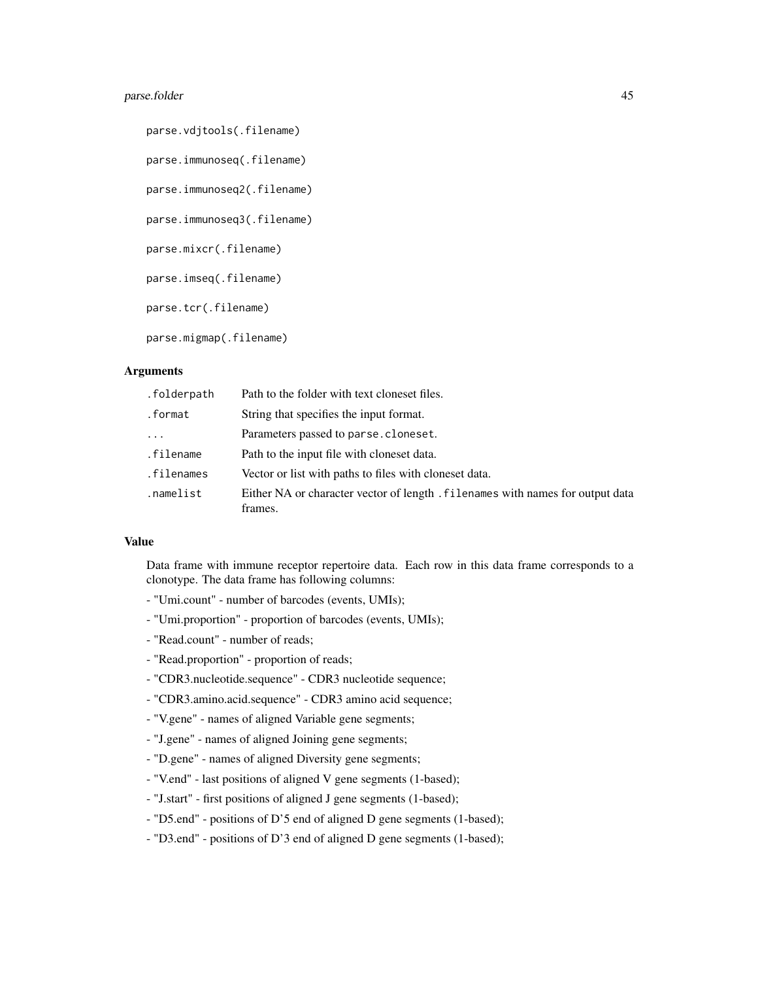## parse.folder 45

parse.vdjtools(.filename) parse.immunoseq(.filename) parse.immunoseq2(.filename) parse.immunoseq3(.filename) parse.mixcr(.filename) parse.imseq(.filename) parse.tcr(.filename) parse.migmap(.filename)

# **Arguments**

| .folderpath | Path to the folder with text cloneset files.                                              |
|-------------|-------------------------------------------------------------------------------------------|
| .format     | String that specifies the input format.                                                   |
| $\ddots$    | Parameters passed to parse.cloneset.                                                      |
| .filename   | Path to the input file with cloneset data.                                                |
| .filenames  | Vector or list with paths to files with cloneset data.                                    |
| .namelist   | Either NA or character vector of length . filenames with names for output data<br>frames. |

#### Value

Data frame with immune receptor repertoire data. Each row in this data frame corresponds to a clonotype. The data frame has following columns:

- "Umi.count" number of barcodes (events, UMIs);
- "Umi.proportion" proportion of barcodes (events, UMIs);
- "Read.count" number of reads;
- "Read.proportion" proportion of reads;
- "CDR3.nucleotide.sequence" CDR3 nucleotide sequence;
- "CDR3.amino.acid.sequence" CDR3 amino acid sequence;
- "V.gene" names of aligned Variable gene segments;
- "J.gene" names of aligned Joining gene segments;
- "D.gene" names of aligned Diversity gene segments;
- "V.end" last positions of aligned V gene segments (1-based);
- "J.start" first positions of aligned J gene segments (1-based);
- "D5.end" positions of D'5 end of aligned D gene segments (1-based);
- "D3.end" positions of D'3 end of aligned D gene segments (1-based);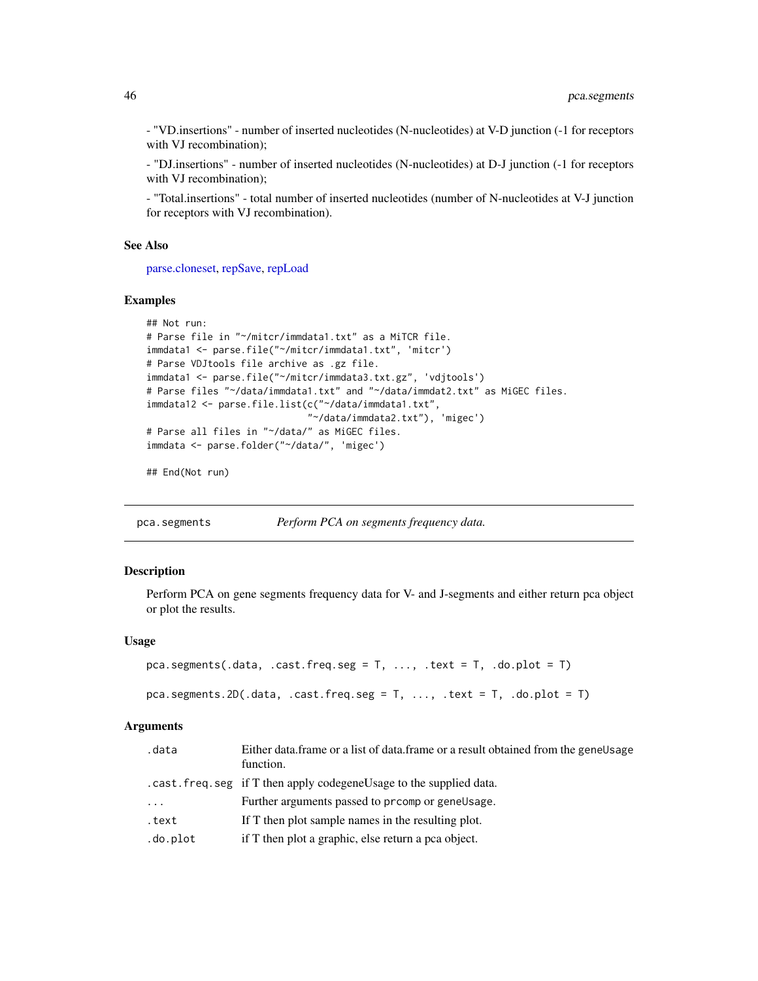- "VD.insertions" - number of inserted nucleotides (N-nucleotides) at V-D junction (-1 for receptors with VJ recombination);

- "DJ.insertions" - number of inserted nucleotides (N-nucleotides) at D-J junction (-1 for receptors with VJ recombination);

- "Total.insertions" - total number of inserted nucleotides (number of N-nucleotides at V-J junction for receptors with VJ recombination).

## See Also

[parse.cloneset,](#page-41-0) [repSave,](#page-53-0) [repLoad](#page-51-0)

#### Examples

```
## Not run:
# Parse file in "~/mitcr/immdata1.txt" as a MiTCR file.
immdata1 <- parse.file("~/mitcr/immdata1.txt", 'mitcr')
# Parse VDJtools file archive as .gz file.
immdata1 <- parse.file("~/mitcr/immdata3.txt.gz", 'vdjtools')
# Parse files "~/data/immdata1.txt" and "~/data/immdat2.txt" as MiGEC files.
immdata12 <- parse.file.list(c("~/data/immdata1.txt",
                             "~/data/immdata2.txt"), 'migec')
# Parse all files in "~/data/" as MiGEC files.
immdata <- parse.folder("~/data/", 'migec')
```
## End(Not run)

<span id="page-45-0"></span>pca.segments *Perform PCA on segments frequency data.*

## **Description**

Perform PCA on gene segments frequency data for V- and J-segments and either return pca object or plot the results.

#### Usage

```
pca.segments(.data, .cast.freq.seg = T, ..., .text = T, .do.plot = T)
```

```
pca.segments.2D(.data, .cast.freq.seg = T, ..., .text = T, .do.plot = T)
```
#### **Arguments**

| .data    | Either data frame or a list of data frame or a result obtained from the gene Usage<br>function. |
|----------|-------------------------------------------------------------------------------------------------|
|          | . cast. freq. seg if T then apply codegene Usage to the supplied data.                          |
| .        | Further arguments passed to promp or genellsage.                                                |
| .text    | If T then plot sample names in the resulting plot.                                              |
| .do.plot | if T then plot a graphic, else return a pca object.                                             |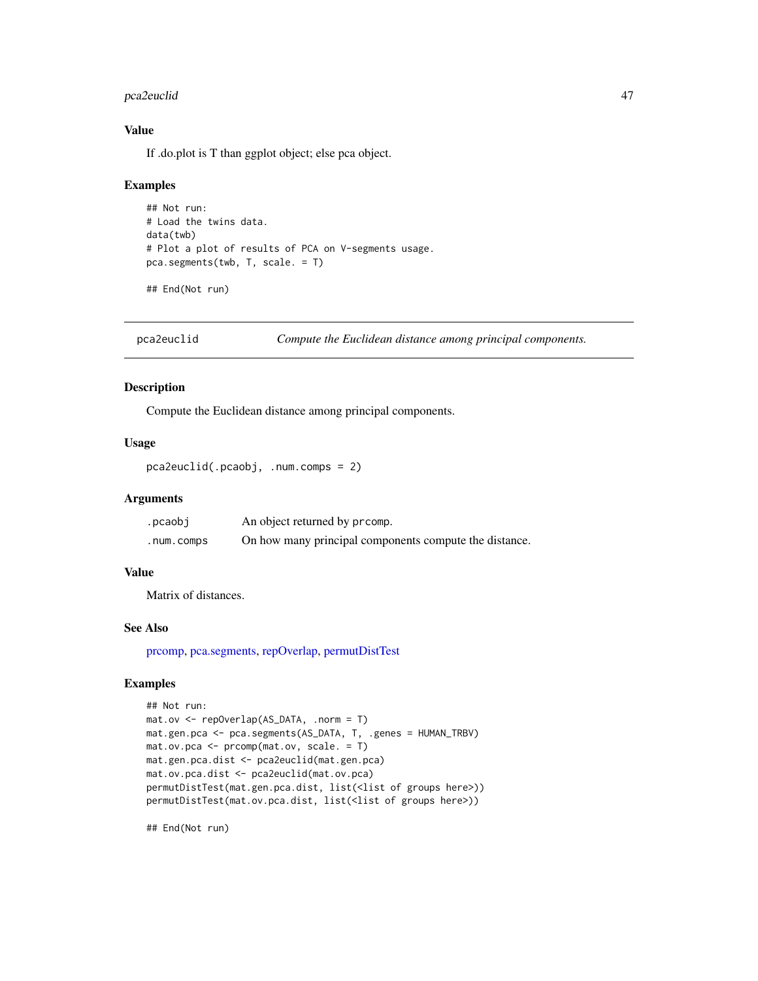#### pca2euclid 47

## Value

If .do.plot is T than ggplot object; else pca object.

#### Examples

```
## Not run:
# Load the twins data.
data(twb)
# Plot a plot of results of PCA on V-segments usage.
pca.segments(twb, T, scale. = T)
```
## End(Not run)

<span id="page-46-0"></span>pca2euclid *Compute the Euclidean distance among principal components.*

## Description

Compute the Euclidean distance among principal components.

## Usage

```
pca2euclid(.pcaobj, .num.comps = 2)
```
#### Arguments

| .pcaobj    | An object returned by promp.                           |
|------------|--------------------------------------------------------|
| .num.comps | On how many principal components compute the distance. |

## Value

Matrix of distances.

## See Also

[prcomp,](#page-0-0) [pca.segments,](#page-45-0) [repOverlap,](#page-52-0) [permutDistTest](#page-47-0)

## Examples

```
## Not run:
mat.ov <- repOverlap(AS_DATA, .norm = T)
mat.gen.pca <- pca.segments(AS_DATA, T, .genes = HUMAN_TRBV)
mat.ov.pca <- prcomp(mat.ov, scale. = T)
mat.gen.pca.dist <- pca2euclid(mat.gen.pca)
mat.ov.pca.dist <- pca2euclid(mat.ov.pca)
permutDistTest(mat.gen.pca.dist, list(<list of groups here>))
permutDistTest(mat.ov.pca.dist, list(<list of groups here>))
```
## End(Not run)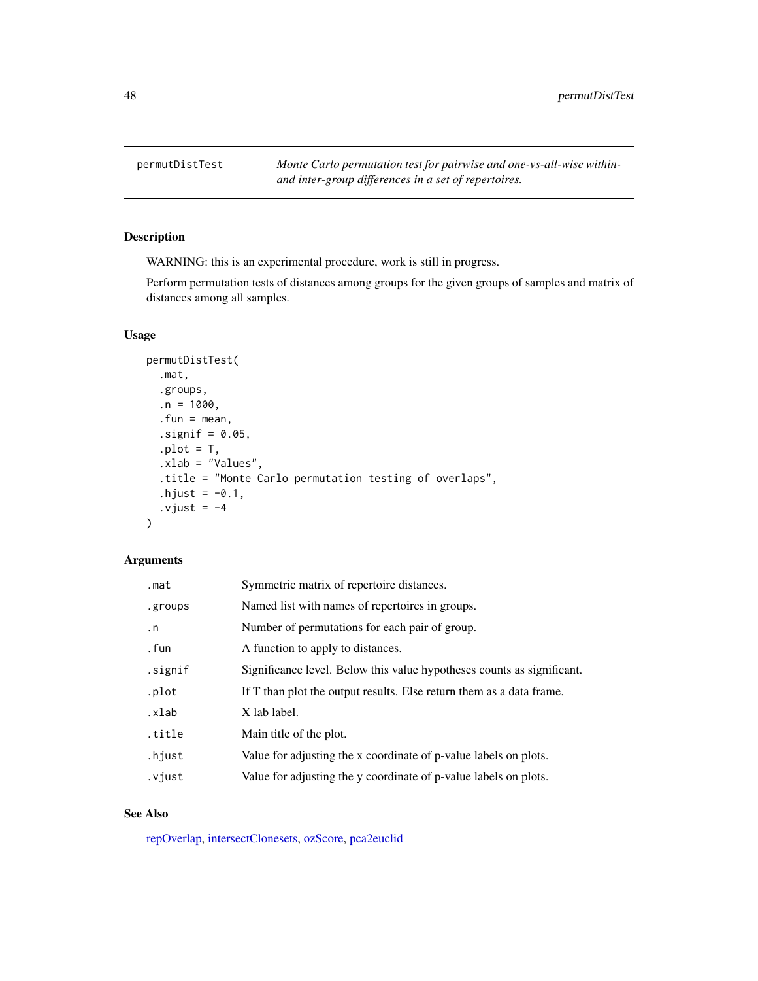<span id="page-47-0"></span>

WARNING: this is an experimental procedure, work is still in progress.

Perform permutation tests of distances among groups for the given groups of samples and matrix of distances among all samples.

## Usage

```
permutDistTest(
  .mat,
  .groups,
  .n = 1000,.fun = mean,
  \squaresignif = 0.05,
  .plot = T,.xlab = "Values",
  .title = "Monte Carlo permutation testing of overlaps",
  .hjust = -0.1,
  .vjust = -4)
```
## Arguments

| .mat      | Symmetric matrix of repertoire distances.                              |
|-----------|------------------------------------------------------------------------|
| .groups   | Named list with names of repertoires in groups.                        |
| $\cdot$ n | Number of permutations for each pair of group.                         |
| . fun     | A function to apply to distances.                                      |
| .signif   | Significance level. Below this value hypotheses counts as significant. |
| .plot     | If T than plot the output results. Else return them as a data frame.   |
| .xlab     | X lab label.                                                           |
| .title    | Main title of the plot.                                                |
| .hjust    | Value for adjusting the x coordinate of p-value labels on plots.       |
| .vjust    | Value for adjusting the y coordinate of p-value labels on plots.       |

## See Also

[repOverlap,](#page-52-0) [intersectClonesets,](#page-32-0) [ozScore,](#page-40-0) [pca2euclid](#page-46-0)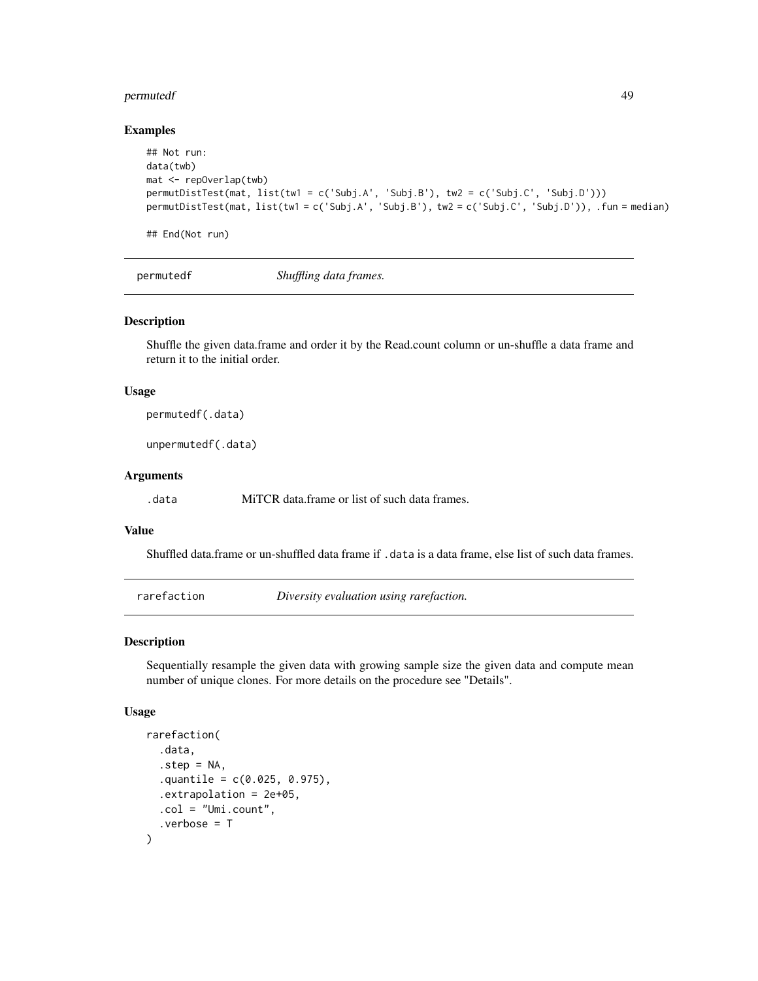#### permutedf 49

#### Examples

```
## Not run:
data(twb)
mat <- repOverlap(twb)
permutDistTest(mat, list(tw1 = c('Subj.A', 'Subj.B'), tw2 = c('Subj.C', 'Subj.D')))
permutDistTest(mat, list(tw1 = c('Subj.A', 'Subj.B'), tw2 = c('Subj.C', 'Subj.D')), .fun = median)
## End(Not run)
```
permutedf *Shuffling data frames.*

## Description

Shuffle the given data.frame and order it by the Read.count column or un-shuffle a data frame and return it to the initial order.

#### Usage

permutedf(.data)

unpermutedf(.data)

## Arguments

.data MiTCR data.frame or list of such data frames.

## Value

Shuffled data.frame or un-shuffled data frame if .data is a data frame, else list of such data frames.

rarefaction *Diversity evaluation using rarefaction.*

## Description

Sequentially resample the given data with growing sample size the given data and compute mean number of unique clones. For more details on the procedure see "Details".

```
rarefaction(
  .data,
  .step = NA.
  .quantile = c(0.025, 0.975),
  .extrapolation = 2e+05,
  .col = "Umi.count",
  .verbose = T
)
```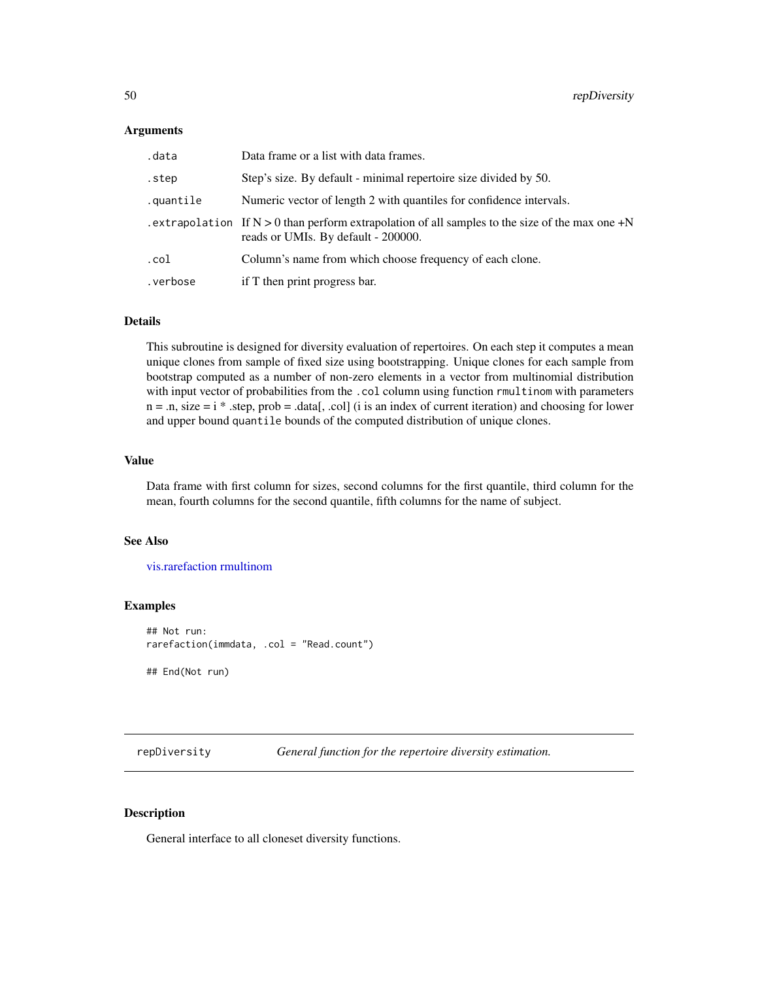#### Arguments

| .data     | Data frame or a list with data frames.                                                                                                    |
|-----------|-------------------------------------------------------------------------------------------------------------------------------------------|
| .step     | Step's size. By default - minimal repertoire size divided by 50.                                                                          |
| .quantile | Numeric vector of length 2 with quantiles for confidence intervals.                                                                       |
|           | . extrapolation If $N > 0$ than perform extrapolation of all samples to the size of the max one +N<br>reads or UMIs. By default - 200000. |
| .col      | Column's name from which choose frequency of each clone.                                                                                  |
| .verbose  | if T then print progress bar.                                                                                                             |

## Details

This subroutine is designed for diversity evaluation of repertoires. On each step it computes a mean unique clones from sample of fixed size using bootstrapping. Unique clones for each sample from bootstrap computed as a number of non-zero elements in a vector from multinomial distribution with input vector of probabilities from the .col column using function rmultinom with parameters  $n = .n$ , size  $= i$  \* .step, prob = .data[, .col] (i is an index of current iteration) and choosing for lower and upper bound quantile bounds of the computed distribution of unique clones.

#### Value

Data frame with first column for sizes, second columns for the first quantile, third column for the mean, fourth columns for the second quantile, fifth columns for the name of subject.

## See Also

[vis.rarefaction](#page-80-0) [rmultinom](#page-0-0)

## Examples

```
## Not run:
rarefaction(immdata, .col = "Read.count")
## End(Not run)
```
<span id="page-49-0"></span>repDiversity *General function for the repertoire diversity estimation.*

#### Description

General interface to all cloneset diversity functions.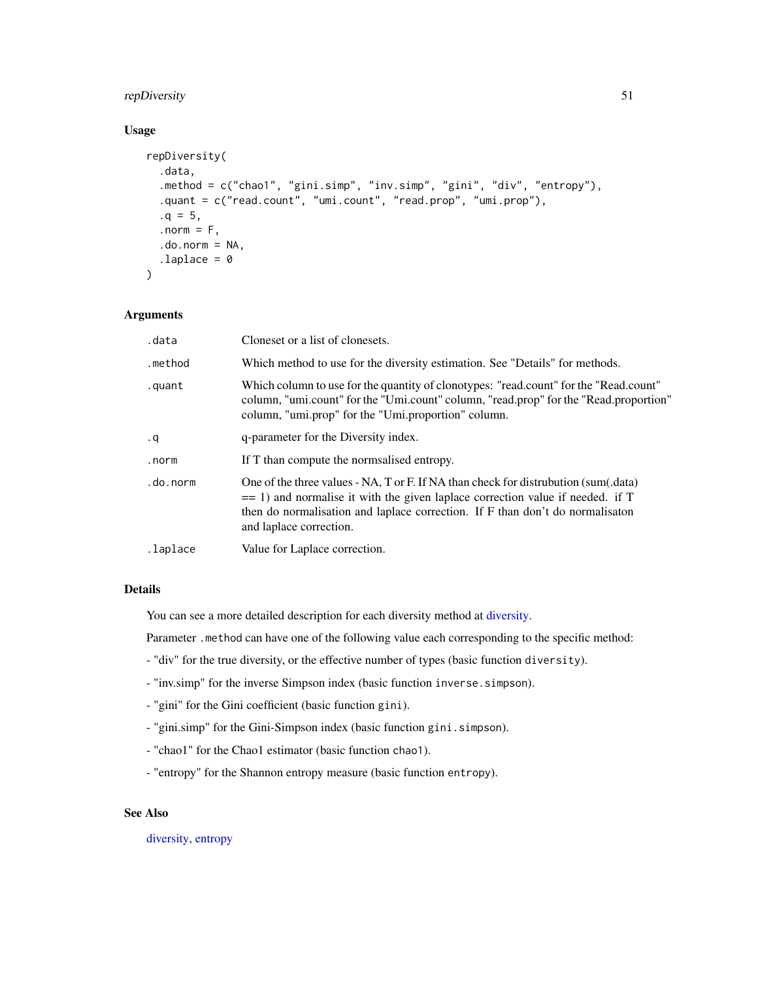## repDiversity 51

## Usage

```
repDiversity(
  .data,
  .method = c("chao1", "gini.simp", "inv.simp", "gini", "div", "entropy"),
  .quant = c("read.count", "umi.count", "read.prop", "umi.prop"),
  .q = 5,. norm = F,
  .do.norm = NA,
  laplace = 0)
```
# Arguments

| .data     | Cloneset or a list of clonesets.                                                                                                                                                                                                                                                    |
|-----------|-------------------------------------------------------------------------------------------------------------------------------------------------------------------------------------------------------------------------------------------------------------------------------------|
| .method   | Which method to use for the diversity estimation. See "Details" for methods.                                                                                                                                                                                                        |
| .quant    | Which column to use for the quantity of clonotypes: "read.count" for the "Read.count"<br>column, "umi.count" for the "Umi.count" column, "read.prop" for the "Read.proportion"<br>column, "umi.prop" for the "Umi.proportion" column.                                               |
| $\cdot$ q | q-parameter for the Diversity index.                                                                                                                                                                                                                                                |
| .norm     | If T than compute the normalised entropy.                                                                                                                                                                                                                                           |
| .do.norm  | One of the three values - NA, T or F. If NA than check for distrubution (sum(.data)<br>$=$ 1) and normalise it with the given laplace correction value if needed. if T<br>then do normalisation and laplace correction. If F than don't do normalisation<br>and laplace correction. |
| .laplace  | Value for Laplace correction.                                                                                                                                                                                                                                                       |
|           |                                                                                                                                                                                                                                                                                     |

## Details

You can see a more detailed description for each diversity method at [diversity.](#page-34-0)

Parameter .method can have one of the following value each corresponding to the specific method:

- "div" for the true diversity, or the effective number of types (basic function diversity).
- "inv.simp" for the inverse Simpson index (basic function inverse.simpson).
- "gini" for the Gini coefficient (basic function gini).
- "gini.simp" for the Gini-Simpson index (basic function gini.simpson).
- "chao1" for the Chao1 estimator (basic function chao1).
- "entropy" for the Shannon entropy measure (basic function entropy).

## See Also

[diversity,](#page-34-0) [entropy](#page-18-0)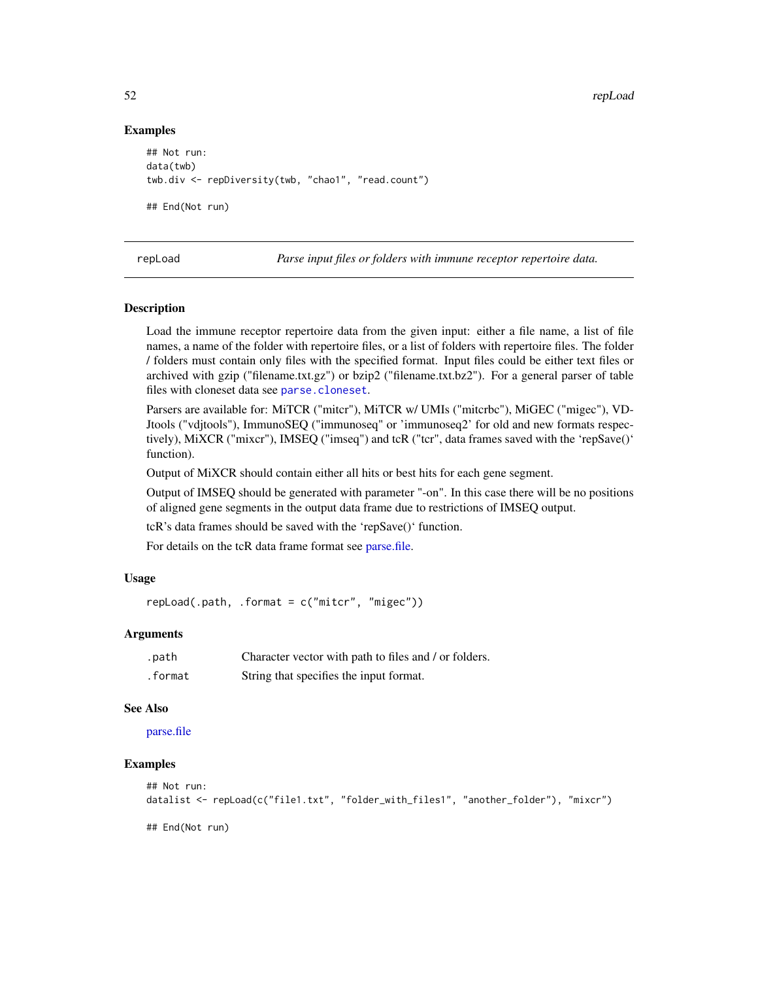#### Examples

```
## Not run:
data(twb)
twb.div <- repDiversity(twb, "chao1", "read.count")
## End(Not run)
```
<span id="page-51-0"></span>

repLoad *Parse input files or folders with immune receptor repertoire data.*

#### **Description**

Load the immune receptor repertoire data from the given input: either a file name, a list of file names, a name of the folder with repertoire files, or a list of folders with repertoire files. The folder / folders must contain only files with the specified format. Input files could be either text files or archived with gzip ("filename.txt.gz") or bzip2 ("filename.txt.bz2"). For a general parser of table files with cloneset data see [parse.cloneset](#page-41-0).

Parsers are available for: MiTCR ("mitcr"), MiTCR w/ UMIs ("mitcrbc"), MiGEC ("migec"), VD-Jtools ("vdjtools"), ImmunoSEQ ("immunoseq" or 'immunoseq2' for old and new formats respectively), MiXCR ("mixcr"), IMSEQ ("imseq") and tcR ("tcr", data frames saved with the 'repSave()' function).

Output of MiXCR should contain either all hits or best hits for each gene segment.

Output of IMSEQ should be generated with parameter "-on". In this case there will be no positions of aligned gene segments in the output data frame due to restrictions of IMSEQ output.

tcR's data frames should be saved with the 'repSave()' function.

For details on the tcR data frame format see [parse.file.](#page-43-0)

## Usage

 $repLoad(.path, .format = c("mitter", "migec"))$ 

#### Arguments

| .path   | Character vector with path to files and / or folders. |
|---------|-------------------------------------------------------|
| .format | String that specifies the input format.               |

#### See Also

[parse.file](#page-43-0)

## Examples

```
## Not run:
datalist <- repLoad(c("file1.txt", "folder_with_files1", "another_folder"), "mixcr")
```
## End(Not run)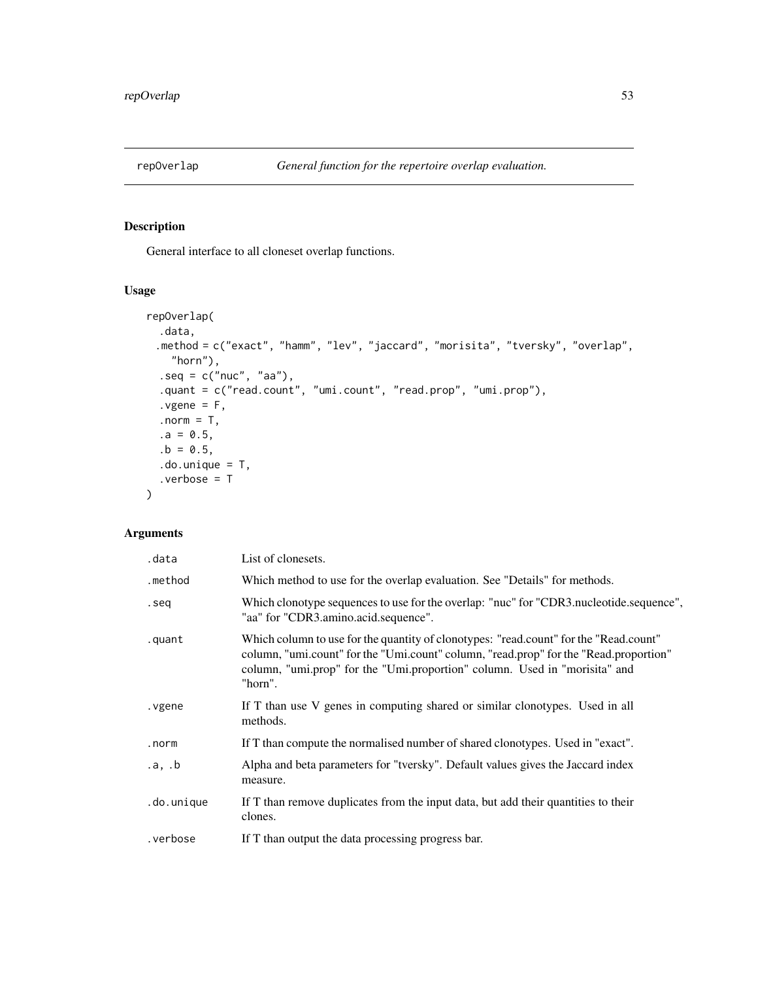<span id="page-52-0"></span>

General interface to all cloneset overlap functions.

# Usage

```
repOverlap(
  .data,
 .method = c("exact", "hamm", "lev", "jaccard", "morisita", "tversky", "overlap",
    "horn"),
  seq = c("nuc", "aa"),.quant = c("read.count", "umi.count", "read.prop", "umi.prop"),
  .ygene = F,
  .norm = T,
  .a = 0.5,.b = 0.5,.do.unique = T,
  .verbose = T
\mathcal{L}
```
# Arguments

| .data      | List of clonesets.                                                                                                                                                                                                                                                      |
|------------|-------------------------------------------------------------------------------------------------------------------------------------------------------------------------------------------------------------------------------------------------------------------------|
| .method    | Which method to use for the overlap evaluation. See "Details" for methods.                                                                                                                                                                                              |
| .seq       | Which clonotype sequences to use for the overlap: "nuc" for "CDR3.nucleotide.sequence",<br>"aa" for "CDR3.amino.acid.sequence".                                                                                                                                         |
| .quant     | Which column to use for the quantity of clonotypes: "read.count" for the "Read.count"<br>column, "umi.count" for the "Umi.count" column, "read.prop" for the "Read.proportion"<br>column, "umi.prop" for the "Umi.proportion" column. Used in "morisita" and<br>"horn". |
| . vgene    | If T than use V genes in computing shared or similar clonotypes. Used in all<br>methods.                                                                                                                                                                                |
| .norm      | If T than compute the normalised number of shared clonotypes. Used in "exact".                                                                                                                                                                                          |
| .a, .b     | Alpha and beta parameters for "tversky". Default values gives the Jaccard index<br>measure.                                                                                                                                                                             |
| .do.unique | If T than remove duplicates from the input data, but add their quantities to their<br>clones.                                                                                                                                                                           |
| .verbose   | If T than output the data processing progress bar.                                                                                                                                                                                                                      |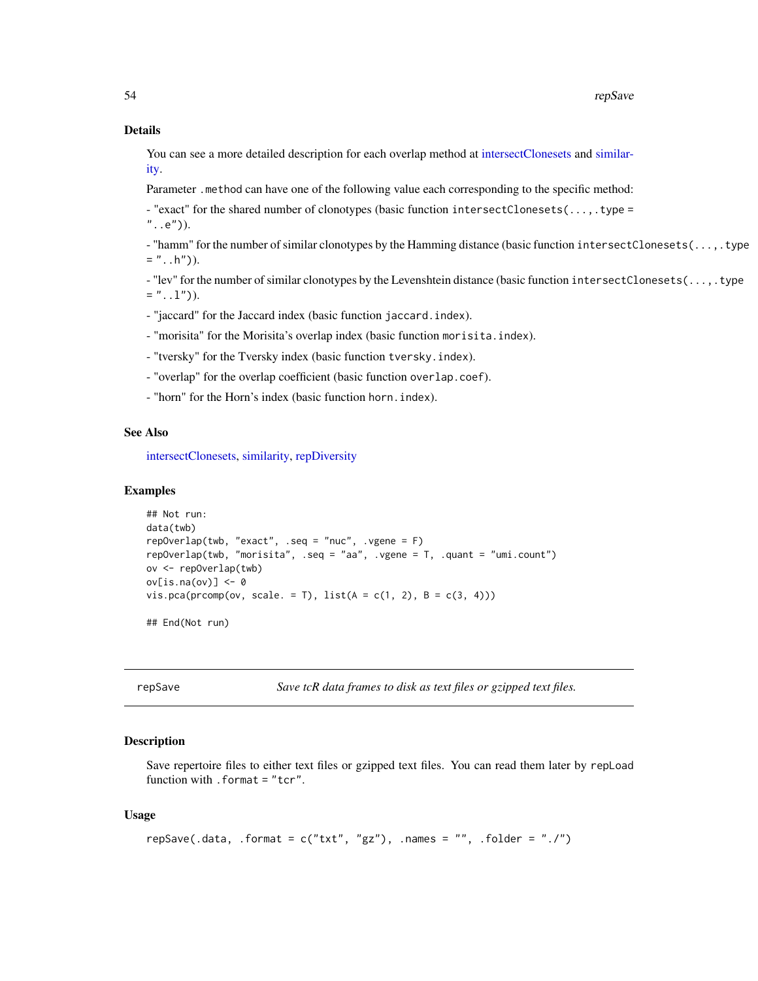#### Details

You can see a more detailed description for each overlap method at [intersectClonesets](#page-32-0) and [similar](#page-16-0)[ity.](#page-16-0)

Parameter .method can have one of the following value each corresponding to the specific method:

- "exact" for the shared number of clonotypes (basic function intersectClonesets(...,.type =  $"$ ..e")).

- "hamm" for the number of similar clonotypes by the Hamming distance (basic function intersectClonesets(...,.type  $=$  "..h")).

- "lev" for the number of similar clonotypes by the Levenshtein distance (basic function intersectClonesets(...,.type  $=$  "...1")).

- "jaccard" for the Jaccard index (basic function jaccard.index).

- "morisita" for the Morisita's overlap index (basic function morisita.index).

- "tversky" for the Tversky index (basic function tversky.index).

- "overlap" for the overlap coefficient (basic function overlap.coef).

- "horn" for the Horn's index (basic function horn.index).

#### See Also

[intersectClonesets,](#page-32-0) [similarity,](#page-16-0) [repDiversity](#page-49-0)

#### Examples

```
## Not run:
data(twb)
repOverlap(twb, "exact", .seq = "nuc", .vgene = F)repOverlap(twb, "morisita", .seq = "aa", .vgene = T, .quant = "umi.count")
ov <- repOverlap(twb)
ov[is.na(ov)] <- 0
vis.pca(prcomp(ov, scale. = T), list(A = c(1, 2), B = c(3, 4)))
## End(Not run)
```
<span id="page-53-0"></span>repSave *Save tcR data frames to disk as text files or gzipped text files.*

#### Description

Save repertoire files to either text files or gzipped text files. You can read them later by repLoad function with .format = "tcr".

```
repSave(.data, .format = c("txt", "gz"), .names = "", .folder = "./")
```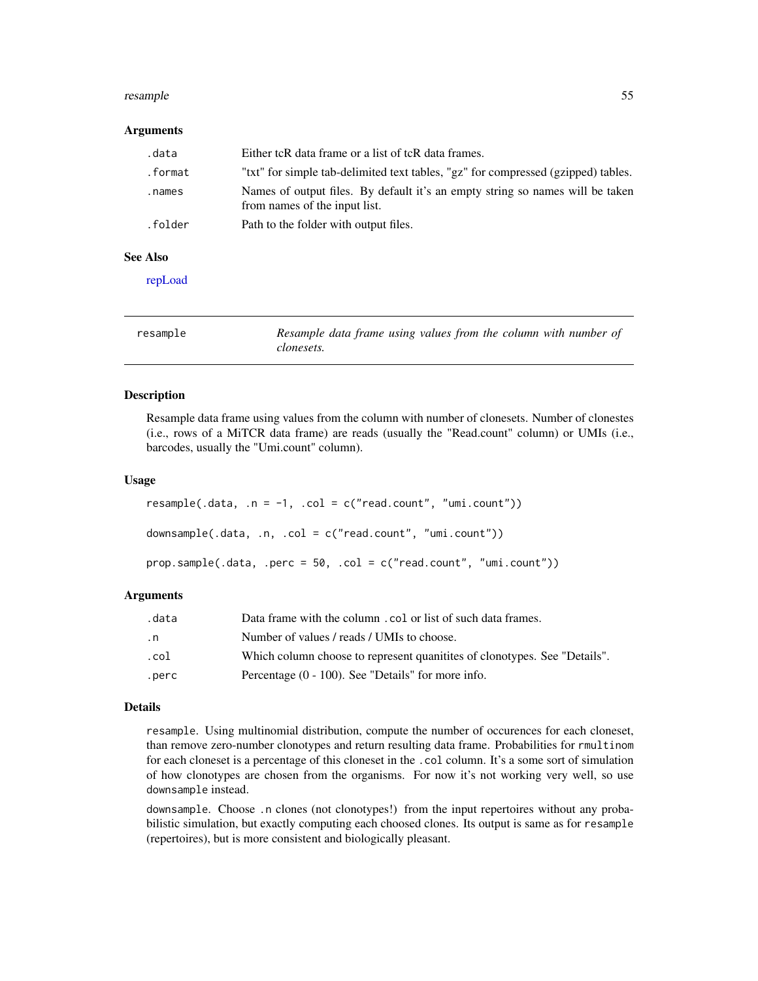#### resample 55

#### Arguments

| .data   | Either tcR data frame or a list of tcR data frames.                                                            |
|---------|----------------------------------------------------------------------------------------------------------------|
| .format | "txt" for simple tab-delimited text tables, "gz" for compressed (gzipped) tables.                              |
| .names  | Names of output files. By default it's an empty string so names will be taken<br>from names of the input list. |
| .folder | Path to the folder with output files.                                                                          |
|         |                                                                                                                |

#### See Also

[repLoad](#page-51-0)

| resample | Resample data frame using values from the column with number of |
|----------|-----------------------------------------------------------------|
|          | clonesets.                                                      |

#### <span id="page-54-0"></span>Description

Resample data frame using values from the column with number of clonesets. Number of clonestes (i.e., rows of a MiTCR data frame) are reads (usually the "Read.count" column) or UMIs (i.e., barcodes, usually the "Umi.count" column).

#### Usage

```
resample(.data, .n = -1,  col = c("read.count", "umi.count"))downsample(.data, .n, .col = c("read.count", "umi.count"))
prop.\text{sample}(\text{.data}, \text{ .perc = 50}, \text{ .col = c("read.count", "umi.count"))
```
#### Arguments

| .data | Data frame with the column . col or list of such data frames.              |
|-------|----------------------------------------------------------------------------|
| . n   | Number of values / reads / UMIs to choose.                                 |
| .col  | Which column choose to represent quanitities of clonotypes. See "Details". |
| .perc | Percentage $(0 - 100)$ . See "Details" for more info.                      |

#### Details

resample. Using multinomial distribution, compute the number of occurences for each cloneset, than remove zero-number clonotypes and return resulting data frame. Probabilities for rmultinom for each cloneset is a percentage of this cloneset in the .col column. It's a some sort of simulation of how clonotypes are chosen from the organisms. For now it's not working very well, so use downsample instead.

downsample. Choose .n clones (not clonotypes!) from the input repertoires without any probabilistic simulation, but exactly computing each choosed clones. Its output is same as for resample (repertoires), but is more consistent and biologically pleasant.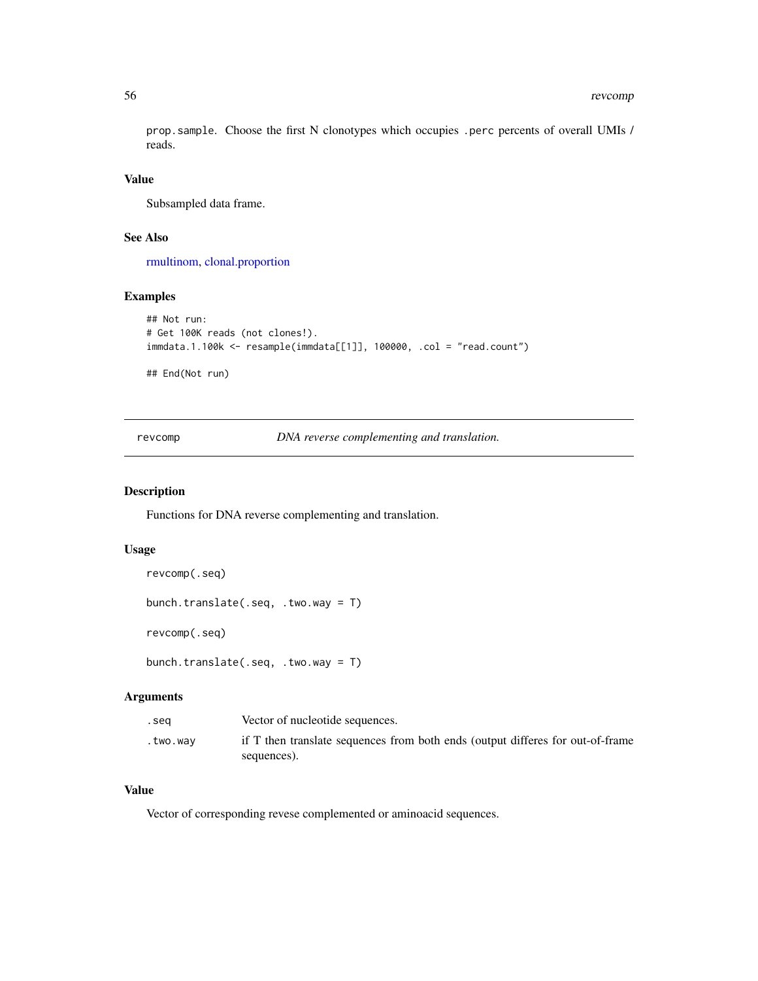prop.sample. Choose the first N clonotypes which occupies .perc percents of overall UMIs / reads.

#### Value

Subsampled data frame.

## See Also

[rmultinom,](#page-0-0) [clonal.proportion](#page-66-0)

## Examples

```
## Not run:
# Get 100K reads (not clones!).
immdata.1.100k <- resample(immdata[[1]], 100000, .col = "read.count")
## End(Not run)
```
revcomp *DNA reverse complementing and translation.*

#### Description

Functions for DNA reverse complementing and translation.

## Usage

```
revcomp(.seq)
```

```
bunch.translate(.seq, .two.way = T)
```
revcomp(.seq)

bunch.translate(.seq, .two.way = T)

## Arguments

| .sea     | Vector of nucleotide sequences.                                                               |
|----------|-----------------------------------------------------------------------------------------------|
| .two.way | if T then translate sequences from both ends (output differes for out-of-frame<br>sequences). |
|          |                                                                                               |

# Value

Vector of corresponding revese complemented or aminoacid sequences.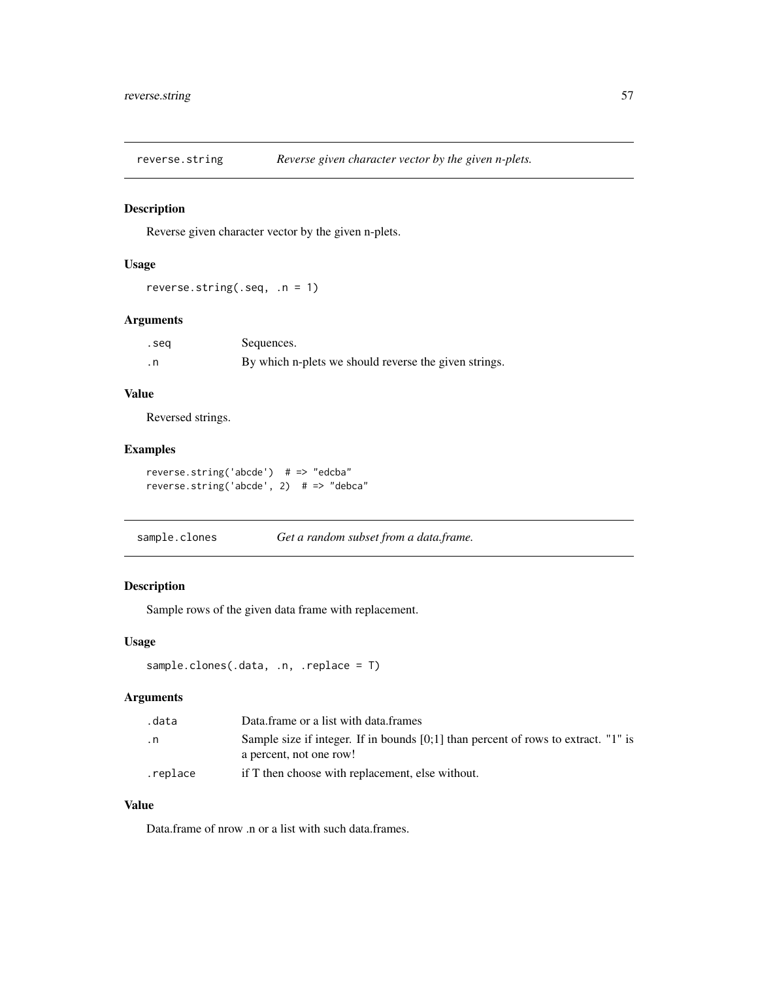Reverse given character vector by the given n-plets.

## Usage

```
reverse.string(.seq, .n = 1)
```
## Arguments

| .seq | Sequences.                                            |
|------|-------------------------------------------------------|
| . n  | By which n-plets we should reverse the given strings. |

## Value

Reversed strings.

# Examples

```
reverse.string('abcde') # => "edcba"
reverse.string('abcde', 2) # => "debca"
```
sample.clones *Get a random subset from a data.frame.*

# Description

Sample rows of the given data frame with replacement.

#### Usage

```
sample.clones(.data, .n, .replace = T)
```
#### Arguments

| .data    | Data frame or a list with data frames                                                                         |
|----------|---------------------------------------------------------------------------------------------------------------|
| . n      | Sample size if integer. If in bounds [0;1] than percent of rows to extract. "1" is<br>a percent, not one row! |
| .replace | if T then choose with replacement, else without.                                                              |

## Value

Data.frame of nrow .n or a list with such data.frames.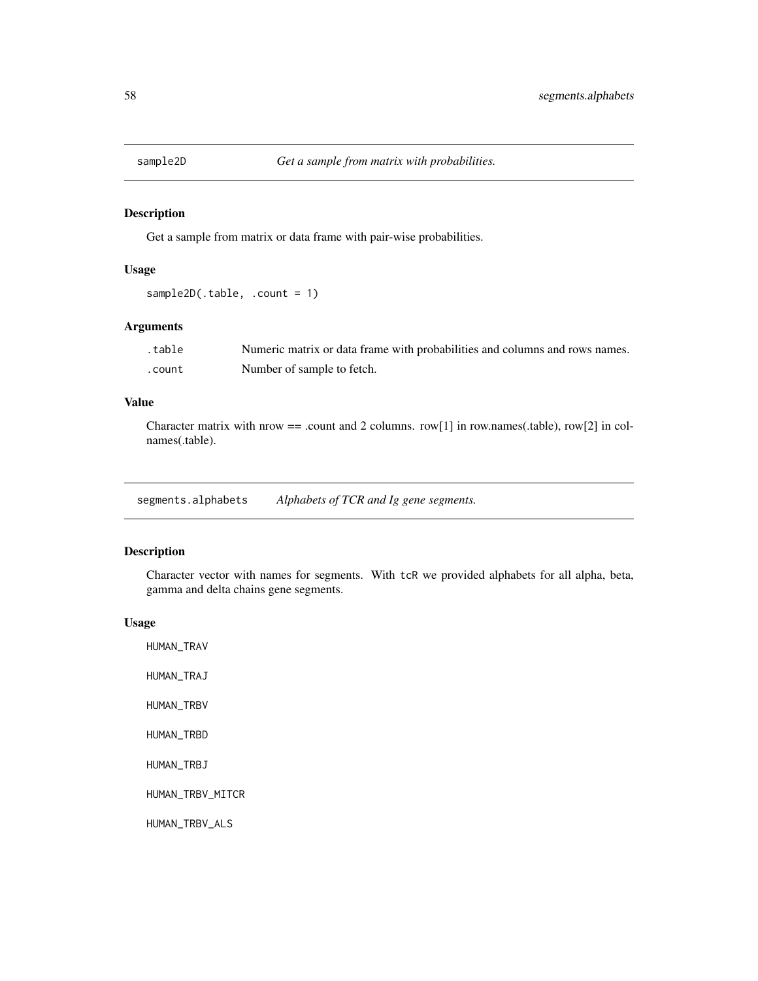Get a sample from matrix or data frame with pair-wise probabilities.

## Usage

sample2D(.table, .count = 1)

## Arguments

| .table | Numeric matrix or data frame with probabilities and columns and rows names. |
|--------|-----------------------------------------------------------------------------|
| .count | Number of sample to fetch.                                                  |

## Value

Character matrix with nrow  $==$  .count and 2 columns. row[1] in row.names(.table), row[2] in colnames(.table).

segments.alphabets *Alphabets of TCR and Ig gene segments.*

# Description

Character vector with names for segments. With tcR we provided alphabets for all alpha, beta, gamma and delta chains gene segments.

#### Usage

HUMAN\_TRAV HUMAN\_TRAJ HUMAN\_TRBV HUMAN\_TRBD HUMAN\_TRBJ HUMAN\_TRBV\_MITCR HUMAN\_TRBV\_ALS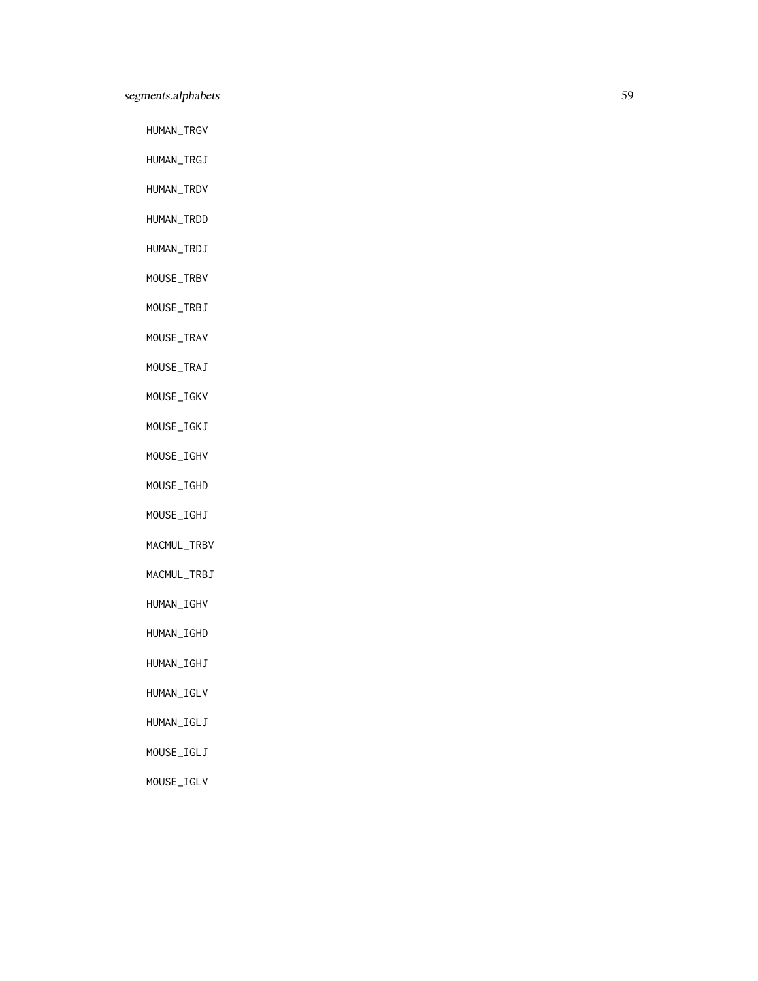# segments.alphabets 59

HUMAN\_TRGV

HUMAN\_TRGJ

HUMAN\_TRDV

HUMAN\_TRDD

HUMAN\_TRDJ

MOUSE\_TRBV

MOUSE\_TRBJ

MOUSE\_TRAV

MOUSE\_TRAJ

MOUSE\_IGKV

MOUSE\_IGKJ

MOUSE\_IGHV

MOUSE\_IGHD

MOUSE\_IGHJ

MACMUL\_TRBV

MACMUL\_TRBJ

HUMAN\_IGHV

HUMAN\_IGHD

HUMAN\_IGHJ

HUMAN\_IGLV

HUMAN\_IGLJ

MOUSE\_IGLJ

MOUSE\_IGLV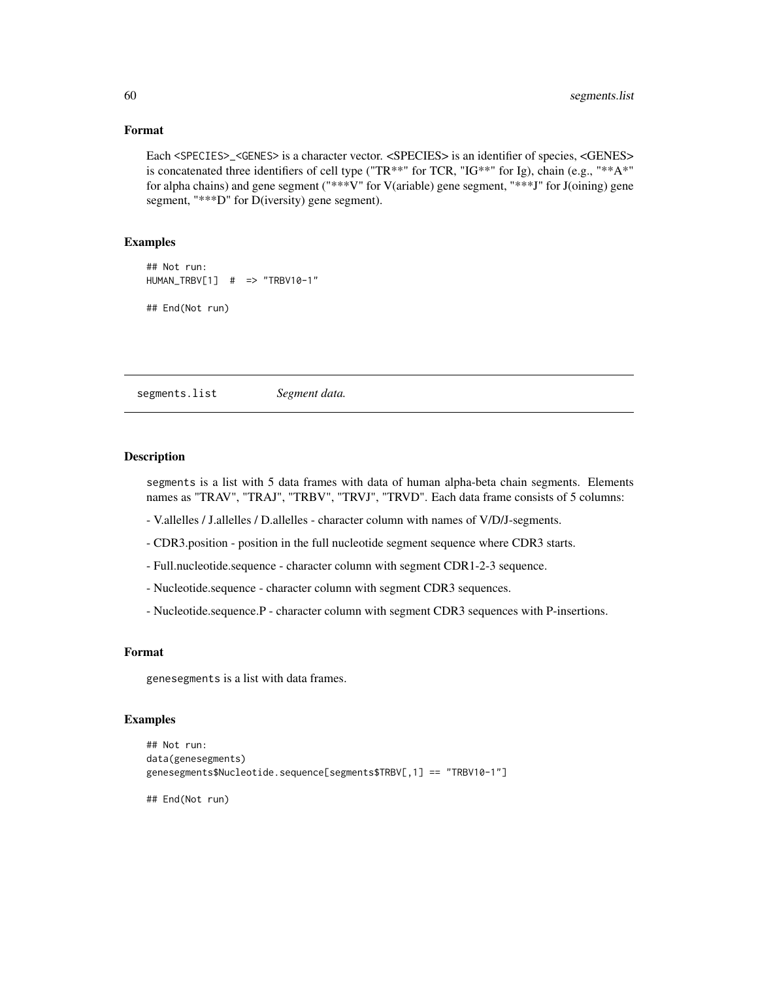## Format

Each <SPECIES>\_<GENES> is a character vector. <SPECIES> is an identifier of species, <GENES> is concatenated three identifiers of cell type ("TR\*\*" for TCR, "IG\*\*" for Ig), chain (e.g., "\*\*A\*" for alpha chains) and gene segment ("\*\*\*V" for V(ariable) gene segment, "\*\*\*J" for J(oining) gene segment, "\*\*\*D" for D(iversity) gene segment).

#### Examples

## Not run: HUMAN\_TRBV[1] # => "TRBV10-1" ## End(Not run)

segments.list *Segment data.*

## Description

segments is a list with 5 data frames with data of human alpha-beta chain segments. Elements names as "TRAV", "TRAJ", "TRBV", "TRVJ", "TRVD". Each data frame consists of 5 columns:

- V.allelles / J.allelles / D.allelles character column with names of V/D/J-segments.
- CDR3.position position in the full nucleotide segment sequence where CDR3 starts.
- Full.nucleotide.sequence character column with segment CDR1-2-3 sequence.
- Nucleotide.sequence character column with segment CDR3 sequences.
- Nucleotide.sequence.P character column with segment CDR3 sequences with P-insertions.

## Format

genesegments is a list with data frames.

## Examples

```
## Not run:
data(genesegments)
genesegments$Nucleotide.sequence[segments$TRBV[,1] == "TRBV10-1"]
```
## End(Not run)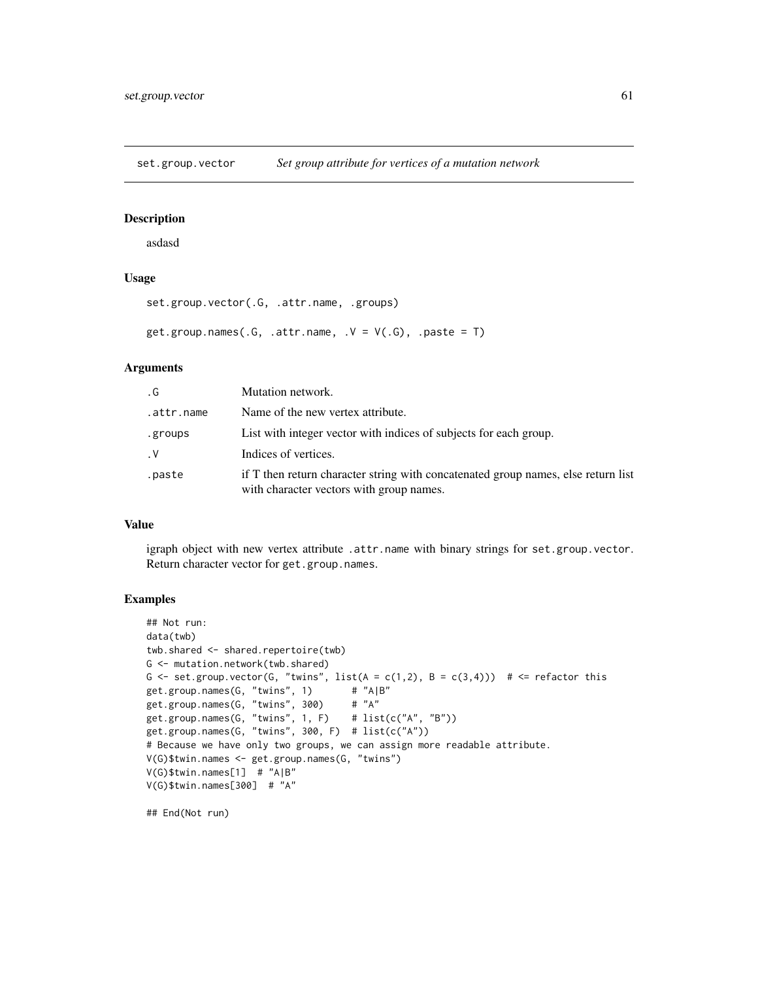set.group.vector *Set group attribute for vertices of a mutation network*

## Description

asdasd

## Usage

```
set.group.vector(.G, .attr.name, .groups)
get.group.names(.G, .attr.name, .V = V(.G), .paste = T)
```
## Arguments

| . G        | Mutation network.                                                                                                             |
|------------|-------------------------------------------------------------------------------------------------------------------------------|
| .attr.name | Name of the new vertex attribute.                                                                                             |
| .groups    | List with integer vector with indices of subjects for each group.                                                             |
| $\cdot$ V  | Indices of vertices.                                                                                                          |
| .paste     | if T then return character string with concatenated group names, else return list<br>with character vectors with group names. |

## Value

igraph object with new vertex attribute .attr.name with binary strings for set.group.vector. Return character vector for get.group.names.

## Examples

```
## Not run:
data(twb)
twb.shared <- shared.repertoire(twb)
G <- mutation.network(twb.shared)
G \le set.group.vector(G, "twins", list(A = c(1,2), B = c(3,4))) # \le refactor this
get.group.names(G, "twins", 1) # "A|B"<br>get.group.names(G, "twins", 300) # "A"
get.group.names(G, "twins", 300)
get.group.names(G, "twins", 1, F) \# list(c("A", "B"))
get.group.names(G, "twins", 300, F) # list(c("A"))
# Because we have only two groups, we can assign more readable attribute.
V(G)$twin.names <- get.group.names(G, "twins")
V(G)$twin.names[1] # "A|B"
V(G)$twin.names[300] # "A"
```
## End(Not run)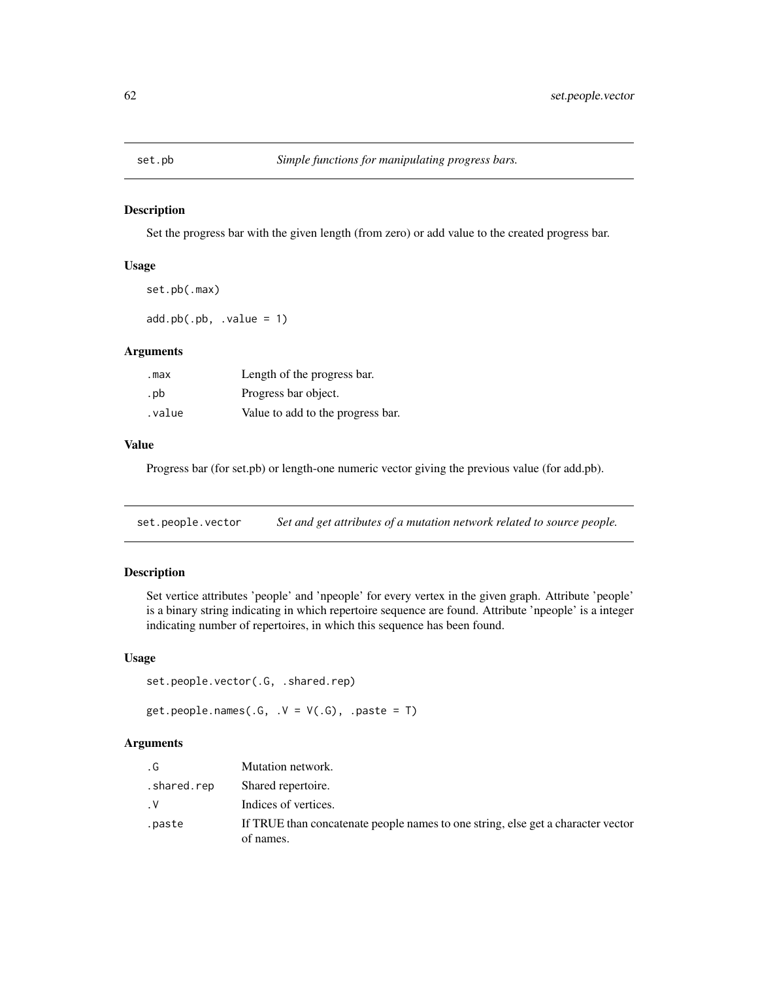Set the progress bar with the given length (from zero) or add value to the created progress bar.

## Usage

set.pb(.max)

 $add.pb(.pb, .value = 1)$ 

## Arguments

| .max   | Length of the progress bar.       |
|--------|-----------------------------------|
| . pb   | Progress bar object.              |
| .value | Value to add to the progress bar. |

#### Value

Progress bar (for set.pb) or length-one numeric vector giving the previous value (for add.pb).

<span id="page-61-0"></span>set.people.vector *Set and get attributes of a mutation network related to source people.*

# <span id="page-61-1"></span>Description

Set vertice attributes 'people' and 'npeople' for every vertex in the given graph. Attribute 'people' is a binary string indicating in which repertoire sequence are found. Attribute 'npeople' is a integer indicating number of repertoires, in which this sequence has been found.

## Usage

```
set.people.vector(.G, .shared.rep)
```
get.people.names(.G,  $.V = V(.G)$ , .paste = T)

## Arguments

| . G         | Mutation network.                                                                             |
|-------------|-----------------------------------------------------------------------------------------------|
| .shared.rep | Shared repertoire.                                                                            |
| $\cdot$ V   | Indices of vertices.                                                                          |
| .paste      | If TRUE than concatenate people names to one string, else get a character vector<br>of names. |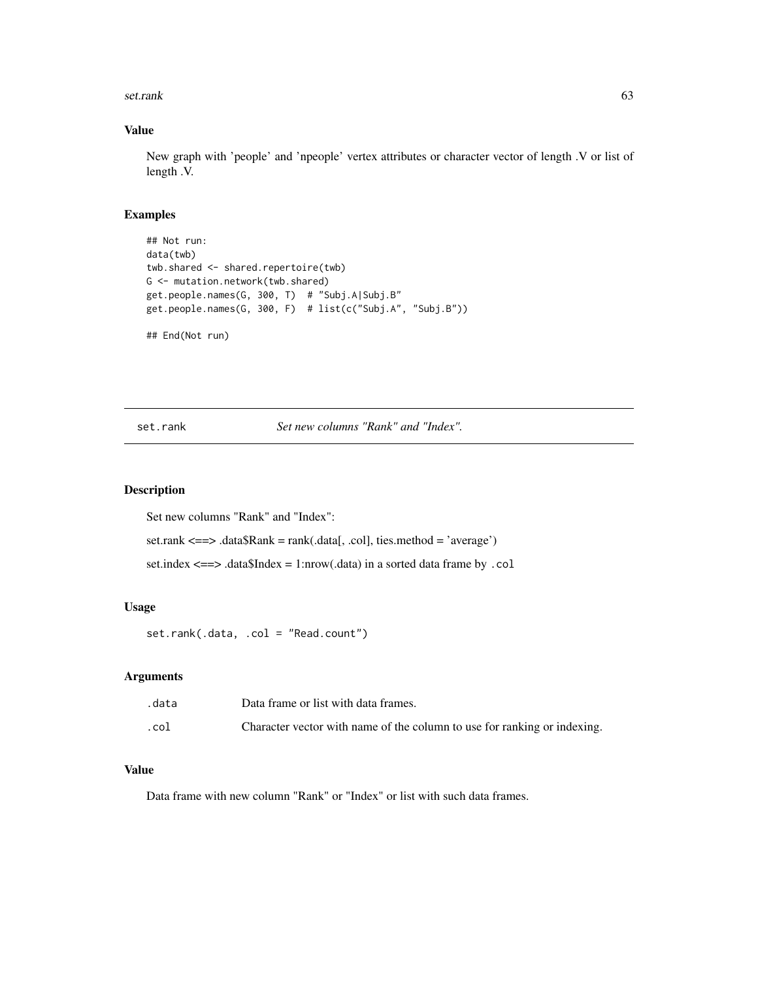#### set.rank 63

# Value

New graph with 'people' and 'npeople' vertex attributes or character vector of length .V or list of length .V.

## Examples

```
## Not run:
data(twb)
twb.shared <- shared.repertoire(twb)
G <- mutation.network(twb.shared)
get.people.names(G, 300, T) # "Subj.A|Subj.B"
get.people.names(G, 300, F) # list(c("Subj.A", "Subj.B"))
## End(Not run)
```
<span id="page-62-0"></span>set.rank *Set new columns "Rank" and "Index".*

## Description

Set new columns "Rank" and "Index":

set.rank <==> .data\$Rank = rank(.data[, .col], ties.method = 'average')

set.index <==> .data\$Index = 1:nrow(.data) in a sorted data frame by .col

## Usage

set.rank(.data, .col = "Read.count")

#### Arguments

| .data | Data frame or list with data frames.                                     |
|-------|--------------------------------------------------------------------------|
| .col  | Character vector with name of the column to use for ranking or indexing. |

# Value

Data frame with new column "Rank" or "Index" or list with such data frames.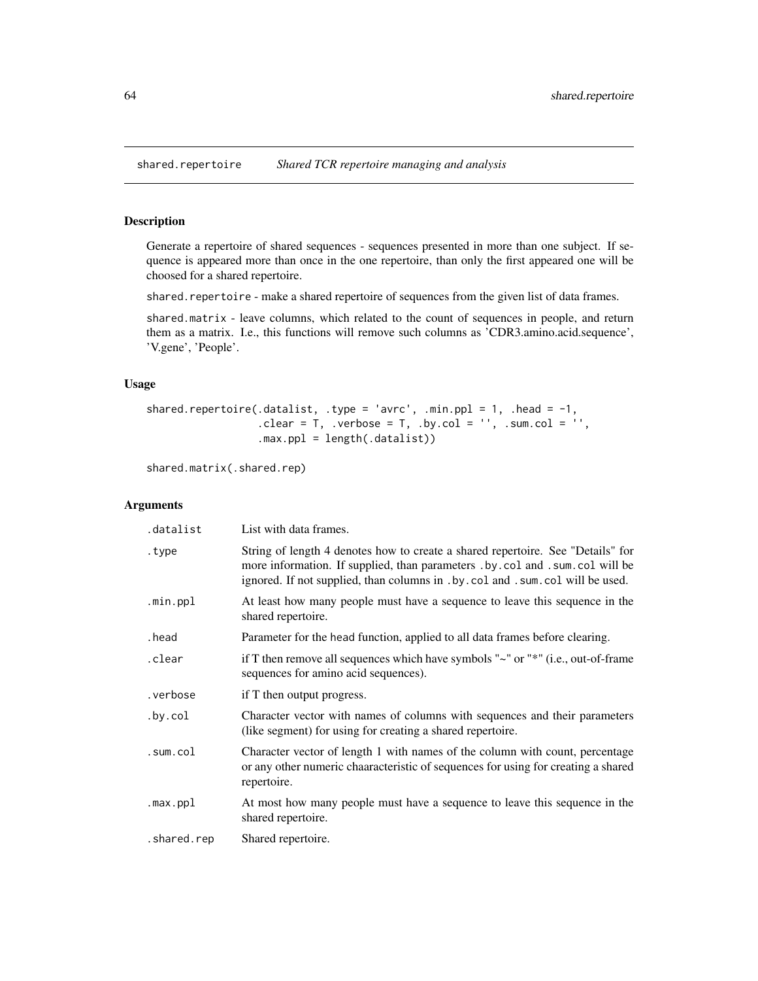<span id="page-63-0"></span>

Generate a repertoire of shared sequences - sequences presented in more than one subject. If sequence is appeared more than once in the one repertoire, than only the first appeared one will be choosed for a shared repertoire.

shared.repertoire - make a shared repertoire of sequences from the given list of data frames.

shared.matrix - leave columns, which related to the count of sequences in people, and return them as a matrix. I.e., this functions will remove such columns as 'CDR3.amino.acid.sequence', 'V.gene', 'People'.

## Usage

```
shared.repertoire(.datalist, .type = 'avrc', .min.ppl = 1, .head = -1,
                          \text{clear} = \text{T}, \text{verbose} = \text{T}, \text{by} \text{col} = \text{''}, \text{sum} \text{col} = \text{''},
                          .max.ppl = length(.datalist))
```
shared.matrix(.shared.rep)

## Arguments

| .datalist   | List with data frames.                                                                                                                                                                                                                                   |
|-------------|----------------------------------------------------------------------------------------------------------------------------------------------------------------------------------------------------------------------------------------------------------|
| .type       | String of length 4 denotes how to create a shared repertoire. See "Details" for<br>more information. If supplied, than parameters . by . col and . sum. col will be<br>ignored. If not supplied, than columns in . by . col and . sum. col will be used. |
| .min.ppl    | At least how many people must have a sequence to leave this sequence in the<br>shared repertoire.                                                                                                                                                        |
| .head       | Parameter for the head function, applied to all data frames before clearing.                                                                                                                                                                             |
| .clear      | if T then remove all sequences which have symbols " $\sim$ " or " $*$ " (i.e., out-of-frame<br>sequences for amino acid sequences).                                                                                                                      |
| .verbose    | if T then output progress.                                                                                                                                                                                                                               |
| .by.col     | Character vector with names of columns with sequences and their parameters<br>(like segment) for using for creating a shared repertoire.                                                                                                                 |
| .sum.col    | Character vector of length 1 with names of the column with count, percentage<br>or any other numeric chaaracteristic of sequences for using for creating a shared<br>repertoire.                                                                         |
| .max.ppl    | At most how many people must have a sequence to leave this sequence in the<br>shared repertoire.                                                                                                                                                         |
| .shared.rep | Shared repertoire.                                                                                                                                                                                                                                       |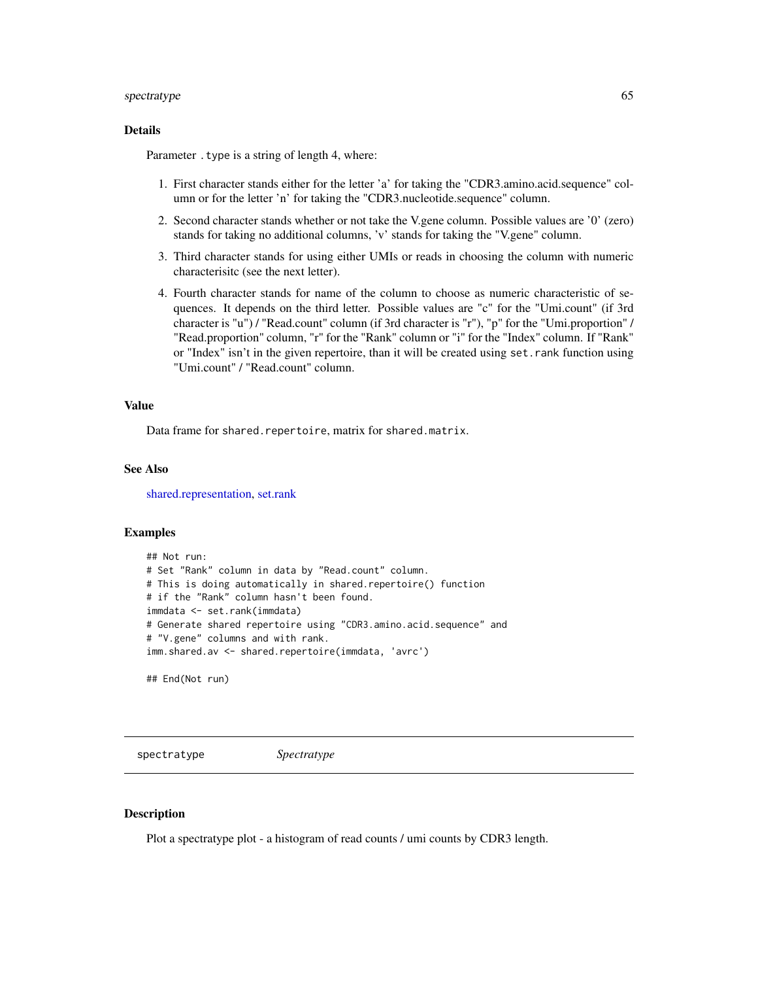#### spectratype 65

## Details

Parameter . type is a string of length 4, where:

- 1. First character stands either for the letter 'a' for taking the "CDR3.amino.acid.sequence" column or for the letter 'n' for taking the "CDR3.nucleotide.sequence" column.
- 2. Second character stands whether or not take the V.gene column. Possible values are '0' (zero) stands for taking no additional columns, 'v' stands for taking the "V.gene" column.
- 3. Third character stands for using either UMIs or reads in choosing the column with numeric characterisitc (see the next letter).
- 4. Fourth character stands for name of the column to choose as numeric characteristic of sequences. It depends on the third letter. Possible values are "c" for the "Umi.count" (if 3rd character is "u") / "Read.count" column (if 3rd character is "r"), "p" for the "Umi.proportion" / "Read.proportion" column, "r" for the "Rank" column or "i" for the "Index" column. If "Rank" or "Index" isn't in the given repertoire, than it will be created using set.rank function using "Umi.count" / "Read.count" column.

#### Value

Data frame for shared.repertoire, matrix for shared.matrix.

## See Also

[shared.representation,](#page-15-0) [set.rank](#page-62-0)

#### Examples

```
## Not run:
# Set "Rank" column in data by "Read.count" column.
# This is doing automatically in shared.repertoire() function
# if the "Rank" column hasn't been found.
immdata <- set.rank(immdata)
# Generate shared repertoire using "CDR3.amino.acid.sequence" and
# "V.gene" columns and with rank.
imm.shared.av <- shared.repertoire(immdata, 'avrc')
```
## End(Not run)

spectratype *Spectratype*

# **Description**

Plot a spectratype plot - a histogram of read counts / umi counts by CDR3 length.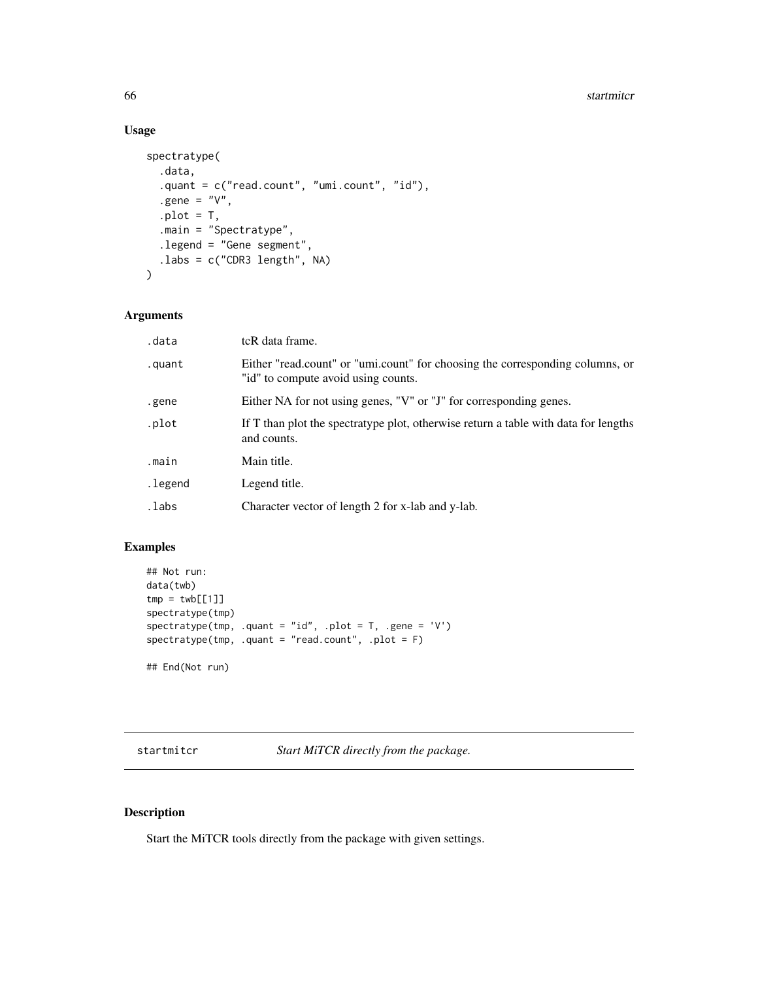#### 66 startmitcr startming the startming of the startming startming startming startming startming startming startming

# Usage

```
spectratype(
  .data,
  .quant = c("read.count", "umi.count", "id"),
  .gene = "V",.plot = T,.main = "Spectratype",
  .legend = "Gene segment",
  .labs = c("CDR3 length", NA)
\mathcal{L}
```
## Arguments

| .data   | tcR data frame.                                                                                                      |
|---------|----------------------------------------------------------------------------------------------------------------------|
| .quant  | Either "read.count" or "umi.count" for choosing the corresponding columns, or<br>"id" to compute avoid using counts. |
| .gene   | Either NA for not using genes, "V" or "J" for corresponding genes.                                                   |
| .plot   | If T than plot the spectratype plot, otherwise return a table with data for lengths<br>and counts.                   |
| .main   | Main title.                                                                                                          |
| .legend | Legend title.                                                                                                        |
| .labs   | Character vector of length 2 for x-lab and y-lab.                                                                    |

## Examples

```
## Not run:
data(twb)
tmp = twb[[1]]spectratype(tmp)
spectratype(tmp, .quant = "id", .plot = T, .gene = 'V')
spectratype(tmp, .quant = "read.count", .plot = F)
## End(Not run)
```
startmitcr *Start MiTCR directly from the package.*

## Description

Start the MiTCR tools directly from the package with given settings.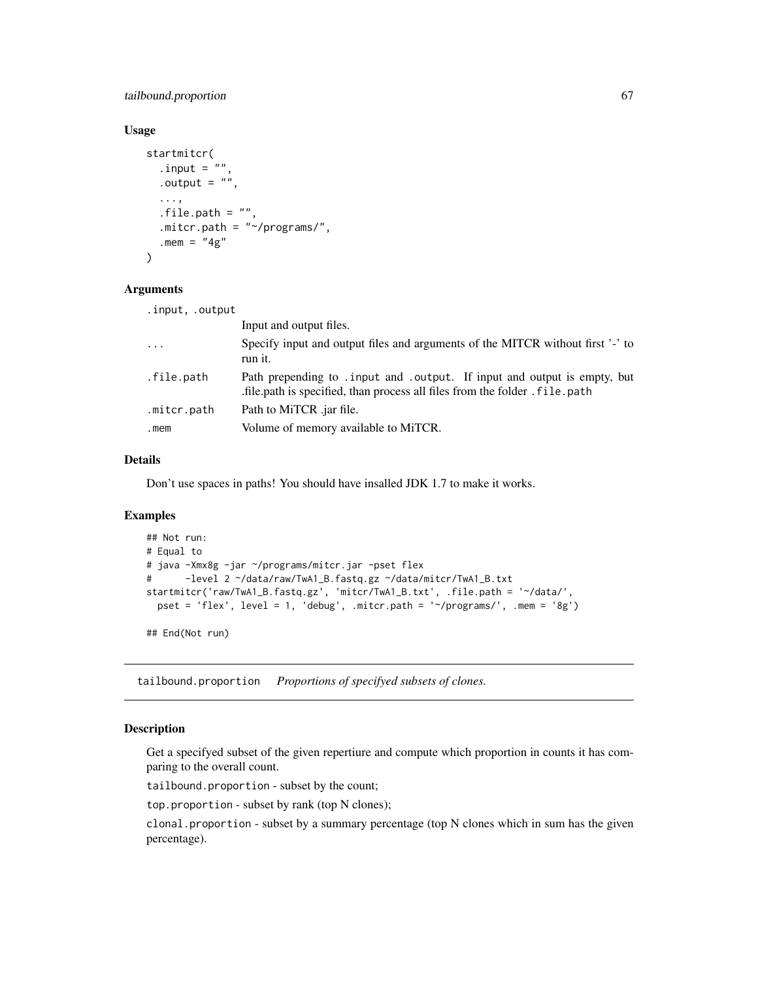## tailbound.proportion 67

## Usage

```
startmitcr(
  .input = ",
  .output = ",
  ...,
  .file.path = "",.mitcr.path = "~/programs/",
  . mem = "4g"\lambda
```
#### Arguments

| .input, .output         |                                                                                                                                                         |
|-------------------------|---------------------------------------------------------------------------------------------------------------------------------------------------------|
|                         | Input and output files.                                                                                                                                 |
| $\cdot$ $\cdot$ $\cdot$ | Specify input and output files and arguments of the MITCR without first '-' to<br>run it.                                                               |
| .file.path              | Path prepending to . input and . output. If input and output is empty, but<br>file path is specified, than process all files from the folder. file path |
| .mitcr.path             | Path to MiTCR .jar file.                                                                                                                                |
| .mem                    | Volume of memory available to MiTCR.                                                                                                                    |

#### Details

Don't use spaces in paths! You should have insalled JDK 1.7 to make it works.

#### Examples

```
## Not run:
# Equal to
# java -Xmx8g -jar ~/programs/mitcr.jar -pset flex
# -level 2 ~/data/raw/TwA1_B.fastq.gz ~/data/mitcr/TwA1_B.txt
startmitcr('raw/TwA1_B.fastq.gz', 'mitcr/TwA1_B.txt', .file.path = '~/data/',
 pset = 'flex', level = 1, 'debug', .mitcr.path = '~/programs/', .mem = '8g')
```
## End(Not run)

tailbound.proportion *Proportions of specifyed subsets of clones.*

# <span id="page-66-0"></span>Description

Get a specifyed subset of the given repertiure and compute which proportion in counts it has comparing to the overall count.

tailbound.proportion - subset by the count;

top.proportion - subset by rank (top N clones);

clonal.proportion - subset by a summary percentage (top N clones which in sum has the given percentage).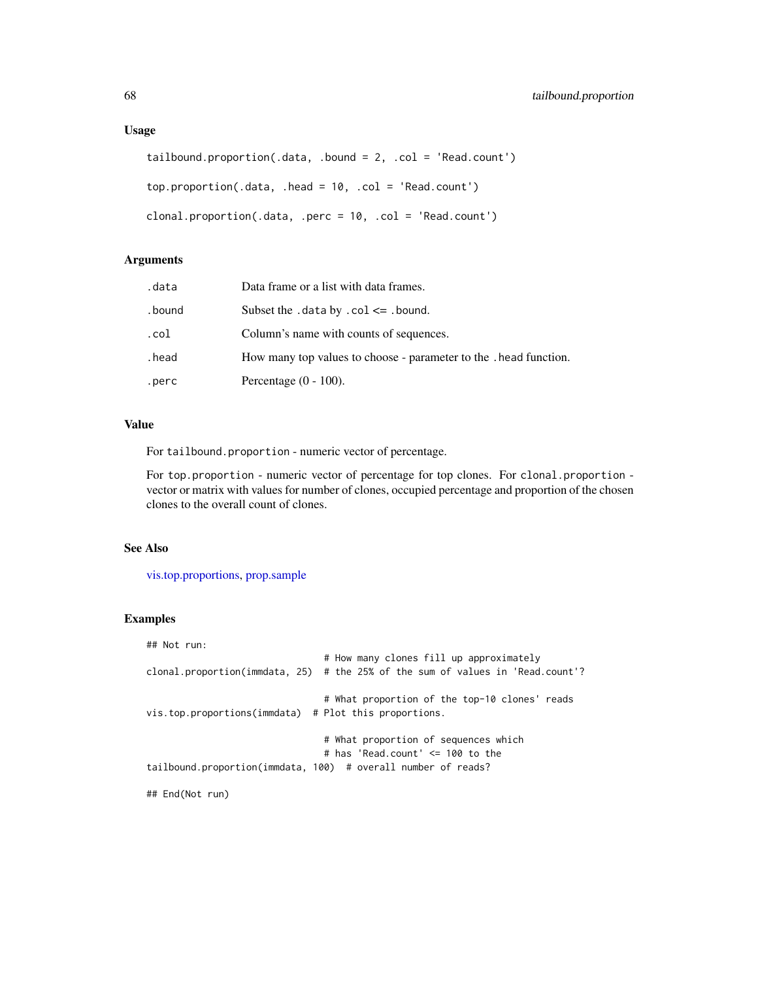#### Usage

```
tailbound.proportion(.data, .bound = 2, .col = 'Read.count')
top.proportion(.data, .head = 10, .col = 'Read.count')
clonal.proportion(.data, .perc = 10, .col = 'Read.count')
```
## Arguments

| .data   | Data frame or a list with data frames.                            |
|---------|-------------------------------------------------------------------|
| . bound | Subset the .data by $col \le$ .bound.                             |
| .col    | Column's name with counts of sequences.                           |
| .head   | How many top values to choose - parameter to the . head function. |
| .perc   | Percentage $(0 - 100)$ .                                          |

## Value

For tailbound.proportion - numeric vector of percentage.

For top.proportion - numeric vector of percentage for top clones. For clonal.proportion vector or matrix with values for number of clones, occupied percentage and proportion of the chosen clones to the overall count of clones.

#### See Also

[vis.top.proportions,](#page-83-0) [prop.sample](#page-54-0)

#### Examples

```
## Not run:
                               # How many clones fill up approximately
clonal.proportion(immdata, 25) # the 25% of the sum of values in 'Read.count'?
                               # What proportion of the top-10 clones' reads
vis.top.proportions(immdata) # Plot this proportions.
                               # What proportion of sequences which
                               # has 'Read.count' <= 100 to the
tailbound.proportion(immdata, 100) # overall number of reads?
## End(Not run)
```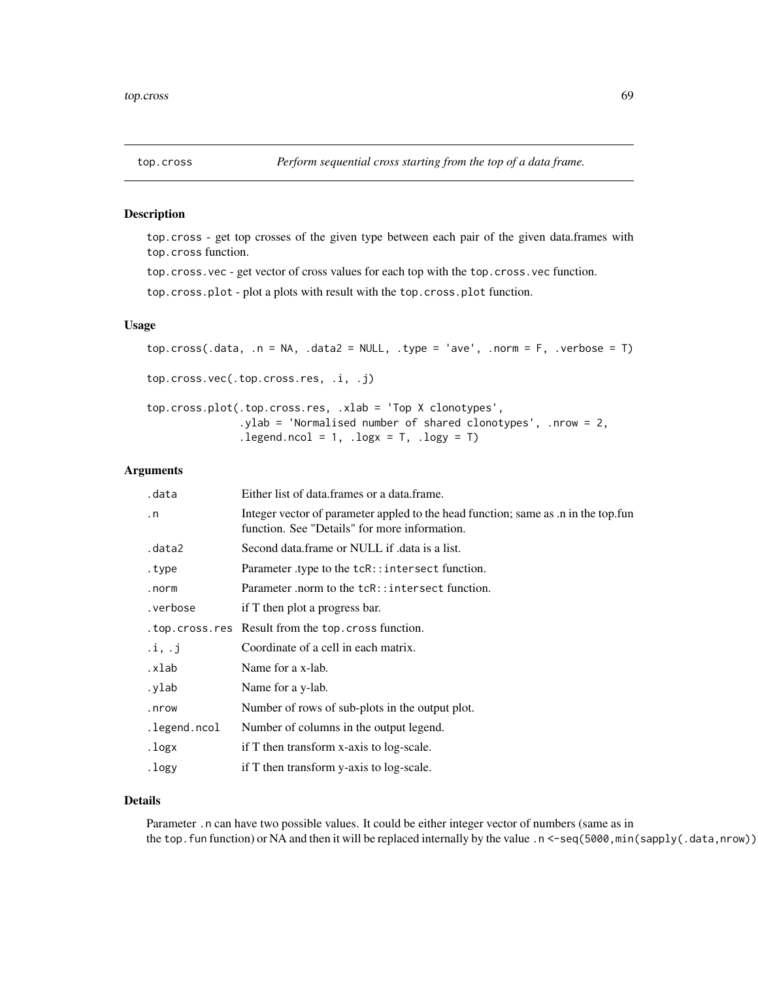top.cross - get top crosses of the given type between each pair of the given data.frames with top.cross function.

top.cross.vec - get vector of cross values for each top with the top.cross.vec function.

top.cross.plot - plot a plots with result with the top.cross.plot function.

# Usage

```
top.cross(.data, .n = NA, .data2 = NULL, .type = 'ave', .norm = F, .verbose = T)
top.cross.vec(.top.cross.res, .i, .j)
top.cross.plot(.top.cross.res, .xlab = 'Top X clonotypes',
               .ylab = 'Normalised number of shared clonotypes', .nrow = 2,
               legend.ncol = 1, logx = T, logy = T
```
# Arguments

| .data                    | Either list of data.frames or a data.frame.                                                                                         |
|--------------------------|-------------------------------------------------------------------------------------------------------------------------------------|
| $\cdot$ n                | Integer vector of parameter appled to the head function; same as .n in the top.fun<br>function. See "Details" for more information. |
| .data2                   | Second data frame or NULL if data is a list.                                                                                        |
| .type                    | Parameter type to the tcR::intersect function.                                                                                      |
| .norm                    | Parameter .norm to the tcR::intersect function.                                                                                     |
| .verbose                 | if T then plot a progress bar.                                                                                                      |
|                          | . top. cross. res Result from the top. cross function.                                                                              |
| $\mathbf{i}, \mathbf{j}$ | Coordinate of a cell in each matrix.                                                                                                |
| .xlab                    | Name for a x-lab.                                                                                                                   |
| .ylab                    | Name for a y-lab.                                                                                                                   |
| .nrow                    | Number of rows of sub-plots in the output plot.                                                                                     |
| .legend.ncol             | Number of columns in the output legend.                                                                                             |
| .logx                    | if T then transform x-axis to log-scale.                                                                                            |
| .logy                    | if T then transform y-axis to log-scale.                                                                                            |
|                          |                                                                                                                                     |

#### Details

Parameter .n can have two possible values. It could be either integer vector of numbers (same as in the top.fun function) or NA and then it will be replaced internally by the value .n <-seq(5000,min(sapply(.data,nrow))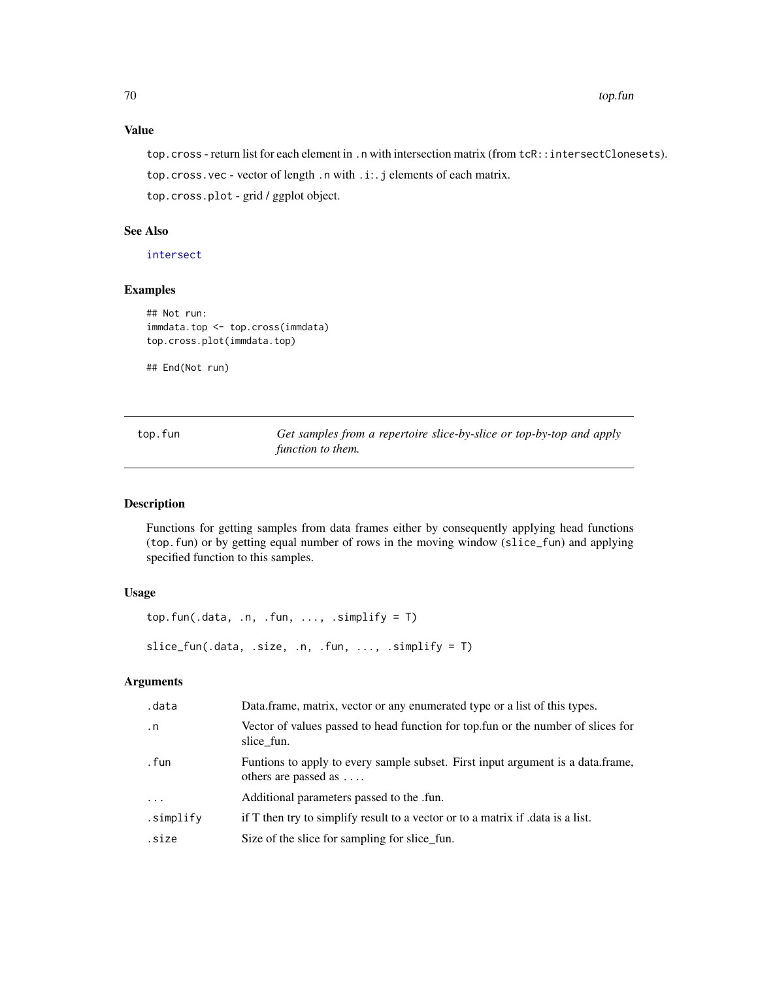# Value

top.cross - return list for each element in .n with intersection matrix (from tcR::intersectClonesets). top.cross.vec - vector of length .n with .i:. j elements of each matrix. top.cross.plot - grid / ggplot object.

## See Also

[intersect](#page-0-0)

#### Examples

```
## Not run:
immdata.top <- top.cross(immdata)
top.cross.plot(immdata.top)
```
## End(Not run)

| top.fun | Get samples from a repertoire slice-by-slice or top-by-top and apply |  |  |  |
|---------|----------------------------------------------------------------------|--|--|--|
|         | function to them.                                                    |  |  |  |

## Description

Functions for getting samples from data frames either by consequently applying head functions (top.fun) or by getting equal number of rows in the moving window (slice\_fun) and applying specified function to this samples.

## Usage

```
top.fun(.data, .n, .fun, ..., .simplify = T)
slice_fun(.data, .size, .n, .fun, ..., .simplify = T)
```
## Arguments

| .data      | Data.frame, matrix, vector or any enumerated type or a list of this types.                                      |
|------------|-----------------------------------------------------------------------------------------------------------------|
| $\cdot$ n  | Vector of values passed to head function for top. fun or the number of slices for<br>slice fun.                 |
| . fun      | Funtions to apply to every sample subset. First input argument is a data.frame,<br>others are passed as $\dots$ |
| $\ddots$ . | Additional parameters passed to the .fun.                                                                       |
| .simplify  | if T then try to simplify result to a vector or to a matrix if data is a list.                                  |
| .size      | Size of the slice for sampling for slice fun.                                                                   |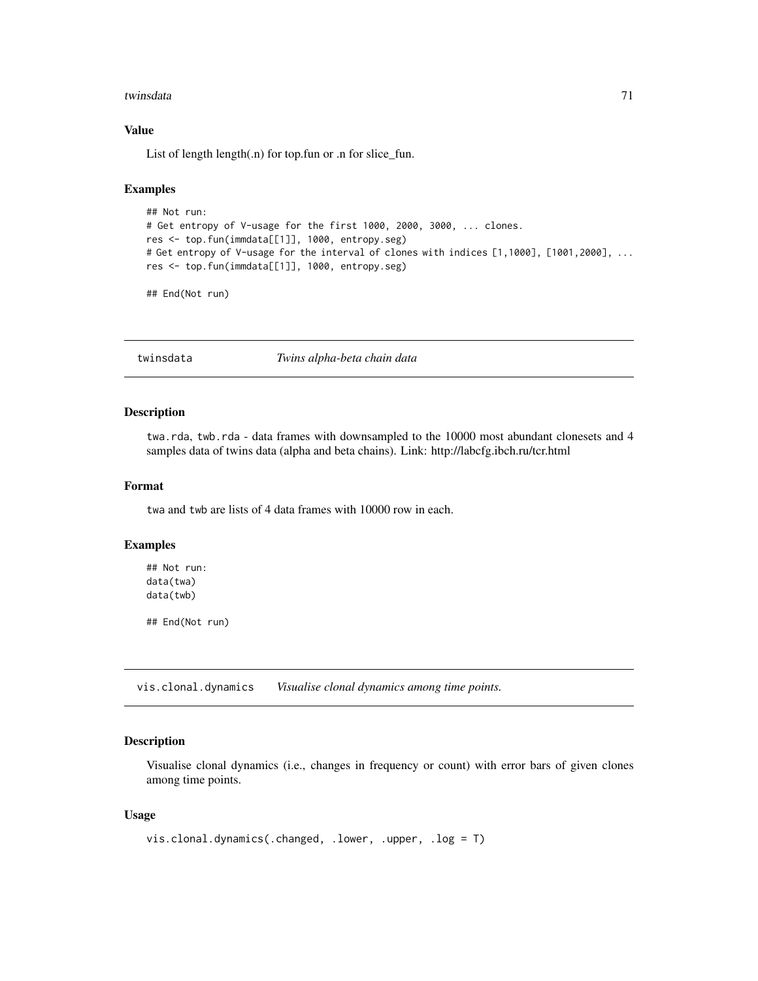#### twinsdata 2008 and 2008 and 2008 and 2008 and 2008 and 2008 and 2008 and 2008 and 2008 and 2008 and 2008 and 20

## Value

List of length length(.n) for top.fun or .n for slice\_fun.

#### Examples

```
## Not run:
# Get entropy of V-usage for the first 1000, 2000, 3000, ... clones.
res <- top.fun(immdata[[1]], 1000, entropy.seg)
# Get entropy of V-usage for the interval of clones with indices [1,1000], [1001,2000], ...
res <- top.fun(immdata[[1]], 1000, entropy.seg)
```
## End(Not run)

twinsdata *Twins alpha-beta chain data*

#### Description

twa.rda, twb.rda - data frames with downsampled to the 10000 most abundant clonesets and 4 samples data of twins data (alpha and beta chains). Link: http://labcfg.ibch.ru/tcr.html

#### Format

twa and twb are lists of 4 data frames with 10000 row in each.

## Examples

## Not run: data(twa) data(twb)

## End(Not run)

vis.clonal.dynamics *Visualise clonal dynamics among time points.*

#### Description

Visualise clonal dynamics (i.e., changes in frequency or count) with error bars of given clones among time points.

```
vis.clonal.dynamics(.changed, .lower, .upper, .log = T)
```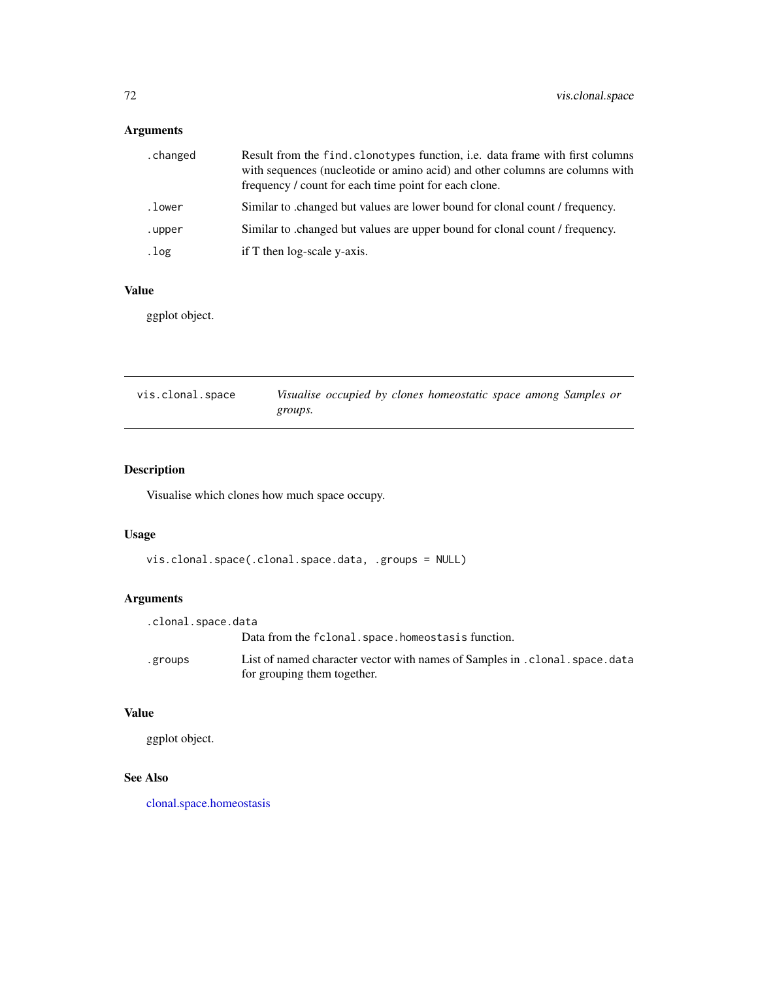# Arguments

| .changed | Result from the find. clonotypes function, <i>i.e.</i> data frame with first columns<br>with sequences (nucleotide or amino acid) and other columns are columns with<br>frequency / count for each time point for each clone. |
|----------|-------------------------------------------------------------------------------------------------------------------------------------------------------------------------------------------------------------------------------|
| .lower   | Similar to changed but values are lower bound for clonal count / frequency.                                                                                                                                                   |
| .upper   | Similar to changed but values are upper bound for clonal count / frequency.                                                                                                                                                   |
| .log     | if T then log-scale y-axis.                                                                                                                                                                                                   |

# Value

ggplot object.

| vis.clonal.space | Visualise occupied by clones homeostatic space among Samples or |
|------------------|-----------------------------------------------------------------|
|                  | groups.                                                         |

# Description

Visualise which clones how much space occupy.

# Usage

```
vis.clonal.space(.clonal.space.data, .groups = NULL)
```
## Arguments

| .clonal.space.data |                                                                               |
|--------------------|-------------------------------------------------------------------------------|
|                    | Data from the fclonal.space.homeostasis function.                             |
| .groups            | List of named character vector with names of Samples in . clonal. space. data |
|                    | for grouping them together.                                                   |

## Value

ggplot object.

# See Also

[clonal.space.homeostasis](#page-10-0)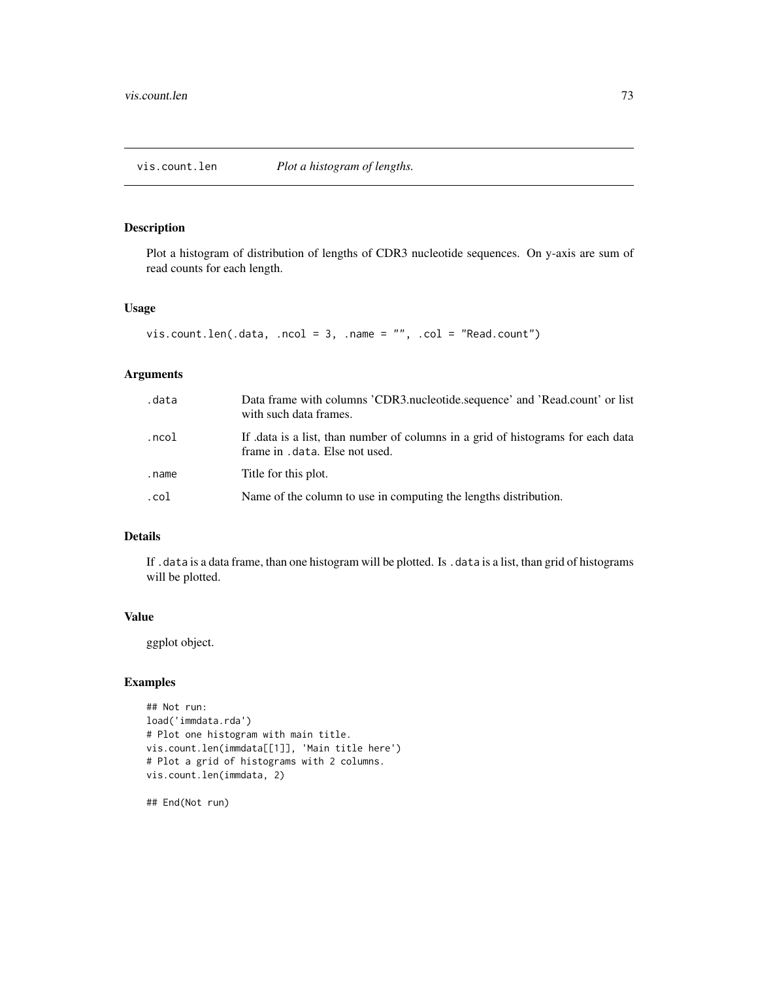## <span id="page-72-0"></span>Description

Plot a histogram of distribution of lengths of CDR3 nucleotide sequences. On y-axis are sum of read counts for each length.

## Usage

```
vis.count.len(.data, .ncol = 3, .name = "", .col = "Read.count")
```
# Arguments

| .data | Data frame with columns 'CDR3.nucleotide.sequence' and 'Read.count' or list<br>with such data frames.              |
|-------|--------------------------------------------------------------------------------------------------------------------|
| .ncol | If data is a list, than number of columns in a grid of histograms for each data<br>frame in . data. Else not used. |
| .name | Title for this plot.                                                                                               |
| .col  | Name of the column to use in computing the lengths distribution.                                                   |

## Details

If .data is a data frame, than one histogram will be plotted. Is .data is a list, than grid of histograms will be plotted.

## Value

ggplot object.

## Examples

```
## Not run:
load('immdata.rda')
# Plot one histogram with main title.
vis.count.len(immdata[[1]], 'Main title here')
# Plot a grid of histograms with 2 columns.
vis.count.len(immdata, 2)
```
## End(Not run)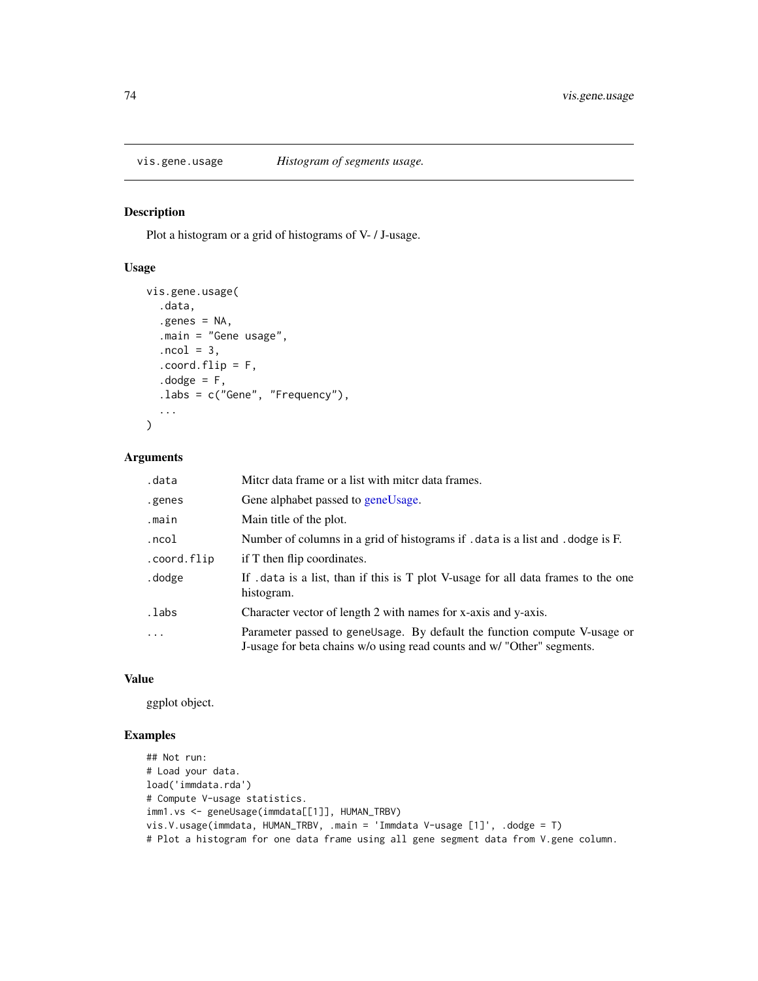<span id="page-73-0"></span>

## Description

Plot a histogram or a grid of histograms of V- / J-usage.

## Usage

```
vis.gene.usage(
  .data,
  எgenes = NA,.main = "Gene usage",
  ncol = 3,
  countflip = F,
  . dodge = F,
  .labs = c("Gene", "Frequency"),
  ...
\mathcal{L}
```
## Arguments

| .data       | Miter data frame or a list with miter data frames.                                                                                                  |
|-------------|-----------------------------------------------------------------------------------------------------------------------------------------------------|
| .genes      | Gene alphabet passed to geneUsage.                                                                                                                  |
| .main       | Main title of the plot.                                                                                                                             |
| .ncol       | Number of columns in a grid of histograms if . data is a list and . dodge is F.                                                                     |
| .coord.flip | if T then flip coordinates.                                                                                                                         |
| .dodge      | If . data is a list, than if this is T plot V-usage for all data frames to the one<br>histogram.                                                    |
| .labs       | Character vector of length 2 with names for x-axis and y-axis.                                                                                      |
| $\ddots$    | Parameter passed to geneUsage. By default the function compute V-usage or<br>J-usage for beta chains w/o using read counts and w/ "Other" segments. |

## Value

ggplot object.

# Examples

```
## Not run:
# Load your data.
load('immdata.rda')
# Compute V-usage statistics.
imm1.vs <- geneUsage(immdata[[1]], HUMAN_TRBV)
vis.V.usage(immdata, HUMAN_TRBV, .main = 'Immdata V-usage [1]', .dodge = T)
# Plot a histogram for one data frame using all gene segment data from V.gene column.
```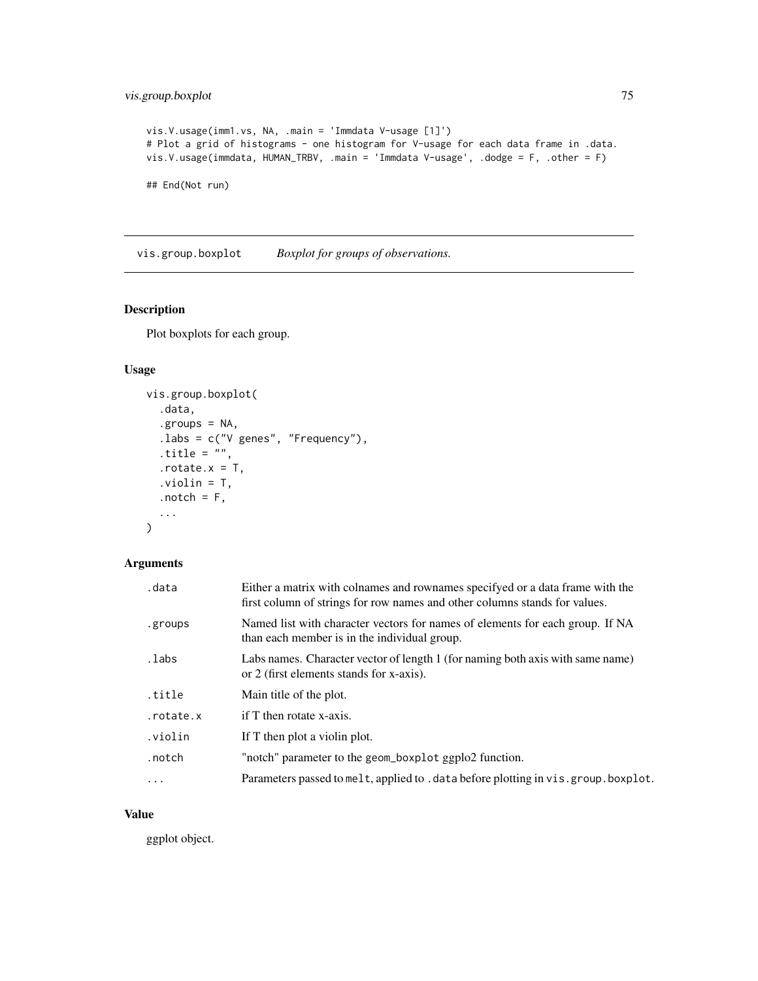```
vis.V.usage(imm1.vs, NA, .main = 'Immdata V-usage [1]')
# Plot a grid of histograms - one histogram for V-usage for each data frame in .data.
vis.V.usage(immdata, HUMAN_TRBV, .main = 'Immdata V-usage', .dodge = F, .other = F)
## End(Not run)
```
vis.group.boxplot *Boxplot for groups of observations.*

# Description

Plot boxplots for each group.

## Usage

```
vis.group.boxplot(
  .data,
  .groups = NA,
  .labs = c("V genes", "Frequency"),
  .title = ",
  .rotate.x = T,.violin = T,
  .notch = F,
  ...
\mathcal{L}
```
# Arguments

| .data     | Either a matrix with colnames and rownames specifyed or a data frame with the<br>first column of strings for row names and other columns stands for values. |
|-----------|-------------------------------------------------------------------------------------------------------------------------------------------------------------|
| .groups   | Named list with character vectors for names of elements for each group. If NA<br>than each member is in the individual group.                               |
| .labs     | Labs names. Character vector of length 1 (for naming both axis with same name)<br>or 2 (first elements stands for x-axis).                                  |
| title.    | Main title of the plot.                                                                                                                                     |
| .rotate.x | if T then rotate x-axis.                                                                                                                                    |
| .violin   | If T then plot a violin plot.                                                                                                                               |
| .notch    | "notch" parameter to the geom_boxplot ggplo2 function.                                                                                                      |
| $\ddots$  | Parameters passed to melt, applied to . data before plotting in vis. group. boxplot.                                                                        |

#### Value

ggplot object.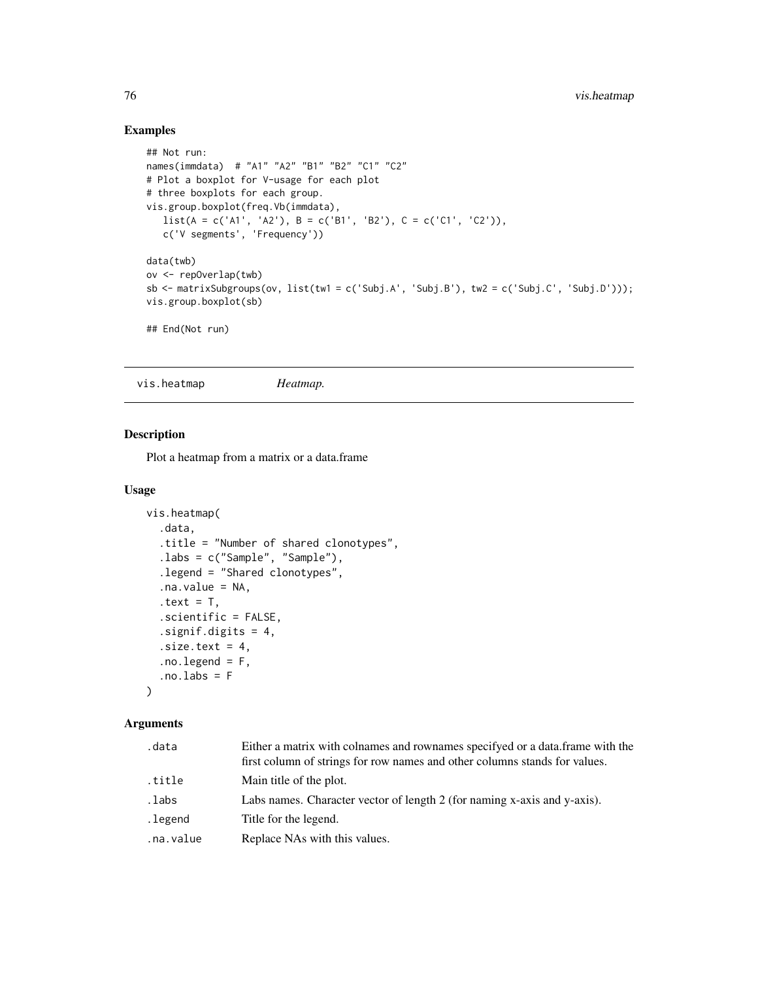# Examples

```
## Not run:
names(immdata) # "A1" "A2" "B1" "B2" "C1" "C2"
# Plot a boxplot for V-usage for each plot
# three boxplots for each group.
vis.group.boxplot(freq.Vb(immdata),
   list(A = c('A1', 'A2'), B = c('B1', 'B2'), C = c('C1', 'C2')),
   c('V segments', 'Frequency'))
data(twb)
ov <- repOverlap(twb)
sb <- matrixSubgroups(ov, list(tw1 = c('Subj.A', 'Subj.B'), tw2 = c('Subj.C', 'Subj.D')));
vis.group.boxplot(sb)
## End(Not run)
```
vis.heatmap *Heatmap.*

## Description

Plot a heatmap from a matrix or a data.frame

#### Usage

```
vis.heatmap(
  .data,
  .title = "Number of shared clonotypes",
  .labs = c("Sample", "Sample"),
  .legend = "Shared clonotypes",
  .na.value = NA,
  .text = T,
  .scientific = FALSE,
  .signif.digits = 4,
  .size.text = 4,.no.legend = F,
  . no. labs = F)
```
## Arguments

| .data     | Either a matrix with colnames and rownames specifyed or a data. frame with the<br>first column of strings for row names and other columns stands for values. |
|-----------|--------------------------------------------------------------------------------------------------------------------------------------------------------------|
| .title    | Main title of the plot.                                                                                                                                      |
| .labs     | Labs names. Character vector of length 2 (for naming x-axis and y-axis).                                                                                     |
| .legend   | Title for the legend.                                                                                                                                        |
| .na.value | Replace NAs with this values.                                                                                                                                |

<span id="page-75-0"></span>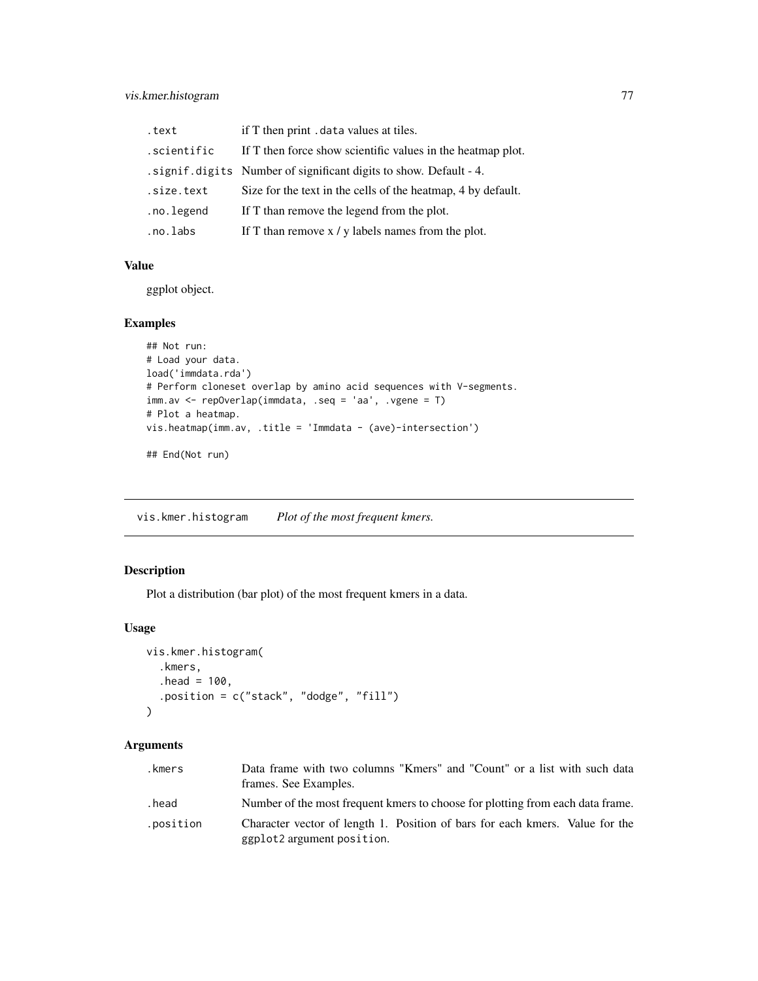# <span id="page-76-0"></span>vis.kmer.histogram 77

| .text       | if T then print . data values at tiles.                             |
|-------------|---------------------------------------------------------------------|
| .scientific | If T then force show scientific values in the heatmap plot.         |
|             | . signif. digits Number of significant digits to show. Default - 4. |
| .size.text  | Size for the text in the cells of the heatmap, 4 by default.        |
| .no.legend  | If T than remove the legend from the plot.                          |
| .no.labs    | If T than remove $x / y$ labels names from the plot.                |

## Value

ggplot object.

## Examples

```
## Not run:
# Load your data.
load('immdata.rda')
# Perform cloneset overlap by amino acid sequences with V-segments.
imm.av <- repOverlap(immdata, .seq = 'aa', .vgene = T)
# Plot a heatmap.
vis.heatmap(imm.av, .title = 'Immdata - (ave)-intersection')
## End(Not run)
```
vis.kmer.histogram *Plot of the most frequent kmers.*

# Description

Plot a distribution (bar plot) of the most frequent kmers in a data.

## Usage

```
vis.kmer.histogram(
  .kmers,
  .head = 100,
  .position = c("stack", "dodge", "fill")
\mathcal{L}
```
## Arguments

| .kmers    | Data frame with two columns "Kmers" and "Count" or a list with such data<br>frames. See Examples.          |
|-----------|------------------------------------------------------------------------------------------------------------|
| .head     | Number of the most frequent kmers to choose for plotting from each data frame.                             |
| .position | Character vector of length 1. Position of bars for each kmers. Value for the<br>ggplot2 argument position. |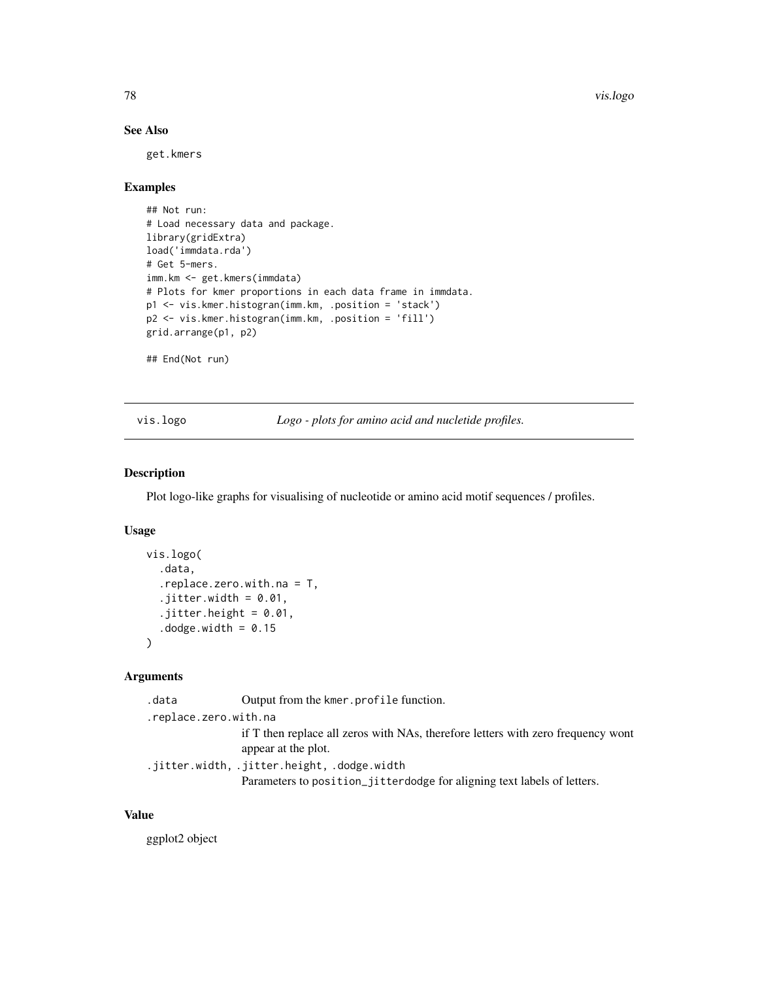# See Also

get.kmers

# Examples

```
## Not run:
# Load necessary data and package.
library(gridExtra)
load('immdata.rda')
# Get 5-mers.
imm.km <- get.kmers(immdata)
# Plots for kmer proportions in each data frame in immdata.
p1 <- vis.kmer.histogran(imm.km, .position = 'stack')
p2 <- vis.kmer.histogran(imm.km, .position = 'fill')
grid.arrange(p1, p2)
## End(Not run)
```
vis.logo *Logo - plots for amino acid and nucletide profiles.*

## Description

Plot logo-like graphs for visualising of nucleotide or amino acid motif sequences / profiles.

## Usage

```
vis.logo(
  .data,
  .replace.zero.with.na = T,
  .jitter.width = 0.01,
  .jitter.height = 0.01,
  .dodge.width = 0.15
\mathcal{L}
```
## Arguments

| .data                 | Output from the kmer. profile function.                                                                 |
|-----------------------|---------------------------------------------------------------------------------------------------------|
| .replace.zero.with.na |                                                                                                         |
|                       | if T then replace all zeros with NAs, therefore letters with zero frequency wont<br>appear at the plot. |
|                       | .jitter.width,.jitter.height,.dodge.width.                                                              |
|                       | Parameters to position_jitterdodge for aligning text labels of letters.                                 |

# Value

ggplot2 object

<span id="page-77-0"></span>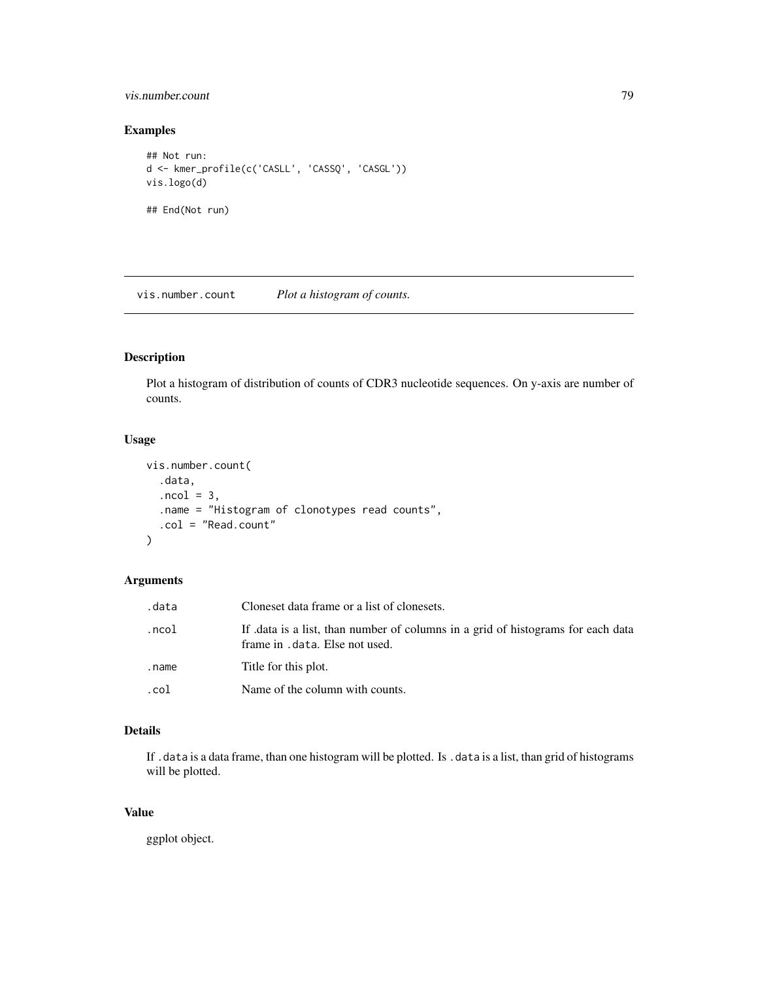## <span id="page-78-0"></span>vis.number.count 79

## Examples

```
## Not run:
d <- kmer_profile(c('CASLL', 'CASSQ', 'CASGL'))
vis.logo(d)
## End(Not run)
```
vis.number.count *Plot a histogram of counts.*

# Description

Plot a histogram of distribution of counts of CDR3 nucleotide sequences. On y-axis are number of counts.

## Usage

```
vis.number.count(
  .data,
  ncol = 3,
  .name = "Histogram of clonotypes read counts",
  .col = "Read.count"
\mathcal{L}
```
# Arguments

| .data | Cloneset data frame or a list of clonesets.                                                                        |
|-------|--------------------------------------------------------------------------------------------------------------------|
| .ncol | If data is a list, than number of columns in a grid of histograms for each data<br>frame in . data. Else not used. |
| .name | Title for this plot.                                                                                               |
| .col  | Name of the column with counts.                                                                                    |

# Details

If . data is a data frame, than one histogram will be plotted. Is . data is a list, than grid of histograms will be plotted.

# Value

ggplot object.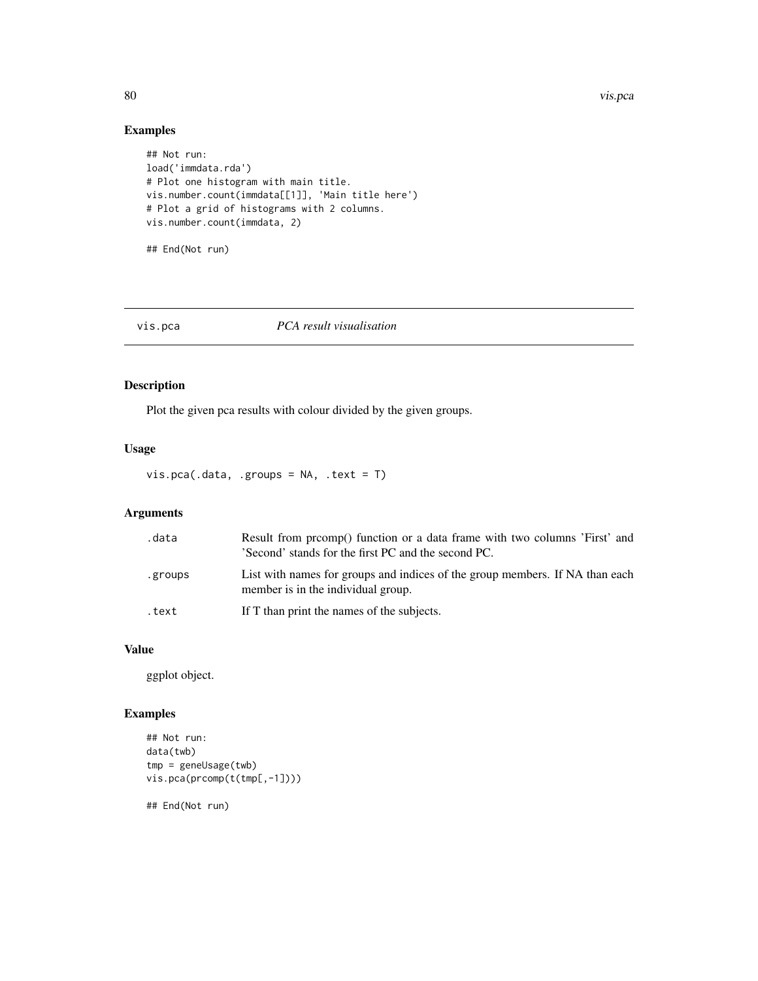<span id="page-79-0"></span>80 vis.pca vis.pca vis.pca vis.pca vis.pca vis.pca vis.pca vis.pca vis.pca vis.pca vis.pca vis.pca vis.pca vis.pca vis.pca vis.pca vis.pca vis.pca vis.pca vis.pca vis.pca vis.pca vis.pca vis.pca vis.pca vis.pca vis.pca vis

## Examples

```
## Not run:
load('immdata.rda')
# Plot one histogram with main title.
vis.number.count(immdata[[1]], 'Main title here')
# Plot a grid of histograms with 2 columns.
vis.number.count(immdata, 2)
```
## End(Not run)

# vis.pca *PCA result visualisation*

# Description

Plot the given pca results with colour divided by the given groups.

# Usage

vis.pca(.data, .groups = NA, .text = T)

# Arguments

| .data   | Result from promp() function or a data frame with two columns 'First' and<br>'Second' stands for the first PC and the second PC. |
|---------|----------------------------------------------------------------------------------------------------------------------------------|
| .groups | List with names for groups and indices of the group members. If NA than each<br>member is in the individual group.               |
| .text   | If T than print the names of the subjects.                                                                                       |

## Value

ggplot object.

# Examples

```
## Not run:
data(twb)
tmp = geneUsage(twb)vis.pca(prcomp(t(tmp[,-1])))
## End(Not run)
```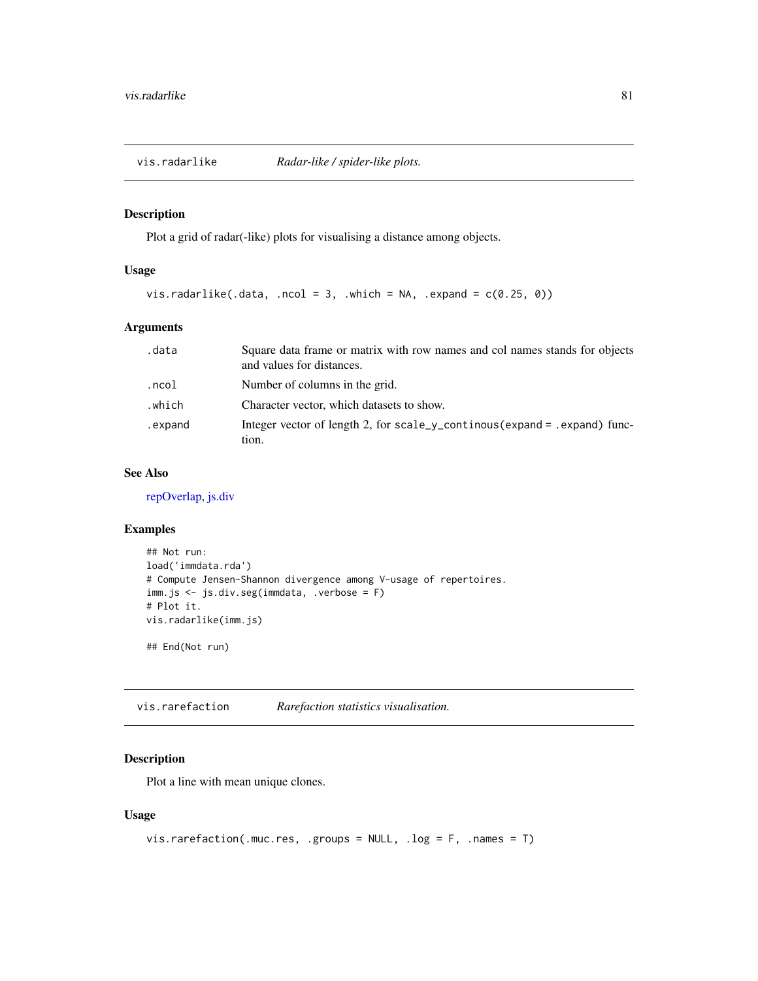<span id="page-80-0"></span>

# Description

Plot a grid of radar(-like) plots for visualising a distance among objects.

# Usage

vis.radarlike(.data, .ncol = 3, .which = NA, .expand =  $c(0.25, 0)$ )

# Arguments

| .data   | Square data frame or matrix with row names and col names stands for objects<br>and values for distances. |
|---------|----------------------------------------------------------------------------------------------------------|
| .ncol   | Number of columns in the grid.                                                                           |
| .which  | Character vector, which datasets to show.                                                                |
| .expand | Integer vector of length 2, for scale_y_continous(expand = .expand) func-<br>tion.                       |

#### See Also

[repOverlap,](#page-52-0) [js.div](#page-18-0)

## Examples

```
## Not run:
load('immdata.rda')
# Compute Jensen-Shannon divergence among V-usage of repertoires.
imm.js <- js.div.seg(immdata, .verbose = F)
# Plot it.
vis.radarlike(imm.js)
```
## End(Not run)

vis.rarefaction *Rarefaction statistics visualisation.*

# Description

Plot a line with mean unique clones.

## Usage

```
vis.rarefaction(.muc.res, .groups = NULL, .log = F, .names = T)
```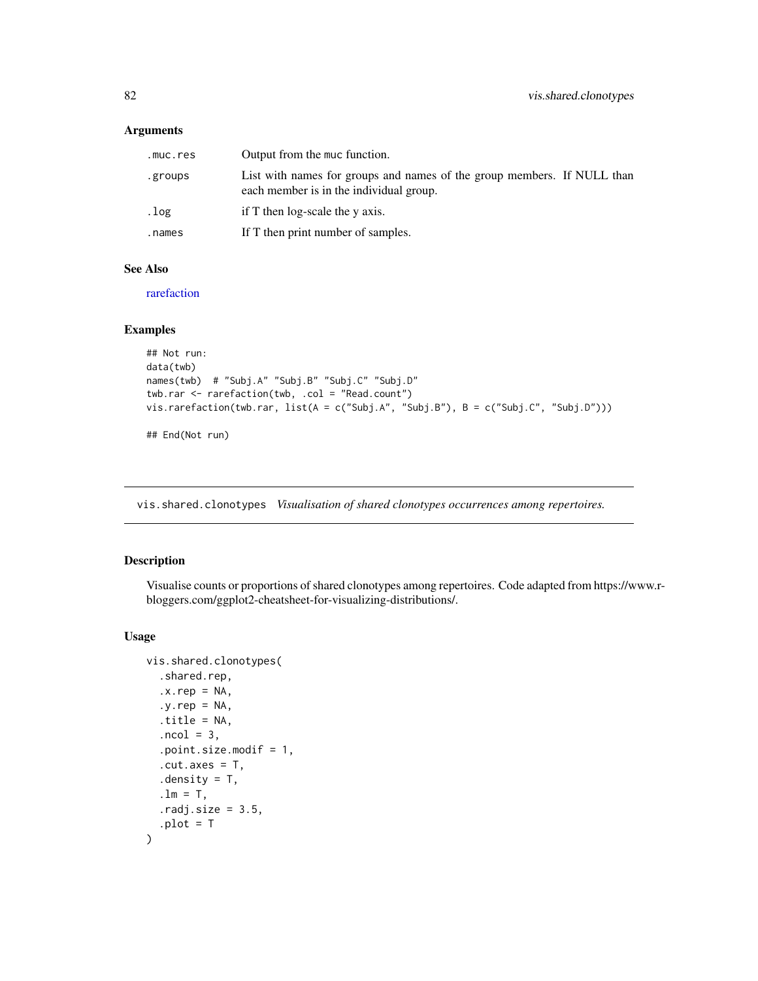## <span id="page-81-0"></span>Arguments

| .muc.res | Output from the muc function.                                                                                      |
|----------|--------------------------------------------------------------------------------------------------------------------|
| .groups  | List with names for groups and names of the group members. If NULL than<br>each member is in the individual group. |
| .log     | if $T$ then log-scale the $\nu$ axis.                                                                              |
| .names   | If T then print number of samples.                                                                                 |

# See Also

[rarefaction](#page-48-0)

## Examples

```
## Not run:
data(twb)
names(twb) # "Subj.A" "Subj.B" "Subj.C" "Subj.D"
twb.rar <- rarefaction(twb, .col = "Read.count")
vis.rarefaction(twb.rar, list(A = c("Subj.A", "Subj.B"), B = c("Subj.C", "Subj.D")))
## End(Not run)
```
vis.shared.clonotypes *Visualisation of shared clonotypes occurrences among repertoires.*

# Description

Visualise counts or proportions of shared clonotypes among repertoires. Code adapted from https://www.rbloggers.com/ggplot2-cheatsheet-for-visualizing-distributions/.

#### Usage

```
vis.shared.clonotypes(
  .shared.rep,
  .x.rep = NA,.y.rep = NA,.title = NA,
  .ncol = 3,
  .point.size.modif = 1,
  .cut.axes = T,
  . density = T,
  \ln = T,
  . \text{radj.size} = 3.5,.plot = T\mathcal{E}
```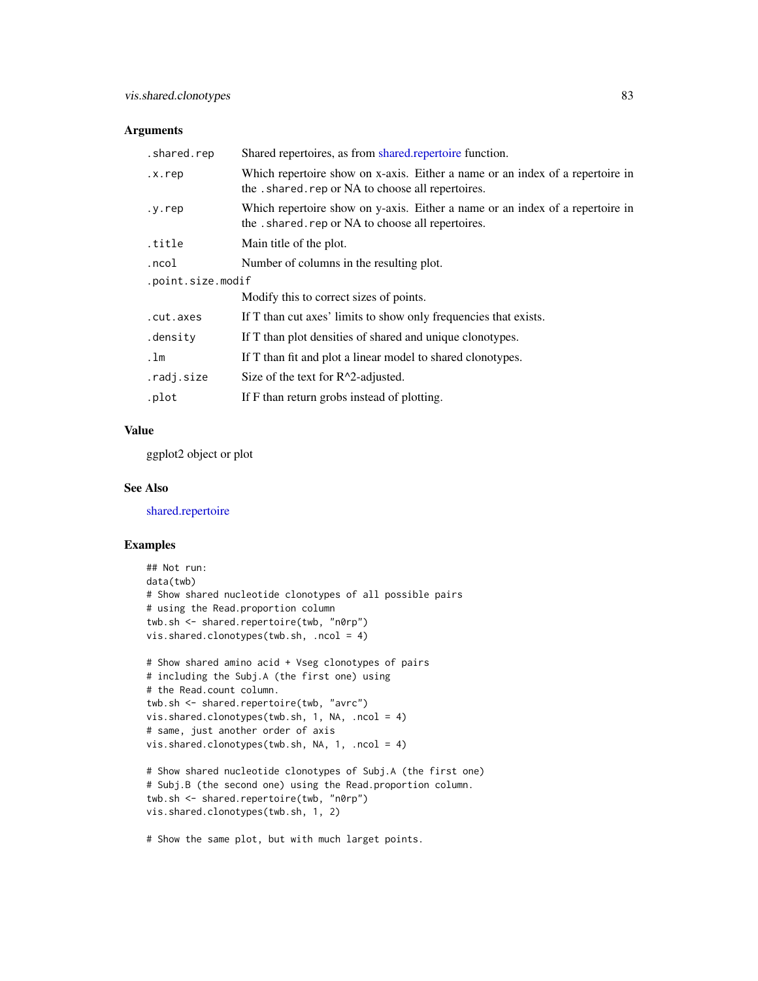## <span id="page-82-0"></span>Arguments

| .shared.rep       | Shared repertoires, as from shared repertoire function.                                                                           |  |
|-------------------|-----------------------------------------------------------------------------------------------------------------------------------|--|
| .x.rep            | Which repertoire show on x-axis. Either a name or an index of a repertoire in<br>the .shared.rep or NA to choose all repertoires. |  |
| y.rep.            | Which repertoire show on y-axis. Either a name or an index of a repertoire in<br>the .shared.rep or NA to choose all repertoires. |  |
| .title            | Main title of the plot.                                                                                                           |  |
| .ncol             | Number of columns in the resulting plot.                                                                                          |  |
| .point.size.modif |                                                                                                                                   |  |
|                   | Modify this to correct sizes of points.                                                                                           |  |
| .cut.axes         | If T than cut axes' limits to show only frequencies that exists.                                                                  |  |
| .density          | If T than plot densities of shared and unique clonotypes.                                                                         |  |
| . $1m$            | If T than fit and plot a linear model to shared clonotypes.                                                                       |  |
| .radj.size        | Size of the text for $R^2$ -adjusted.                                                                                             |  |
| .plot             | If F than return grobs instead of plotting.                                                                                       |  |

# Value

ggplot2 object or plot

#### See Also

[shared.repertoire](#page-63-0)

## Examples

```
## Not run:
data(twb)
# Show shared nucleotide clonotypes of all possible pairs
# using the Read.proportion column
twb.sh <- shared.repertoire(twb, "n0rp")
vis.shared.clonotypes(twb.sh, .ncol = 4)
# Show shared amino acid + Vseg clonotypes of pairs
# including the Subj.A (the first one) using
# the Read.count column.
twb.sh <- shared.repertoire(twb, "avrc")
vis.shared.clonotypes(twb.sh, 1, NA, .ncol = 4)
# same, just another order of axis
vis.shared.clonotypes(twb.sh, NA, 1, .ncol = 4)
# Show shared nucleotide clonotypes of Subj.A (the first one)
# Subj.B (the second one) using the Read.proportion column.
twb.sh <- shared.repertoire(twb, "n0rp")
vis.shared.clonotypes(twb.sh, 1, 2)
```
# Show the same plot, but with much larget points.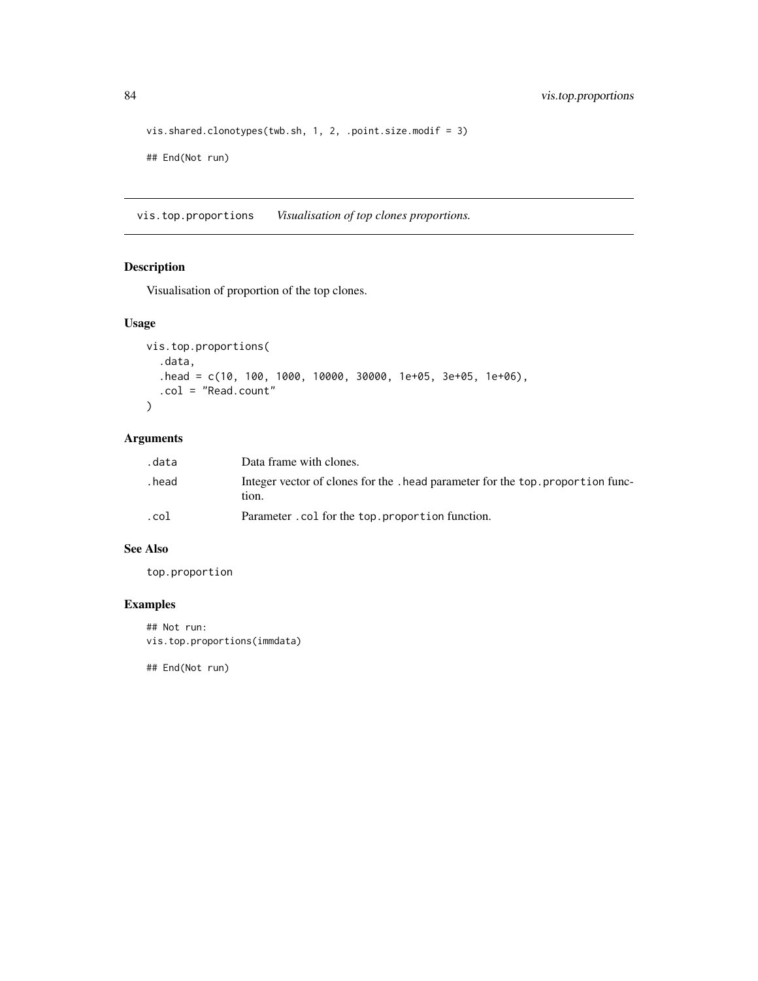```
vis.shared.clonotypes(twb.sh, 1, 2, .point.size.modif = 3)
## End(Not run)
```
vis.top.proportions *Visualisation of top clones proportions.*

# Description

Visualisation of proportion of the top clones.

## Usage

```
vis.top.proportions(
  .data,
  .head = c(10, 100, 1000, 10000, 30000, 1e+05, 3e+05, 1e+06),
  .col = "Read.count"
)
```
# Arguments

| .data  | Data frame with clones.                                                                  |
|--------|------------------------------------------------------------------------------------------|
| . head | Integer vector of clones for the . head parameter for the top. proportion func-<br>tion. |
| .col   | Parameter.col for the top.proportion function.                                           |

# See Also

top.proportion

# Examples

## Not run: vis.top.proportions(immdata)

## End(Not run)

<span id="page-83-0"></span>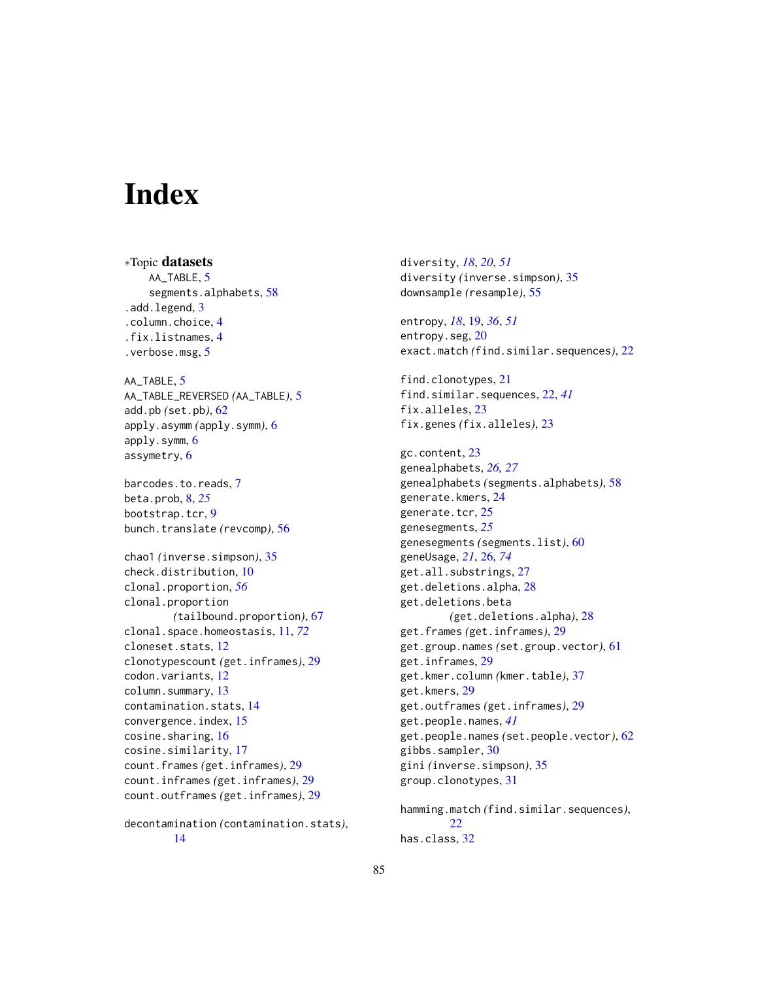# **Index**

∗Topic datasets AA\_TABLE, [5](#page-4-0) segments.alphabets, [58](#page-57-0) .add.legend, [3](#page-2-0) .column.choice, [4](#page-3-0) .fix.listnames, [4](#page-3-0) .verbose.msg, [5](#page-4-0) AA\_TABLE, [5](#page-4-0) AA\_TABLE\_REVERSED *(*AA\_TABLE*)*, [5](#page-4-0) add.pb *(*set.pb*)*, [62](#page-61-0) apply.asymm *(*apply.symm*)*, [6](#page-5-0) apply.symm, [6](#page-5-0) assymetry, [6](#page-5-0) barcodes.to.reads, [7](#page-6-0) beta.prob, [8,](#page-7-0) *[25](#page-24-0)* bootstrap.tcr, [9](#page-8-0) bunch.translate *(*revcomp*)*, [56](#page-55-0) chao1 *(*inverse.simpson*)*, [35](#page-34-0) check.distribution, [10](#page-9-0) clonal.proportion, *[56](#page-55-0)* clonal.proportion *(*tailbound.proportion*)*, [67](#page-66-0) clonal.space.homeostasis, [11,](#page-10-0) *[72](#page-71-0)* cloneset.stats, [12](#page-11-0) clonotypescount *(*get.inframes*)*, [29](#page-28-0) codon.variants, [12](#page-11-0) column.summary, [13](#page-12-0) contamination.stats, [14](#page-13-0) convergence.index, [15](#page-14-0) cosine.sharing, [16](#page-15-0) cosine.similarity, [17](#page-16-0) count.frames *(*get.inframes*)*, [29](#page-28-0) count.inframes *(*get.inframes*)*, [29](#page-28-0) count.outframes *(*get.inframes*)*, [29](#page-28-0)

decontamination *(*contamination.stats*)*, [14](#page-13-0)

diversity, *[18](#page-17-0)*, *[20](#page-19-0)*, *[51](#page-50-0)* diversity *(*inverse.simpson*)*, [35](#page-34-0) downsample *(*resample*)*, [55](#page-54-0) entropy, *[18](#page-17-0)*, [19,](#page-18-1) *[36](#page-35-0)*, *[51](#page-50-0)* entropy.seg, [20](#page-19-0) exact.match *(*find.similar.sequences*)*, [22](#page-21-0) find.clonotypes, [21](#page-20-0) find.similar.sequences, [22,](#page-21-0) *[41](#page-40-0)* fix.alleles, [23](#page-22-0) fix.genes *(*fix.alleles*)*, [23](#page-22-0) gc.content, [23](#page-22-0) genealphabets, *[26,](#page-25-1) [27](#page-26-0)* genealphabets *(*segments.alphabets*)*, [58](#page-57-0) generate.kmers, [24](#page-23-0) generate.tcr, [25](#page-24-0) genesegments, *[25](#page-24-0)* genesegments *(*segments.list*)*, [60](#page-59-0) geneUsage, *[21](#page-20-0)*, [26,](#page-25-1) *[74](#page-73-0)* get.all.substrings, [27](#page-26-0) get.deletions.alpha, [28](#page-27-0) get.deletions.beta *(*get.deletions.alpha*)*, [28](#page-27-0) get.frames *(*get.inframes*)*, [29](#page-28-0) get.group.names *(*set.group.vector*)*, [61](#page-60-0) get.inframes, [29](#page-28-0) get.kmer.column *(*kmer.table*)*, [37](#page-36-0) get.kmers, [29](#page-28-0) get.outframes *(*get.inframes*)*, [29](#page-28-0) get.people.names, *[41](#page-40-0)* get.people.names *(*set.people.vector*)*, [62](#page-61-0) gibbs.sampler, [30](#page-29-0) gini *(*inverse.simpson*)*, [35](#page-34-0) group.clonotypes, [31](#page-30-0) hamming.match *(*find.similar.sequences*)*,

 $22$ has.class, [32](#page-31-0)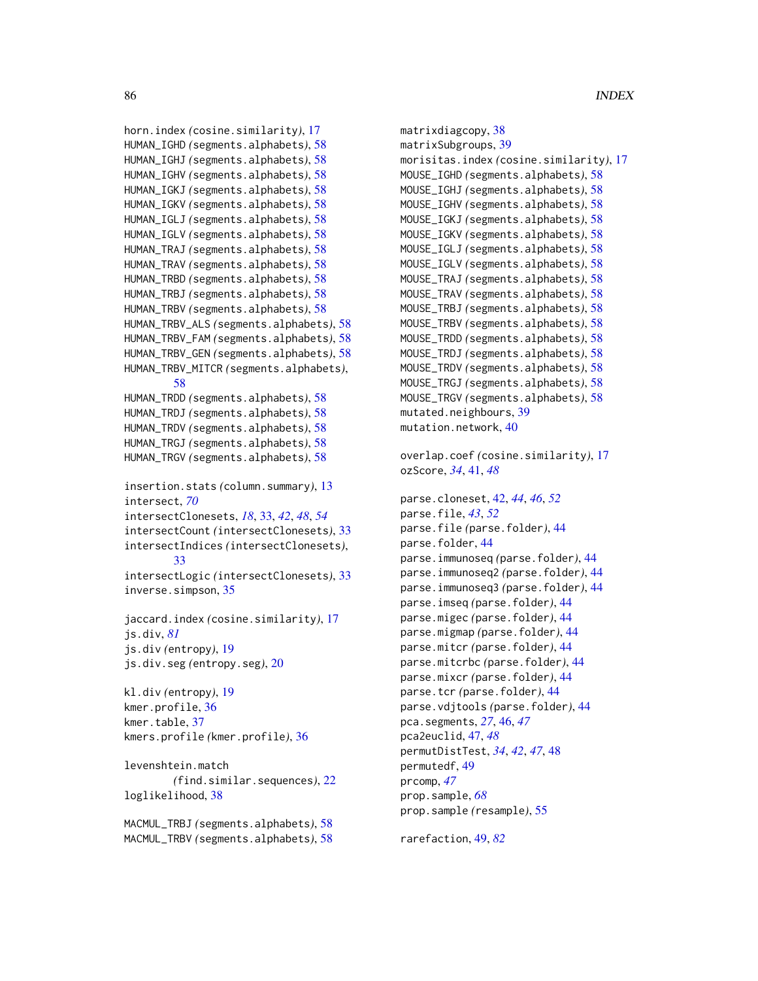```
horn.index (cosine.similarity), 17
HUMAN_IGHD (segments.alphabets), 58
HUMAN_IGHJ (segments.alphabets), 58
HUMAN_IGHV (segments.alphabets), 58
HUMAN_IGKJ (segments.alphabets), 58
HUMAN_IGKV (segments.alphabets), 58
HUMAN_IGLJ (segments.alphabets), 58
HUMAN_IGLV (segments.alphabets), 58
HUMAN_TRAJ (segments.alphabets), 58
HUMAN_TRAV (segments.alphabets), 58
HUMAN_TRBD (segments.alphabets), 58
HUMAN_TRBJ (segments.alphabets), 58
HUMAN_TRBV (segments.alphabets), 58
HUMAN_TRBV_ALS (segments.alphabets), 58
HUMAN_TRBV_FAM (segments.alphabets), 58
HUMAN_TRBV_GEN (segments.alphabets), 58
HUMAN_TRBV_MITCR (segments.alphabets),
        58
HUMAN_TRDD (segments.alphabets), 58
HUMAN_TRDJ (segments.alphabets), 58
HUMAN_TRDV (segments.alphabets), 58
HUMAN_TRGJ (segments.alphabets), 58
HUMAN_TRGV (segments.alphabets), 58
insertion.stats (column.summary), 13
intersect, 70
intersectClonesets, 18, 33, 42, 48, 54
intersectCount (intersectClonesets), 33
intersectIndices (intersectClonesets),
        33
intersectLogic (intersectClonesets), 33
inverse.simpson, 35
jaccard.index (cosine.similarity), 17
js.div, 81
js.div (entropy), 19
js.div.seg (entropy.seg), 20
kl.div (entropy), 19
kmer.profile, 36
kmer.table, 37
kmers.profile (kmer.profile), 36
levenshtein.match
        (find.similar.sequences), 22
loglikelihood, 38
MACMUL_TRBJ (segments.alphabets), 58
MACMUL_TRBV (segments.alphabets), 58
```

```
matrixdiagcopy, 38
matrixSubgroups, 39
morisitas.index (cosine.similarity), 17
MOUSE_IGHD (segments.alphabets), 58
MOUSE_IGHJ (segments.alphabets), 58
MOUSE_IGHV (segments.alphabets), 58
MOUSE_IGKJ (segments.alphabets), 58
MOUSE_IGKV (segments.alphabets), 58
MOUSE_IGLJ (segments.alphabets), 58
MOUSE_IGLV (segments.alphabets), 58
MOUSE_TRAJ (segments.alphabets), 58
MOUSE_TRAV (segments.alphabets), 58
MOUSE_TRBJ (segments.alphabets), 58
MOUSE_TRBV (segments.alphabets), 58
MOUSE_TRDD (segments.alphabets), 58
MOUSE_TRDJ (segments.alphabets), 58
MOUSE_TRDV (segments.alphabets), 58
MOUSE_TRGJ (segments.alphabets), 58
MOUSE_TRGV (segments.alphabets), 58
mutated.neighbours, 39
mutation.network, 40
overlap.coef (cosine.similarity), 17
ozScore, 34, 41, 48
parse.cloneset, 42, 44, 46, 52
parse.file, 43, 52
parse.file (parse.folder), 44
parse.folder, 44
parse.immunoseq (parse.folder), 44
parse.immunoseq2 (parse.folder), 44
parse.immunoseq3 (parse.folder), 44
parse.imseq (parse.folder), 44
parse.migec (parse.folder), 44
parse.migmap (parse.folder), 44
parse.mitcr (parse.folder), 44
parse.mitcrbc (parse.folder), 44
parse.mixcr (parse.folder), 44
parse.tcr (parse.folder), 44
parse.vdjtools (parse.folder), 44
pca.segments, 27, 46, 47
pca2euclid, 47, 48
permutDistTest, 34, 42, 47, 48
permutedf, 49
prcomp, 47
prop.sample, 68
prop.sample (resample), 55
```
rarefaction, [49,](#page-48-1) *[82](#page-81-0)*